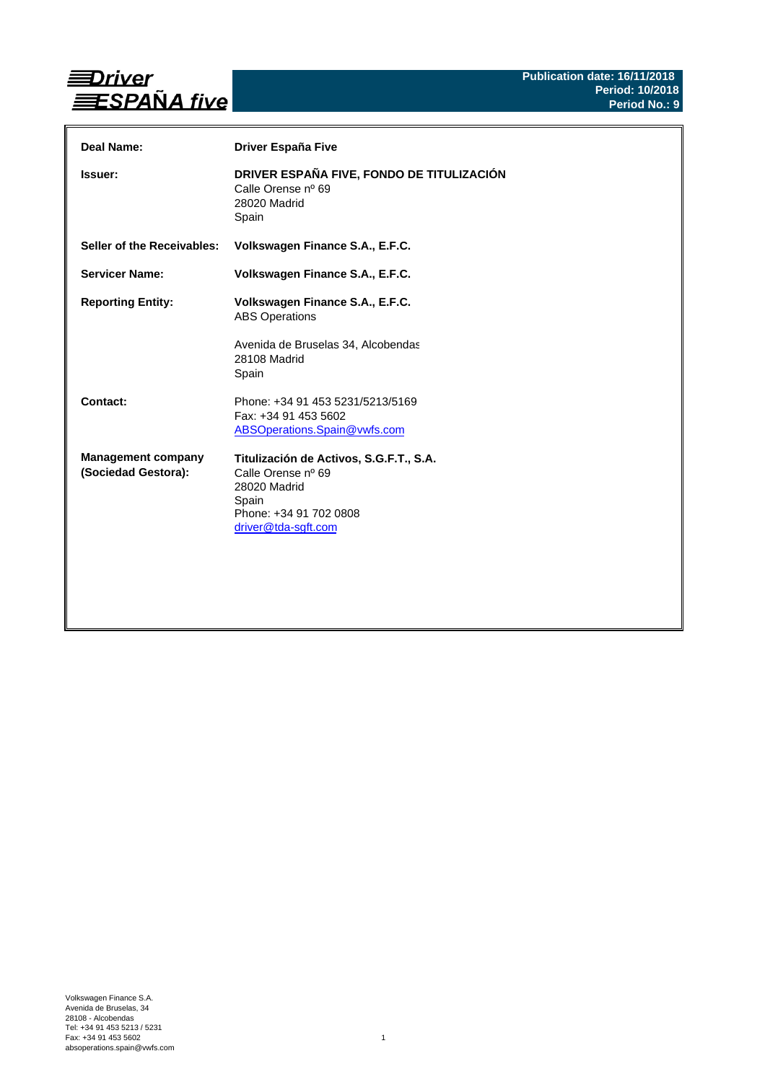

| Deal Name:                                       | Driver España Five                                                                                                                      |
|--------------------------------------------------|-----------------------------------------------------------------------------------------------------------------------------------------|
| Issuer:                                          | DRIVER ESPAÑA FIVE, FONDO DE TITULIZACIÓN<br>Calle Orense nº 69<br>28020 Madrid<br>Spain                                                |
| Seller of the Receivables:                       | Volkswagen Finance S.A., E.F.C.                                                                                                         |
| <b>Servicer Name:</b>                            | Volkswagen Finance S.A., E.F.C.                                                                                                         |
| <b>Reporting Entity:</b>                         | Volkswagen Finance S.A., E.F.C.<br><b>ABS Operations</b><br>Avenida de Bruselas 34, Alcobendas<br>28108 Madrid<br>Spain                 |
| Contact:                                         | Phone: +34 91 453 5231/5213/5169<br>Fax: +34 91 453 5602<br>ABSOperations.Spain@vwfs.com                                                |
| <b>Management company</b><br>(Sociedad Gestora): | Titulización de Activos, S.G.F.T., S.A.<br>Calle Orense nº 69<br>28020 Madrid<br>Spain<br>Phone: +34 91 702 0808<br>driver@tda-sgft.com |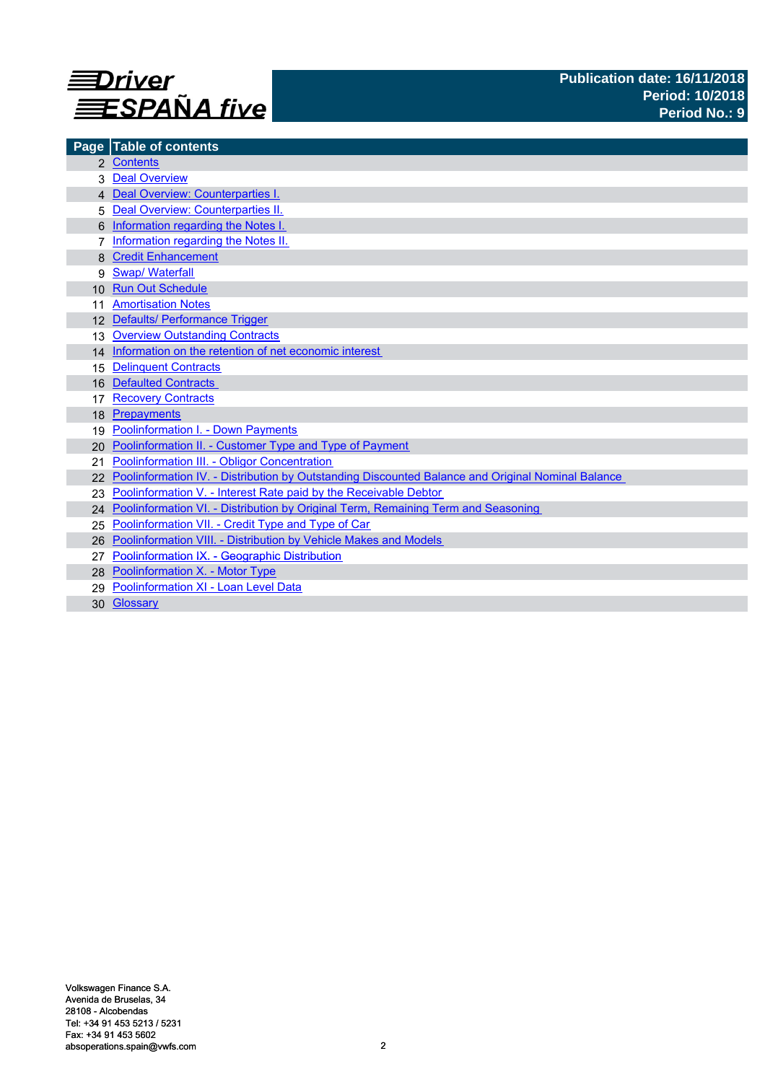

| Page            | <b>Table of contents</b>                                                                          |
|-----------------|---------------------------------------------------------------------------------------------------|
|                 | 2 Contents                                                                                        |
|                 | <b>Deal Overview</b>                                                                              |
|                 | 4 Deal Overview: Counterparties I.                                                                |
|                 | Deal Overview: Counterparties II.                                                                 |
|                 | Information regarding the Notes I.                                                                |
|                 | Information regarding the Notes II.                                                               |
|                 | <b>Credit Enhancement</b>                                                                         |
| 9               | <b>Swap/Waterfall</b>                                                                             |
| 10 <sup>1</sup> | <b>Run Out Schedule</b>                                                                           |
|                 | <b>Amortisation Notes</b>                                                                         |
|                 | 12 Defaults/ Performance Trigger                                                                  |
| 13              | <b>Overview Outstanding Contracts</b>                                                             |
|                 | 14 Information on the retention of net economic interest                                          |
| 15              | <b>Delinquent Contracts</b>                                                                       |
| 16              | <b>Defaulted Contracts</b>                                                                        |
| 17              | <b>Recovery Contracts</b>                                                                         |
| 18              | Prepayments                                                                                       |
| 19              | <b>Poolinformation I. - Down Payments</b>                                                         |
| 20              | Poolinformation II. - Customer Type and Type of Payment                                           |
| 21              | Poolinformation III. - Obligor Concentration                                                      |
|                 | Poolinformation IV. - Distribution by Outstanding Discounted Balance and Original Nominal Balance |
|                 | Poolinformation V. - Interest Rate paid by the Receivable Debtor                                  |
|                 | 24 Poolinformation VI. - Distribution by Original Term, Remaining Term and Seasoning              |
| 25              | Poolinformation VII. - Credit Type and Type of Car                                                |
| 26              | Poolinformation VIII. - Distribution by Vehicle Makes and Models                                  |
|                 | Poolinformation IX. - Geographic Distribution                                                     |
|                 | 28 Poolinformation X. - Motor Type                                                                |
| 29              | Poolinformation XI - Loan Level Data                                                              |
|                 | 30 Glossary                                                                                       |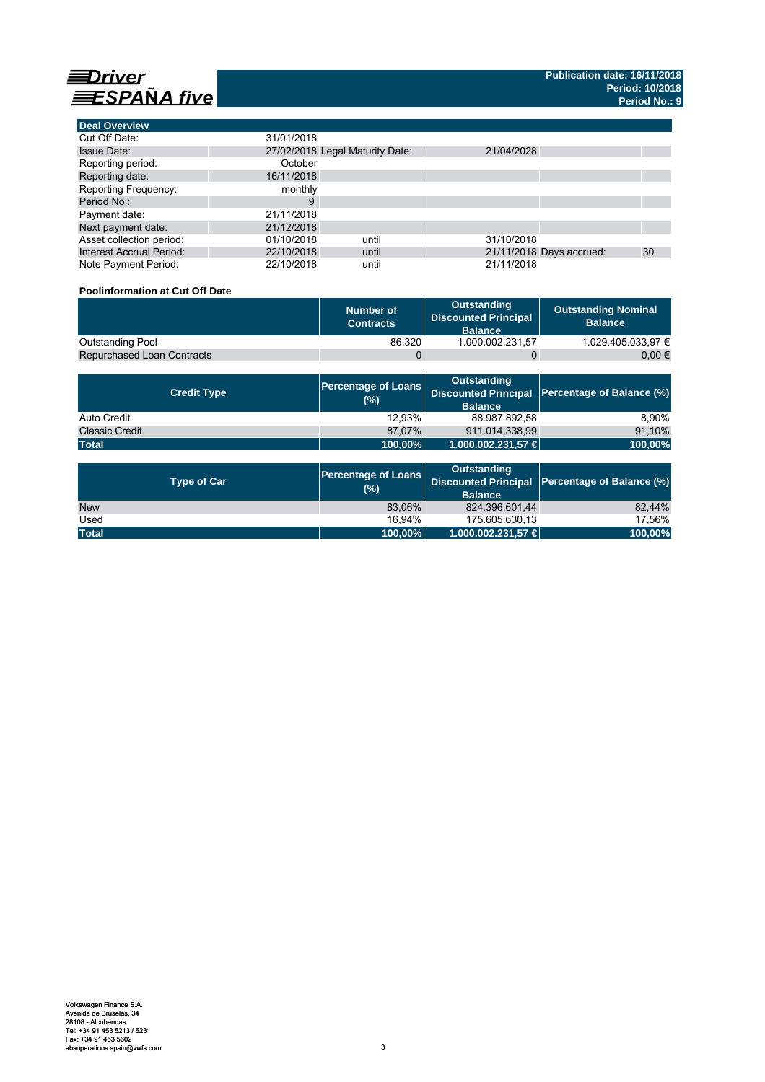

**Deal Overview**

| <b>Deal Overview</b>            |                                 |                          |    |
|---------------------------------|---------------------------------|--------------------------|----|
| Cut Off Date:                   | 31/01/2018                      |                          |    |
| <b>Issue Date:</b>              | 27/02/2018 Legal Maturity Date: | 21/04/2028               |    |
| Reporting period:               | October                         |                          |    |
| Reporting date:                 | 16/11/2018                      |                          |    |
| <b>Reporting Frequency:</b>     | monthly                         |                          |    |
| Period No.:                     | 9                               |                          |    |
| Payment date:                   | 21/11/2018                      |                          |    |
| Next payment date:              | 21/12/2018                      |                          |    |
| Asset collection period:        | 01/10/2018<br>until             | 31/10/2018               |    |
| <b>Interest Accrual Period:</b> | 22/10/2018<br>until             | 21/11/2018 Days accrued: | 30 |
| Note Payment Period:            | 22/10/2018<br>until             | 21/11/2018               |    |

### **Poolinformation at Cut Off Date**

|                                   | Number of<br><b>Contracts</b> | Outstanding<br><b>Discounted Principal</b><br><b>Balance</b> | <b>Outstanding Nominal</b><br><b>Balance</b> |
|-----------------------------------|-------------------------------|--------------------------------------------------------------|----------------------------------------------|
| Outstanding Pool                  | 86.320                        | 1.000.002.231.57                                             | 1.029.405.033.97 €                           |
| <b>Repurchased Loan Contracts</b> |                               |                                                              | 0.00 €                                       |

| <b>Credit Type</b>    | (%)     | <b>Outstanding</b><br><b>Balance</b> | Percentage of Loans Discounted Principal Percentage of Balance (%) |
|-----------------------|---------|--------------------------------------|--------------------------------------------------------------------|
| Auto Credit           | 12.93%  | 88.987.892,58                        | 8.90%                                                              |
| <b>Classic Credit</b> | 87.07%  | 911.014.338.99                       | 91,10%                                                             |
| <b>Total</b>          | 100,00% | 1.000.002.231,57 €                   | 100,00%                                                            |

| <b>Type of Car</b> | <b>Percentage of Loans</b><br>(%) | <b>Outstanding</b><br><b>Balance</b> | Discounted Principal Percentage of Balance (%) |
|--------------------|-----------------------------------|--------------------------------------|------------------------------------------------|
| <b>New</b>         | 83.06%                            | 824.396.601.44                       | 82.44%                                         |
| Used               | 16.94%                            | 175.605.630.13                       | 17.56%                                         |
| <b>Total</b>       | 100,00%                           | 1.000.002.231,57 €                   | 100,00%                                        |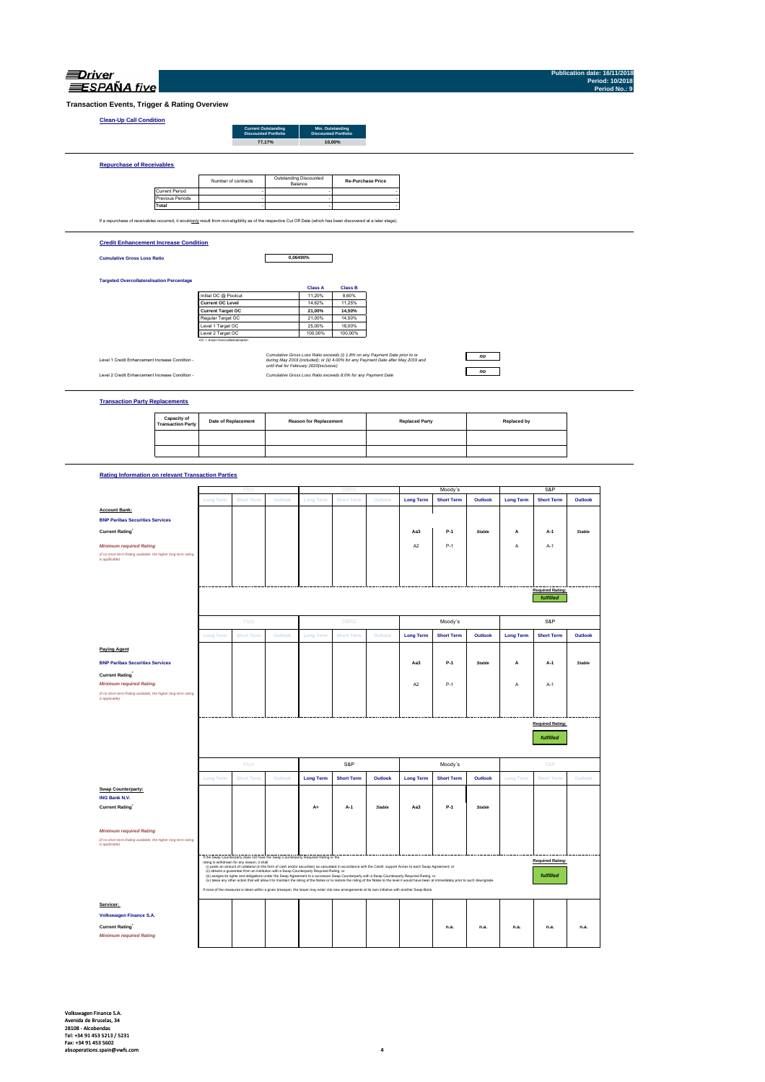| <i><b>Jrive</b></i> |
|---------------------|
| <b>SPANA</b> five   |

**Publication date: 16/11/2018 Period: 10/2018 Period No.: 9**

**Transaction Events, Trigger & Rating Overview**

### **Clean-Up Call**

| <b>Clean-Up Call Condition</b>                                                                                                                                    |                       |                     |                                                           |        |                                                 |                          |  |
|-------------------------------------------------------------------------------------------------------------------------------------------------------------------|-----------------------|---------------------|-----------------------------------------------------------|--------|-------------------------------------------------|--------------------------|--|
|                                                                                                                                                                   |                       |                     | <b>Current Outstanding</b><br><b>Discounted Portfolio</b> |        | Min. Outstanding<br><b>Discounted Portfolio</b> |                          |  |
|                                                                                                                                                                   |                       |                     |                                                           | 77,17% | 10,00%                                          |                          |  |
|                                                                                                                                                                   |                       |                     |                                                           |        |                                                 |                          |  |
| <b>Repurchase of Receivables</b>                                                                                                                                  |                       |                     |                                                           |        |                                                 |                          |  |
|                                                                                                                                                                   |                       | Number of contracts |                                                           |        | Outstanding Discounted<br>Balance               | <b>Re-Purchase Price</b> |  |
|                                                                                                                                                                   | <b>Current Period</b> |                     |                                                           |        |                                                 |                          |  |
|                                                                                                                                                                   | Previous Periods      |                     |                                                           |        |                                                 |                          |  |
|                                                                                                                                                                   | Total                 |                     |                                                           |        |                                                 |                          |  |
| If a repurchase of receivables occurred, it wouldonly result from non-eligibility as of the respective Cut Off Date (which has been discovered at a later stage). |                       |                     |                                                           |        |                                                 |                          |  |
| <b>Credit Enhancement Increase Condition</b>                                                                                                                      |                       |                     |                                                           |        |                                                 |                          |  |
| <b>Cumulative Gross Loss Ratio</b>                                                                                                                                |                       |                     |                                                           |        | 0.06490%                                        |                          |  |

### **Targeted Overcollateralisation Percentage**

|                                  | <b>Class A</b> | <b>Class B</b> |
|----------------------------------|----------------|----------------|
| Initial OC @ Poolcut             | 11.20%         | 8.60%          |
| <b>Current OC Level</b>          | 14.62%         | 11.25%         |
| <b>Current Target OC</b>         | 21.00%         | 14.50%         |
| Regular Target OC                | 21.00%         | 14.50%         |
| Level 1 Target OC                | 25.00%         | 18.00%         |
| Level 2 Target OC                | 100.00%        | 100.00%        |
| OC = Asset Overcollateralisation |                |                |

Level 1 Credit Enhancement Increase Condition -

Cumulative Group of Commission of Cumulative Gross Loss Raids exceeds (i) r.8% on any Psyment Date prior to cr<br>- Junking May 2019 and the United States of May 2019 and the United States (ii) 4,00% for any Psyment Date afte

### **Transaction Party Replacements**

| <b>Capacity of<br/>Transaction Party</b> | <b>Date of Replacement</b> | <b>Reason for Replacement</b> | <b>Replaced Party</b> | Replaced by |
|------------------------------------------|----------------------------|-------------------------------|-----------------------|-------------|
|                                          |                            |                               |                       |             |
|                                          |                            |                               |                       |             |

*no no*

### **Rating Information on relevant Transaction Parties**

|                                                                                   |                  | Fitch                                        |                                                                                           |                  | DBR                                                                                                                                                            |               |                  | Moody's                                                                                                                                                                                          |         |                  | S&P                     |               |
|-----------------------------------------------------------------------------------|------------------|----------------------------------------------|-------------------------------------------------------------------------------------------|------------------|----------------------------------------------------------------------------------------------------------------------------------------------------------------|---------------|------------------|--------------------------------------------------------------------------------------------------------------------------------------------------------------------------------------------------|---------|------------------|-------------------------|---------------|
|                                                                                   | Long Term        | <b>Short Term</b>                            | Outlook                                                                                   | <b>Long Term</b> | <b>Short Term</b>                                                                                                                                              | Outlook       | <b>Long Term</b> | <b>Short Term</b>                                                                                                                                                                                | Outlook | <b>Long Term</b> | <b>Short Term</b>       | Outlook       |
| <b>Account Bank:</b>                                                              |                  |                                              |                                                                                           |                  |                                                                                                                                                                |               |                  |                                                                                                                                                                                                  |         |                  |                         |               |
| <b>BNP Paribas Securities Services</b>                                            |                  |                                              |                                                                                           |                  |                                                                                                                                                                |               |                  |                                                                                                                                                                                                  |         |                  |                         |               |
| <b>Current Rating</b>                                                             |                  |                                              |                                                                                           |                  |                                                                                                                                                                |               | Aa3              | $P-1$                                                                                                                                                                                            | Stable  | А                | $A-1$                   | <b>Stable</b> |
| <b>Minimum required Rating</b>                                                    |                  |                                              |                                                                                           |                  |                                                                                                                                                                |               | A <sub>2</sub>   | $P-1$                                                                                                                                                                                            |         | А                | $A-1$                   |               |
| (if no short term Rating available, the higher long term rating                   |                  |                                              |                                                                                           |                  |                                                                                                                                                                |               |                  |                                                                                                                                                                                                  |         |                  |                         |               |
| is applicable)                                                                    |                  |                                              |                                                                                           |                  |                                                                                                                                                                |               |                  |                                                                                                                                                                                                  |         |                  |                         |               |
|                                                                                   |                  |                                              |                                                                                           |                  |                                                                                                                                                                |               |                  |                                                                                                                                                                                                  |         |                  |                         |               |
|                                                                                   |                  |                                              |                                                                                           |                  |                                                                                                                                                                |               |                  |                                                                                                                                                                                                  |         |                  |                         |               |
|                                                                                   |                  |                                              |                                                                                           |                  |                                                                                                                                                                |               |                  |                                                                                                                                                                                                  |         |                  | <b>Required Rating:</b> |               |
|                                                                                   |                  |                                              |                                                                                           |                  |                                                                                                                                                                |               |                  |                                                                                                                                                                                                  |         |                  | fulfilled               |               |
|                                                                                   |                  | Fitch                                        |                                                                                           |                  | <b>DBRS</b>                                                                                                                                                    |               |                  | Moody's                                                                                                                                                                                          |         |                  | S&P                     |               |
|                                                                                   | <b>Long Term</b> | <b>Short Term</b>                            | Outlook                                                                                   | <b>Long Term</b> | <b>Short Term</b>                                                                                                                                              | Outlook       | <b>Long Term</b> | <b>Short Term</b>                                                                                                                                                                                | Outlook | <b>Long Term</b> | <b>Short Term</b>       | Outlook       |
| <b>Paying Agent</b>                                                               |                  |                                              |                                                                                           |                  |                                                                                                                                                                |               |                  |                                                                                                                                                                                                  |         |                  |                         |               |
| <b>BNP Paribas Securities Services</b>                                            |                  |                                              |                                                                                           |                  |                                                                                                                                                                |               | Aa3              | $P-1$                                                                                                                                                                                            | Stable  | А                | A-1                     | <b>Stable</b> |
| <b>Current Rating</b>                                                             |                  |                                              |                                                                                           |                  |                                                                                                                                                                |               |                  |                                                                                                                                                                                                  |         |                  |                         |               |
| <b>Minimum required Rating</b>                                                    |                  |                                              |                                                                                           |                  |                                                                                                                                                                |               | A <sub>2</sub>   | $P-1$                                                                                                                                                                                            |         | А                | $A-1$                   |               |
| (if no short term Rating available, the higher long term rating                   |                  |                                              |                                                                                           |                  |                                                                                                                                                                |               |                  |                                                                                                                                                                                                  |         |                  |                         |               |
| is applicable)                                                                    |                  |                                              |                                                                                           |                  |                                                                                                                                                                |               |                  |                                                                                                                                                                                                  |         |                  |                         |               |
|                                                                                   |                  |                                              |                                                                                           |                  |                                                                                                                                                                |               |                  |                                                                                                                                                                                                  |         |                  |                         |               |
|                                                                                   |                  |                                              |                                                                                           |                  |                                                                                                                                                                |               |                  |                                                                                                                                                                                                  |         |                  |                         |               |
|                                                                                   |                  |                                              |                                                                                           |                  |                                                                                                                                                                |               |                  |                                                                                                                                                                                                  |         |                  |                         |               |
|                                                                                   |                  |                                              |                                                                                           |                  |                                                                                                                                                                |               |                  |                                                                                                                                                                                                  |         |                  | <b>Required Rating:</b> |               |
|                                                                                   |                  |                                              |                                                                                           |                  |                                                                                                                                                                |               |                  |                                                                                                                                                                                                  |         |                  | fulfilled               |               |
|                                                                                   |                  |                                              |                                                                                           |                  |                                                                                                                                                                |               |                  |                                                                                                                                                                                                  |         |                  |                         |               |
|                                                                                   |                  | Fitch                                        |                                                                                           |                  | S&P                                                                                                                                                            |               |                  |                                                                                                                                                                                                  |         |                  | S&P                     |               |
|                                                                                   |                  | <b>Short Term</b>                            | Outlook                                                                                   | <b>Long Term</b> | <b>Short Term</b>                                                                                                                                              | Outlook       | <b>Long Term</b> | Moody's<br><b>Short Term</b>                                                                                                                                                                     | Outlook | <b>Long Term</b> | <b>Short Term</b>       | Outlook       |
|                                                                                   | Long Term        |                                              |                                                                                           |                  |                                                                                                                                                                |               |                  |                                                                                                                                                                                                  |         |                  |                         |               |
| <b>Swap Counterparty:</b>                                                         |                  |                                              |                                                                                           |                  |                                                                                                                                                                |               |                  |                                                                                                                                                                                                  |         |                  |                         |               |
| ING Bank N.V.                                                                     |                  |                                              |                                                                                           |                  |                                                                                                                                                                |               |                  |                                                                                                                                                                                                  |         |                  |                         |               |
| <b>Current Rating</b>                                                             |                  |                                              |                                                                                           | $A+$             | $A-1$                                                                                                                                                          | <b>Stable</b> | Aa3              | $P-1$                                                                                                                                                                                            | Stable  |                  |                         |               |
|                                                                                   |                  |                                              |                                                                                           |                  |                                                                                                                                                                |               |                  |                                                                                                                                                                                                  |         |                  |                         |               |
| <b>Minimum required Rating</b>                                                    |                  |                                              |                                                                                           |                  |                                                                                                                                                                |               |                  |                                                                                                                                                                                                  |         |                  |                         |               |
| (if no short term Rating available, the higher long term rating<br>is applicable) |                  |                                              |                                                                                           |                  |                                                                                                                                                                |               |                  |                                                                                                                                                                                                  |         |                  |                         |               |
|                                                                                   |                  |                                              |                                                                                           |                  |                                                                                                                                                                |               |                  |                                                                                                                                                                                                  |         |                  |                         |               |
|                                                                                   |                  | rating is withdrawn for any reason, it shall | If the Swap Counterparty does not have the Swap Counterparty Required Rating or the       |                  |                                                                                                                                                                |               |                  |                                                                                                                                                                                                  |         |                  | <b>Required Rating:</b> |               |
|                                                                                   |                  |                                              | (ii) obtains a guarantee from an institution with a Swap Counterparty Required Rating; or |                  | (i) posts an amount of collateral (in the form of cash and/or securities) as calculated in accordance with the Credit support Annex to each Swap Agreement; or |               |                  |                                                                                                                                                                                                  |         |                  |                         |               |
|                                                                                   |                  |                                              |                                                                                           |                  | (ii) assigns its rights and obligations under the Swap Agreement to a successor Swap Counterparty with a Swap Counterparty Required Rating; or                 |               |                  | (iv) takes any other action that will allow it to maintain the rating of the Notes or to restore the rating of the Notes to the level it would have been at immediately prior to such downgrade. |         |                  | fulfilled               |               |
|                                                                                   |                  |                                              |                                                                                           |                  | If none of the measures is taken within a given timespan, the Issuer may enter into new arrangements at its own initiative with another Swap Bank.             |               |                  |                                                                                                                                                                                                  |         |                  |                         |               |
| Servicer:                                                                         |                  |                                              |                                                                                           |                  |                                                                                                                                                                |               |                  |                                                                                                                                                                                                  |         |                  |                         |               |
| Volkswagen Finance S.A.                                                           |                  |                                              |                                                                                           |                  |                                                                                                                                                                |               |                  |                                                                                                                                                                                                  |         |                  |                         |               |
| <b>Current Rating</b>                                                             |                  |                                              |                                                                                           |                  |                                                                                                                                                                |               |                  | n.a.                                                                                                                                                                                             | n.a.    | n.a.             | n.a.                    | n.a.          |
| <b>Minimum required Rating</b>                                                    |                  |                                              |                                                                                           |                  |                                                                                                                                                                |               |                  |                                                                                                                                                                                                  |         |                  |                         |               |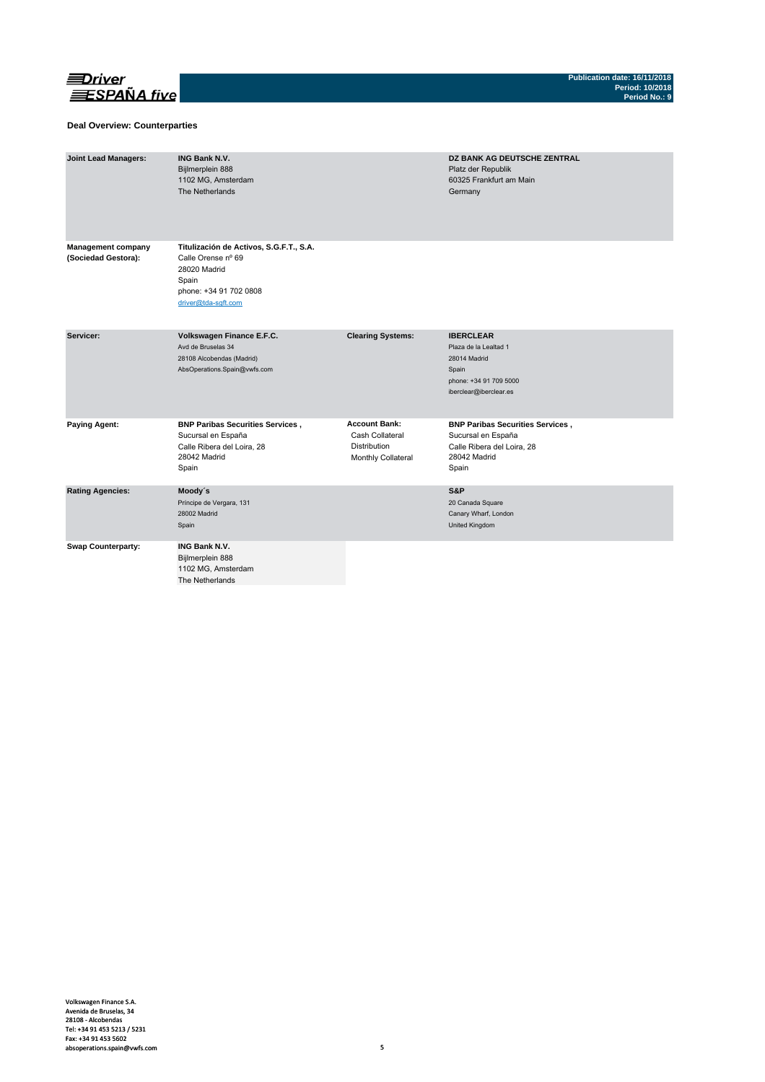

### **Deal Overview: Counterparties**

| <b>Joint Lead Managers:</b>                      | <b>ING Bank N.V.</b><br>Bijlmerplein 888<br>1102 MG, Amsterdam<br>The Netherlands                                                       |                                                                                      | DZ BANK AG DEUTSCHE ZENTRAL<br>Platz der Republik<br>60325 Frankfurt am Main<br>Germany                                |
|--------------------------------------------------|-----------------------------------------------------------------------------------------------------------------------------------------|--------------------------------------------------------------------------------------|------------------------------------------------------------------------------------------------------------------------|
| <b>Management company</b><br>(Sociedad Gestora): | Titulización de Activos, S.G.F.T., S.A.<br>Calle Orense nº 69<br>28020 Madrid<br>Spain<br>phone: +34 91 702 0808<br>driver@tda-sqft.com |                                                                                      |                                                                                                                        |
| Servicer:                                        | Volkswagen Finance E.F.C.<br>Avd de Bruselas 34<br>28108 Alcobendas (Madrid)<br>AbsOperations.Spain@vwfs.com                            | <b>Clearing Systems:</b>                                                             | <b>IBERCLEAR</b><br>Plaza de la Lealtad 1<br>28014 Madrid<br>Spain<br>phone: +34 91 709 5000<br>iberclear@iberclear.es |
| <b>Paying Agent:</b>                             | <b>BNP Paribas Securities Services,</b><br>Sucursal en España<br>Calle Ribera del Loira, 28<br>28042 Madrid<br>Spain                    | <b>Account Bank:</b><br>Cash Collateral<br><b>Distribution</b><br>Monthly Collateral | <b>BNP Paribas Securities Services,</b><br>Sucursal en España<br>Calle Ribera del Loira, 28<br>28042 Madrid<br>Spain   |
| <b>Rating Agencies:</b>                          | Moody's<br>Príncipe de Vergara, 131<br>28002 Madrid<br>Spain                                                                            |                                                                                      | S&P<br>20 Canada Square<br>Canary Wharf, London<br>United Kingdom                                                      |
| <b>Swap Counterparty:</b>                        | <b>ING Bank N.V.</b><br>Bijlmerplein 888<br>1102 MG, Amsterdam<br>The Netherlands                                                       |                                                                                      |                                                                                                                        |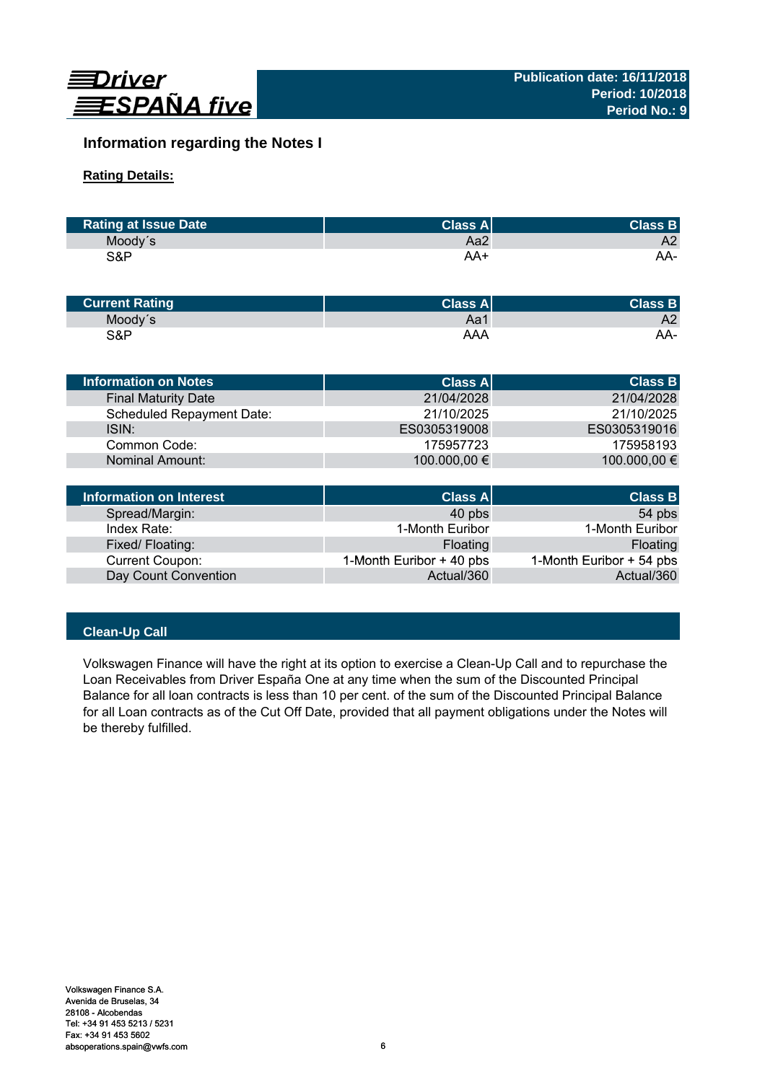

# **Information regarding the Notes I**

# **Rating Details:**

| <b>Rating at Issue Date</b> | <b>Class Al</b> | <b>Class B</b> |
|-----------------------------|-----------------|----------------|
| Moody's                     | Aa2             | A2             |
| S&P                         | AA+             | AA-            |

| <b>Current Rating</b> | Class $A^{\parallel}$ | <b>Class B</b> |
|-----------------------|-----------------------|----------------|
| Moody's               | Aa1                   | A2             |
| S&P                   | AAA                   | AA-            |

| Information on Notes       | <b>Class All</b> | <b>Class B</b> |
|----------------------------|------------------|----------------|
| <b>Final Maturity Date</b> | 21/04/2028       | 21/04/2028     |
| Scheduled Repayment Date:  | 21/10/2025       | 21/10/2025     |
| ISIN:                      | ES0305319008     | ES0305319016   |
| Common Code:               | 175957723        | 175958193      |
| Nominal Amount:            | 100.000,00 €     | 100.000,00 €   |
|                            |                  |                |
|                            |                  |                |

| Information on Interest | <b>Class A</b>           | <b>Class B</b>           |
|-------------------------|--------------------------|--------------------------|
| Spread/Margin:          | 40 pbs                   | 54 pbs                   |
| Index Rate:             | 1-Month Euribor          | 1-Month Euribor          |
| Fixed/Floating:         | Floating                 | Floating                 |
| Current Coupon:         | 1-Month Euribor + 40 pbs | 1-Month Euribor + 54 pbs |
| Day Count Convention    | Actual/360               | Actual/360               |

# **Clean-Up Call**

Volkswagen Finance will have the right at its option to exercise a Clean-Up Call and to repurchase the Loan Receivables from Driver España One at any time when the sum of the Discounted Principal Balance for all loan contracts is less than 10 per cent. of the sum of the Discounted Principal Balance for all Loan contracts as of the Cut Off Date, provided that all payment obligations under the Notes will be thereby fulfilled.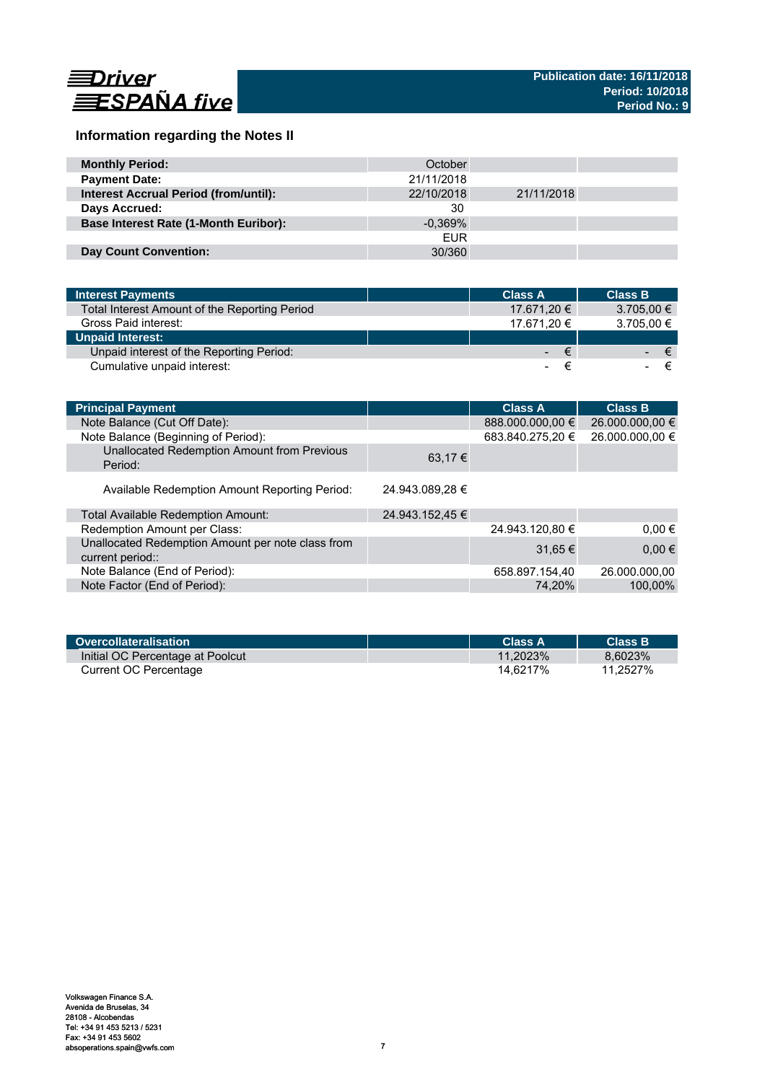

# **Information regarding the Notes II**

| <b>Monthly Period:</b>                       | October    |            |  |
|----------------------------------------------|------------|------------|--|
| <b>Payment Date:</b>                         | 21/11/2018 |            |  |
| <b>Interest Accrual Period (from/until):</b> | 22/10/2018 | 21/11/2018 |  |
| Days Accrued:                                | 30         |            |  |
| <b>Base Interest Rate (1-Month Euribor):</b> | $-0.369\%$ |            |  |
|                                              | <b>EUR</b> |            |  |
| <b>Day Count Convention:</b>                 | 30/360     |            |  |

| <b>Interest Payments</b>                      | <b>Class A</b> |                               | <b>Class B</b> |
|-----------------------------------------------|----------------|-------------------------------|----------------|
| Total Interest Amount of the Reporting Period | 17.671,20 €    |                               | $3.705,00 \in$ |
| Gross Paid interest:                          | 17.671.20 €    |                               | 3.705,00 €     |
| <b>Unpaid Interest:</b>                       |                |                               |                |
| Unpaid interest of the Reporting Period:      |                | $\epsilon$<br>$\sim$ 10 $\pm$ | ∕€7            |
| Cumulative unpaid interest:                   |                | ۰.                            |                |

| <b>Principal Payment</b>                                              |                 | <b>Class A</b>   | <b>Class B</b>  |
|-----------------------------------------------------------------------|-----------------|------------------|-----------------|
| Note Balance (Cut Off Date):                                          |                 | 888.000.000,00 € | 26.000.000,00 € |
| Note Balance (Beginning of Period):                                   |                 | 683.840.275,20 € | 26.000.000,00 € |
| Unallocated Redemption Amount from Previous<br>Period:                | 63,17 €         |                  |                 |
| Available Redemption Amount Reporting Period:                         | 24.943.089,28 € |                  |                 |
| Total Available Redemption Amount:                                    | 24.943.152,45 € |                  |                 |
| Redemption Amount per Class:                                          |                 | 24.943.120,80 €  | $0.00 \in$      |
| Unallocated Redemption Amount per note class from<br>current period:: |                 | 31,65 €          | $0,00 \in$      |
| Note Balance (End of Period):                                         |                 | 658.897.154,40   | 26.000.000.00   |
| Note Factor (End of Period):                                          |                 | 74.20%           | 100.00%         |

| Overcollateralisation            | <b>Class A</b> | <b>Class B</b> |
|----------------------------------|----------------|----------------|
| Initial OC Percentage at Poolcut | 11.2023%       | 8.6023%        |
| Current OC Percentage            | 14.6217%       | 11.2527%       |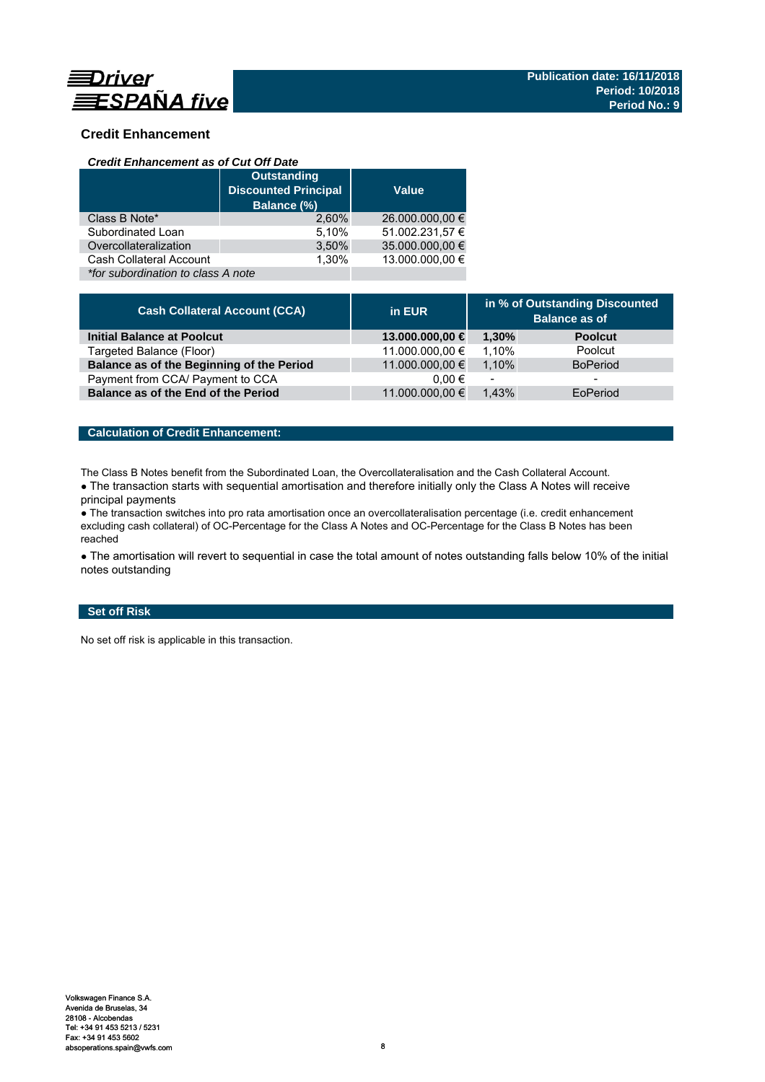

# **Credit Enhancement**

### *Credit Enhancement as of Cut Off Date*

| <b>Outstanding</b><br><b>Discounted Principal</b><br>Balance (%) |       | <b>Value</b>    |
|------------------------------------------------------------------|-------|-----------------|
| Class B Note*                                                    | 2.60% | 26.000.000,00 € |
| Subordinated Loan                                                | 5,10% | 51.002.231,57 € |
| Overcollateralization                                            | 3,50% | 35.000.000,00 € |
| Cash Collateral Account                                          | 1.30% | 13.000.000.00 € |
| *for subordination to class A note                               |       |                 |

| <b>Cash Collateral Account (CCA)</b>      | in EUR          | in % of Outstanding Discounted<br><b>Balance as of</b> |                 |
|-------------------------------------------|-----------------|--------------------------------------------------------|-----------------|
| <b>Initial Balance at Poolcut</b>         | 13.000.000,00 € | 1.30%                                                  | <b>Poolcut</b>  |
| Targeted Balance (Floor)                  | 11.000.000,00 € | 1.10%                                                  | Poolcut         |
| Balance as of the Beginning of the Period | 11.000.000,00 € | 1.10%                                                  | <b>BoPeriod</b> |
| Payment from CCA/ Payment to CCA          | $0.00 \in$      | $\overline{\phantom{a}}$                               | -               |
| Balance as of the End of the Period       | 11.000.000,00 € | 1.43%                                                  | EoPeriod        |

### **Calculation of Credit Enhancement:**

The Class B Notes benefit from the Subordinated Loan, the Overcollateralisation and the Cash Collateral Account.

• The transaction starts with sequential amortisation and therefore initially only the Class A Notes will receive principal payments

● The transaction switches into pro rata amortisation once an overcollateralisation percentage (i.e. credit enhancement excluding cash collateral) of OC-Percentage for the Class A Notes and OC-Percentage for the Class B Notes has been reached

• The amortisation will revert to sequential in case the total amount of notes outstanding falls below 10% of the initial notes outstanding

### **Set off Risk**

No set off risk is applicable in this transaction.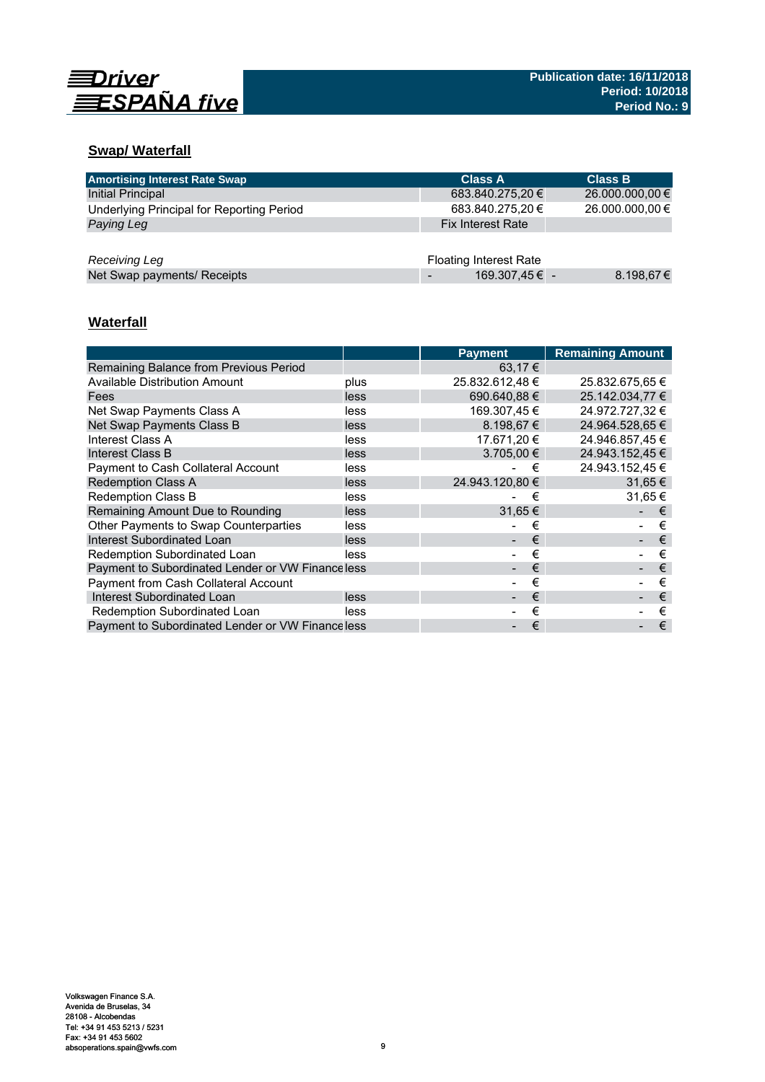

# **Swap/ Waterfall**

| <b>Amortising Interest Rate Swap</b>      | <b>Class A</b>                | <b>Class B</b>  |
|-------------------------------------------|-------------------------------|-----------------|
| Initial Principal                         | 683.840.275,20 €              | 26.000.000,00 € |
| Underlying Principal for Reporting Period | 683.840.275,20 €              | 26.000.000,00 € |
| Paying Leg                                | <b>Fix Interest Rate</b>      |                 |
|                                           |                               |                 |
| Receiving Leg                             | <b>Floating Interest Rate</b> |                 |
| Net Swap payments/ Receipts               | 169.307,45 € -                | 8.198,67€       |

# **Waterfall**

|                                                   |      | <b>Payment</b>  | <b>Remaining Amount</b> |
|---------------------------------------------------|------|-----------------|-------------------------|
| Remaining Balance from Previous Period            |      | 63,17 €         |                         |
| <b>Available Distribution Amount</b>              | plus | 25.832.612,48 € | 25.832.675,65 €         |
| Fees                                              | less | 690.640.88 €    | 25.142.034.77 €         |
| Net Swap Payments Class A                         | less | 169.307.45 €    | 24.972.727.32 €         |
| Net Swap Payments Class B                         | less | $8.198.67 \in$  | 24.964.528.65 €         |
| Interest Class A                                  | less | 17.671.20 €     | 24.946.857.45 €         |
| Interest Class B                                  | less | $3.705.00 \in$  | 24.943.152.45 €         |
| <b>Payment to Cash Collateral Account</b>         | less | €               | 24.943.152,45 €         |
| <b>Redemption Class A</b>                         | less | 24.943.120.80 € | $31.65 \in$             |
| <b>Redemption Class B</b>                         | less | €               | 31.65 €                 |
| Remaining Amount Due to Rounding                  | less | 31,65€          | €                       |
| Other Payments to Swap Counterparties             | less | €               | €                       |
| Interest Subordinated Loan                        | less | €               | €                       |
| Redemption Subordinated Loan                      | less | €               | €                       |
| Payment to Subordinated Lender or VW Finance less |      | €               | €                       |
| <b>Payment from Cash Collateral Account</b>       |      | €               | €                       |
| Interest Subordinated Loan                        | less | €               | €                       |
| Redemption Subordinated Loan                      | less | €               | €                       |
| Payment to Subordinated Lender or VW Financeless  |      | €               | €                       |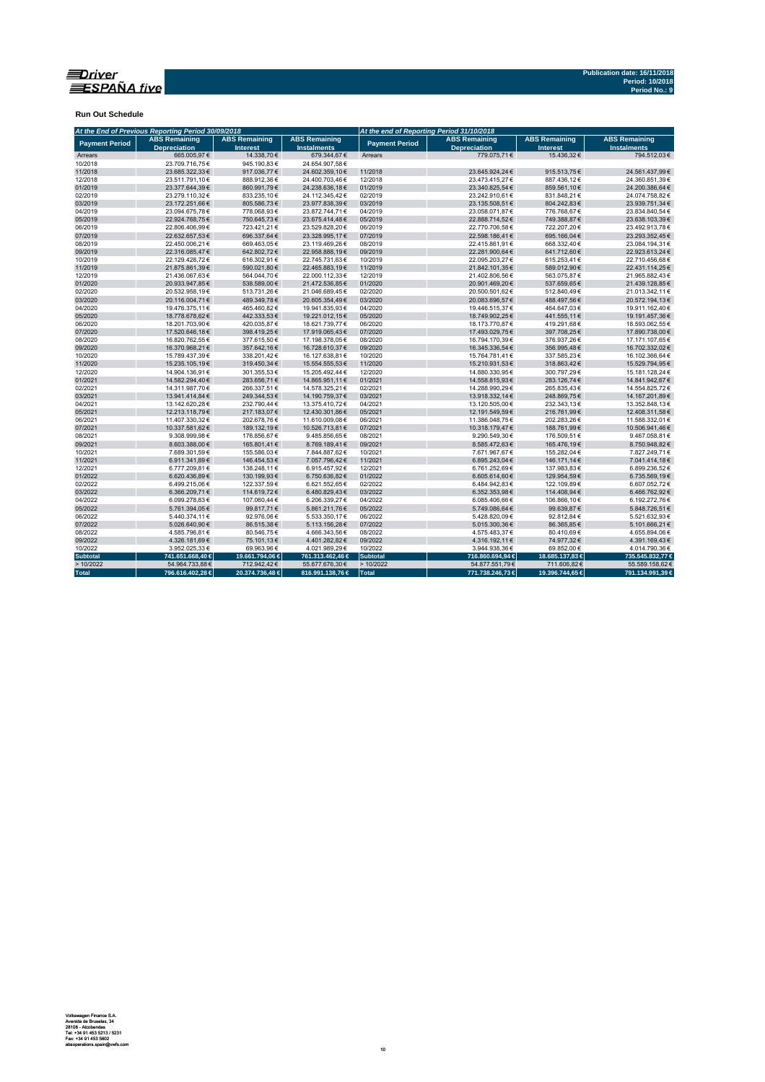

**Run Out Schedule**

|                                                                      | At the End of Previous Reporting Period 30/09/2018 |                                         |                                            | At the end of Reporting Period 31/10/2018 |                                             |                                         |                                            |  |  |
|----------------------------------------------------------------------|----------------------------------------------------|-----------------------------------------|--------------------------------------------|-------------------------------------------|---------------------------------------------|-----------------------------------------|--------------------------------------------|--|--|
| <b>ABS Remaining</b><br><b>Payment Period</b><br><b>Depreciation</b> |                                                    | <b>ABS Remaining</b><br><b>Interest</b> | <b>ABS Remaining</b><br><b>Instalments</b> | <b>Payment Period</b>                     | <b>ABS Remaining</b><br><b>Depreciation</b> | <b>ABS Remaining</b><br><b>Interest</b> | <b>ABS Remaining</b><br><b>Instalments</b> |  |  |
| Arrears                                                              | 665.005.97€                                        | 14,338.70€                              | 679.344,67€                                | Arrears                                   | 779.075.71€                                 | 15.436.32€                              | 794.512.03€                                |  |  |
| 10/2018                                                              | 23.709.716.75€                                     | 945.190.83€                             | 24.654.907.58€                             |                                           |                                             |                                         |                                            |  |  |
| 11/2018                                                              | 23.685.322,33€                                     | 917.036,77€                             | 24.602.359,10€                             | 11/2018                                   | 23.645.924,24€                              | 915.513,75€                             | 24.561.437,99€                             |  |  |
| 12/2018                                                              | 23.511.791,10€                                     | 888.912,36€                             | 24.400.703,46€                             | 12/2018                                   | 23.473.415,27€                              | 887.436,12€                             | 24.360.851,39€                             |  |  |
| 01/2019                                                              | 23.377.644,39€                                     | 860.991,79€                             | 24.238.636,18€                             | 01/2019                                   | 23.340.825,54€                              | 859.561,10€                             | 24.200.386,64€                             |  |  |
| 02/2019                                                              | 23.279.110,32€                                     | 833.235,10€                             | 24.112.345,42€                             | 02/2019                                   | 23.242.910,61€                              | 831.848,21€                             | 24.074.758,82€                             |  |  |
| 03/2019                                                              | 23.172.251.66€                                     | 805.586,73€                             | 23.977.838,39€                             | 03/2019                                   | 23.135.508,51€                              | 804.242,83€                             | 23.939.751,34€                             |  |  |
| 04/2019                                                              | 23.094.675,78€                                     | 778.068,93€                             | 23.872.744,71€                             | 04/2019                                   | 23.058.071,87€                              | 776.768,67€                             | 23.834.840,54€                             |  |  |
| 05/2019                                                              | 22.924.768,75€                                     | 750.645,73€                             | 23.675.414,48€                             | 05/2019                                   | 22.888.714,52€                              | 749.388,87€                             | 23.638.103,39€                             |  |  |
| 06/2019                                                              | 22.806.406,99€                                     | 723.421,21€                             | 23.529.828,20€                             | 06/2019                                   | 22.770.706,58€                              | 722.207,20€                             | 23.492.913,78€                             |  |  |
| 07/2019                                                              | 22.632.657,53€                                     | 696.337,64€                             | 23.328.995,17€                             | 07/2019                                   | 22.598.186,41€                              | 695.166,04€                             | 23.293.352,45€                             |  |  |
| 08/2019                                                              | 22.450.006.21€                                     | 669.463,05€                             | 23.119.469,26€                             | 08/2019                                   | 22.415.861.91€                              | 668.332.40€                             | 23.084.194.31€                             |  |  |
| 09/2019                                                              | 22.316.085,47€                                     | 642.802,72€                             | 22.958.888,19€                             | 09/2019                                   | 22.281.900,64€                              | 641.712,60€                             | 22.923.613,24€                             |  |  |
| 10/2019                                                              | 22.129.428,72€                                     | 616.302,91€                             | 22.745.731,63€                             | 10/2019                                   | 22.095.203,27€                              | 615.253,41€                             | 22.710.456,68€                             |  |  |
| 11/2019                                                              | 21.875.861.39€                                     | 590.021.80 €                            | 22.465.883,19€                             | 11/2019                                   | 21.842.101,35€                              | 589.012.90€                             | 22.431.114,25€                             |  |  |
| 12/2019                                                              | 21.436.067,63€                                     | 564.044,70 €                            | 22.000.112,33€                             | 12/2019                                   | 21.402.806,56€                              | 563.075,87€                             | 21.965.882,43€                             |  |  |
| 01/2020                                                              | 20.933.947,85€                                     | 538.589,00 €                            | 21.472.536,85€                             | 01/2020                                   | 20.901.469,20€                              | 537.659,65€                             | 21.439.128,85€                             |  |  |
| 02/2020                                                              | 20.532.958.19€                                     | 513.731,26€                             | 21.046.689,45€                             | 02/2020                                   | 20.500.501,62€                              | 512.840,49€                             | 21.013.342,11€                             |  |  |
| 03/2020                                                              | 20.116.004,71€                                     | 489.349,78€                             | 20.605.354,49€                             | 03/2020                                   | 20.083.696,57€                              | 488.497,56€                             | 20.572.194,13€                             |  |  |
| 04/2020                                                              | 19.476.375,11€                                     | 465.460,82€                             | 19.941.835,93€                             | 04/2020                                   | 19.446.515,37€                              | 464.647,03€                             | 19.911.162,40€                             |  |  |
| 05/2020                                                              | 18.778.678.62€                                     | 442.333,53€                             | 19.221.012,15€                             | 05/2020                                   | 18.749.902.25€                              | 441.555,11€                             | 19.191.457,36€                             |  |  |
| 06/2020                                                              | 18.201.703,90€                                     | 420.035,87€                             | 18.621.739,77€                             | 06/2020                                   | 18.173.770,87€                              | 419.291,68€                             | 18.593.062,55€                             |  |  |
| 07/2020                                                              | 17.520.646,18€                                     | 398.419,25€                             | 17.919.065,43€                             | 07/2020                                   | 17.493.029,75€                              | 397.708,25€                             | 17.890.738,00€                             |  |  |
| 08/2020                                                              | 16.820.762.55€                                     | 377.615.50€                             | 17.198.378,05€                             | 08/2020                                   | 16.794.170.39€                              | 376.937,26€                             | 17.171.107,65€                             |  |  |
| 09/2020                                                              | 16.370.968,21€                                     | 357.642,16€                             | 16.728.610,37€                             | 09/2020                                   | 16.345.336,54€                              | 356.995,48€                             | 16.702.332,02€                             |  |  |
| 10/2020                                                              | 15.789.437.39€                                     | 338.201.42€                             | 16.127.638,81€                             | 10/2020                                   | 15.764.781.41€                              | 337.585.23€                             | 16.102.366.64€                             |  |  |
| 11/2020                                                              | 15.235.105,19€                                     | 319.450,34€                             | 15.554.555,53€                             | 11/2020                                   | 15.210.931,53€                              | 318.863,42€                             | 15.529.794,95€                             |  |  |
| 12/2020                                                              | 14.904.136,91€                                     | 301.355,53€                             | 15.205.492,44€                             | 12/2020                                   | 14.880.330,95€                              | 300.797,29€                             | 15.181.128,24€                             |  |  |
| 01/2021                                                              | 14.582.294.40€                                     | 283.656,71€                             | 14.865.951,11€                             | 01/2021                                   | 14.558.815,93€                              | 283.126,74€                             | 14.841.942,67€                             |  |  |
| 02/2021                                                              | 14.311.987.70€                                     | 266.337.51€                             | 14.578.325,21€                             | 02/2021                                   | 14.288.990,29€                              | 265.835.43€                             | 14.554.825,72€                             |  |  |
| 03/2021                                                              | 13.941.414,84€                                     | 249.344,53€                             | 14.190.759,37€                             | 03/2021                                   | 13.918.332,14€                              | 248.869,75€                             | 14.167.201,89€                             |  |  |
| 04/2021                                                              | 13.142.620,28€                                     | 232.790,44€                             | 13.375.410,72€                             | 04/2021                                   | 13.120.505,00€                              | 232.343,13€                             | 13.352.848,13€                             |  |  |
| 05/2021                                                              | 12.213.118,79€                                     | 217.183,07€                             | 12.430.301,86€                             | 05/2021                                   | 12.191.549,59€                              | 216.761,99€                             | 12.408.311,58€                             |  |  |
| 06/2021                                                              | 11.407.330,32€                                     | 202.678,76€                             | 11.610.009,08€                             | 06/2021                                   | 11.386.048,75€                              | 202.283,26€                             | 11.588.332,01€                             |  |  |
| 07/2021                                                              | 10.337.581.62€                                     | 189.132,19€                             | 10.526.713,81€                             | 07/2021                                   | 10.318.179,47€                              | 188.761,99€                             | 10.506.941,46€                             |  |  |
| 08/2021                                                              | 9.308.999,98€                                      | 176.856,67€                             | 9.485.856,65€                              | 08/2021                                   | 9.290.549,30€                               | 176.509,51€                             | 9.467.058,81€                              |  |  |
| 09/2021                                                              | 8.603.388,00€                                      | 165.801,41€                             | 8.769.189,41€                              | 09/2021                                   | 8.585.472,63€                               | 165.476,19€                             | 8.750.948,82€                              |  |  |
| 10/2021                                                              | 7.689.301,59€                                      | 155.586,03€                             | 7.844.887,62€                              | 10/2021                                   | 7.671.967,67€                               | 155.282,04 €                            | 7.827.249,71€                              |  |  |
| 11/2021                                                              | 6.911.341,89€                                      | 146.454,53€                             | 7.057.796,42€                              | 11/2021                                   | 6.895.243,04€                               | 146.171,14€                             | 7.041.414,18€                              |  |  |
| 12/2021                                                              | 6.777.209.81€                                      | 138.248.11€                             | 6.915.457,92€                              | 12/2021                                   | 6.761.252.69€                               | 137.983.83€                             | 6.899.236,52€                              |  |  |
| 01/2022                                                              | 6.620.436,89€                                      | 130.199,93€                             | 6.750.636,82€                              | 01/2022                                   | 6.605.614,60€                               | 129.954,59€                             | 6.735.569,19€                              |  |  |
| 02/2022                                                              | 6.499.215,06€                                      | 122.337,59€                             | 6.621.552,65€                              | 02/2022                                   | 6.484.942,83€                               | 122.109,89€                             | 6.607.052,72€                              |  |  |
| 03/2022                                                              | 6.366.209,71€                                      | 114.619,72€                             | 6.480.829,43€                              | 03/2022                                   | 6.352.353,98€                               | 114.408,94€                             | 6.466.762,92€                              |  |  |
| 04/2022                                                              | 6.099.278,83€                                      | 107.060,44 €                            | 6.206.339,27€                              | 04/2022                                   | 6.085.406,66€                               | 106.866,10€                             | 6.192.272,76€                              |  |  |
| 05/2022                                                              | 5.761.394,05€                                      | 99.817,71€                              | 5.861.211,76€                              | 05/2022                                   | 5.749.086,64€                               | 99.639,87€                              | 5.848.726,51€                              |  |  |
| 06/2022                                                              | 5.440.374,11€                                      | 92.976,06€                              | 5.533.350,17€                              | 06/2022                                   | 5.428.820,09€                               | 92.812,84€                              | 5.521.632,93€                              |  |  |
| 07/2022                                                              | 5.026.640,90€                                      | 86.515,38€                              | 5.113.156,28€                              | 07/2022                                   | 5.015.300,36€                               | 86.365,85€                              | 5.101.666,21€                              |  |  |
| 08/2022                                                              | 4.585.796,81€                                      | 80.546,75€                              | 4.666.343,56€                              | 08/2022                                   | 4.575.483,37€                               | 80.410,69€                              | 4.655.894,06€                              |  |  |
| 09/2022                                                              | 4.326.181.69€                                      | 75.101.13€                              | 4.401.282.82€                              | 09/2022                                   | 4.316.192.11€                               | 74.977.32€                              | 4.391.169.43€                              |  |  |
| 10/2022                                                              | 3.952.025,33€                                      | 69.963,96€                              | 4.021.989,29€                              | 10/2022                                   | 3.944.938,36€                               | 69.852,00€                              | 4.014.790,36€                              |  |  |
| <b>Subtotal</b>                                                      | 741.651.668,40 €                                   | 19.661.794,06 €                         | 761.313.462,46 €                           | <b>Subtotal</b>                           | 716.860.694,94 €                            | 18.685.137,83 €                         | 735.545.832,77 €                           |  |  |
|                                                                      |                                                    |                                         |                                            |                                           |                                             |                                         |                                            |  |  |
| >10/2022                                                             | 54.964.733,88€                                     | 712.942,42€                             | 55.677.676,30€                             | >10/2022                                  | 54.877.551,79€                              | 711.606,82€                             | 55.589.158,62€                             |  |  |
| <b>Total</b>                                                         | 796.616.402,28€                                    | 20.374.736,48€                          | 816.991.138,76 €                           | Total                                     | 771.738.246,73 €                            | 19.396.744,65€                          | 791.134.991,39€                            |  |  |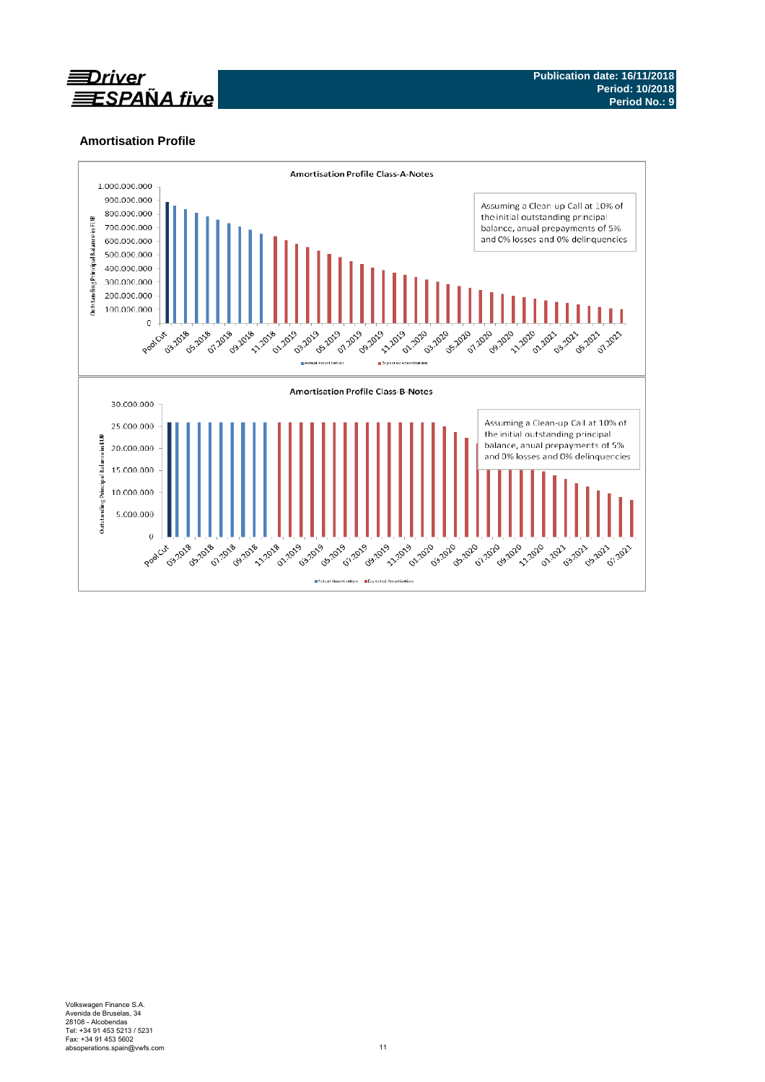

# **Amortisation Profile**

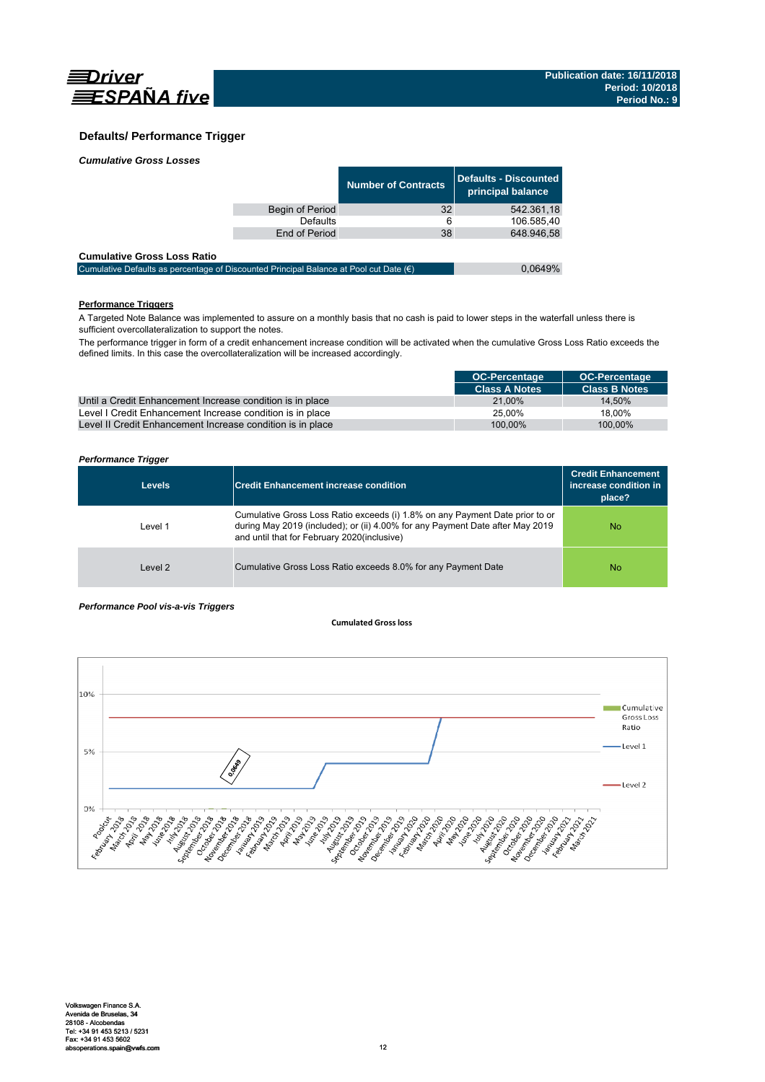

### **Defaults/ Performance Trigger**

| <b>Cumulative Gross Losses</b> |  |
|--------------------------------|--|
|                                |  |

|                 | <b>Number of Contracts</b> | Defaults - Discounted<br>principal balance |
|-----------------|----------------------------|--------------------------------------------|
| Begin of Period | 32                         | 542.361.18                                 |
| Defaults        | 6                          | 106.585.40                                 |
| End of Period   | 38                         | 648.946.58                                 |
|                 |                            |                                            |

#### **Cumulative Gross Loss Ratio**

| Cumulative Defaults as percentage of Discounted Principal Balance at Pool cut Date $(\epsilon)$ | 0.0649% |
|-------------------------------------------------------------------------------------------------|---------|
|                                                                                                 |         |

### **Performance Triggers**

A Targeted Note Balance was implemented to assure on a monthly basis that no cash is paid to lower steps in the waterfall unless there is sufficient overcollateralization to support the notes.

The performance trigger in form of a credit enhancement increase condition will be activated when the cumulative Gross Loss Ratio exceeds the defined limits. In this case the overcollateralization will be increased accordingly.

|                                                            | <b>OC-Percentage</b> | <b>OC-Percentage</b> |
|------------------------------------------------------------|----------------------|----------------------|
|                                                            | <b>Class A Notes</b> | <b>Class B Notes</b> |
| Until a Credit Enhancement Increase condition is in place  | 21.00%               | 14.50%               |
| Level I Credit Enhancement Increase condition is in place  | 25.00%               | 18.00%               |
| Level II Credit Enhancement Increase condition is in place | 100.00%              | 100.00%              |

### *Performance Trigger*

| <b>Levels</b> | <b>Credit Enhancement increase condition</b>                                                                                                                                                                 | <b>Credit Enhancement</b><br>increase condition in<br>place? |
|---------------|--------------------------------------------------------------------------------------------------------------------------------------------------------------------------------------------------------------|--------------------------------------------------------------|
| Level 1       | Cumulative Gross Loss Ratio exceeds (i) 1.8% on any Payment Date prior to or<br>during May 2019 (included); or (ii) 4.00% for any Payment Date after May 2019<br>and until that for February 2020(inclusive) | No.                                                          |
| Level 2       | Cumulative Gross Loss Ratio exceeds 8.0% for any Payment Date                                                                                                                                                | No.                                                          |

#### *Performance Pool vis-a-vis Triggers*

#### **Cumulated Grossloss**

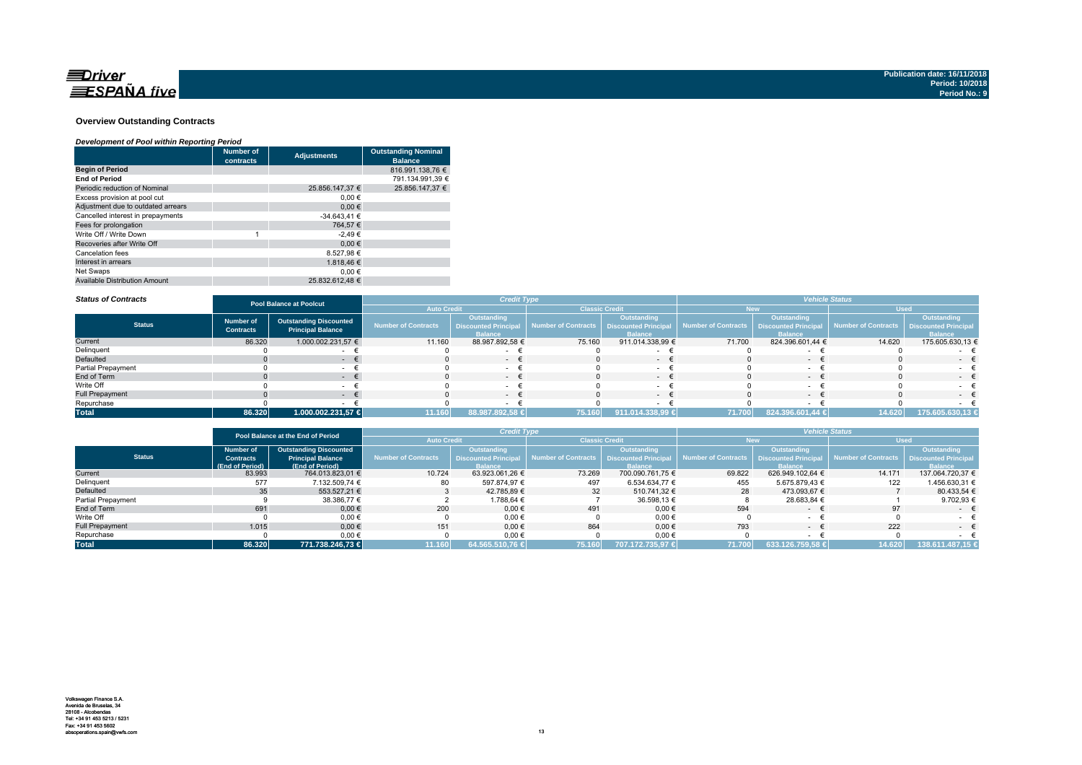

#### **Overview Outstanding Contracts**

#### *Development of Pool within Reporting Period*

|                                      | <b>Number of</b><br>contracts | <b>Adjustments</b> | <b>Outstanding Nominal</b><br><b>Balance</b> |
|--------------------------------------|-------------------------------|--------------------|----------------------------------------------|
| <b>Begin of Period</b>               |                               |                    | 816.991.138.76 €                             |
| <b>End of Period</b>                 |                               |                    | 791.134.991.39 €                             |
| Periodic reduction of Nominal        |                               | 25.856.147.37 €    | 25.856.147.37 €                              |
| Excess provision at pool cut         |                               | $0.00 \in$         |                                              |
| Adjustment due to outdated arrears   |                               | 0.00€              |                                              |
| Cancelled interest in prepayments    |                               | $-34.643.41 \in$   |                                              |
| Fees for prolongation                |                               | 764.57 €           |                                              |
| Write Off / Write Down               | 4                             | $-2.49€$           |                                              |
| Recoveries after Write Off           |                               | 0.00€              |                                              |
| Cancelation fees                     |                               | 8.527.98 €         |                                              |
| Interest in arrears                  |                               | 1.818.46 €         |                                              |
| Net Swaps                            |                               | 0.00€              |                                              |
| <b>Available Distribution Amount</b> |                               | 25.832.612.48 €    |                                              |

#### *Status of Contracts*

| <b>Status of Contracts</b> | <b>Pool Balance at Poolcut</b>       |                                                           |                            | <b>Credit Type</b>                                           |                       |                                                             | <b>Vehicle Status</b> |                                                              |                                          |                               |
|----------------------------|--------------------------------------|-----------------------------------------------------------|----------------------------|--------------------------------------------------------------|-----------------------|-------------------------------------------------------------|-----------------------|--------------------------------------------------------------|------------------------------------------|-------------------------------|
|                            |                                      |                                                           | <b>Auto Credit</b>         |                                                              | <b>Classic Credit</b> |                                                             |                       |                                                              | <b>Used</b>                              |                               |
| <b>Status</b>              | <b>Number of</b><br><b>Contracts</b> | <b>Outstanding Discounted</b><br><b>Principal Balance</b> | <b>Number of Contracts</b> | Outstanding<br><b>Discounted Principal</b><br><b>Balance</b> | Number of Contracts   | Outstanding<br><b>Discounted Principa</b><br><b>Ralance</b> | Number of Contracts   | Outstanding<br><b>Discounted Principal</b><br><b>Balance</b> | Number of Contracts Discounted Principal | Outstanding<br><b>Balance</b> |
| Current                    | 86.320                               | 1.000.002.231,57 €                                        | 11.160                     | 88.987.892,58 €                                              | 75.160                | 911.014.338,99 €                                            | 71.700                | 824.396.601,44 €                                             | 14.620                                   | 175.605.630,13 €              |
| Delinquent                 |                                      |                                                           |                            |                                                              |                       |                                                             |                       |                                                              |                                          |                               |
| Defaulted                  |                                      |                                                           |                            | $-$                                                          |                       | $\sim$                                                      |                       | $-$                                                          |                                          | $ -$                          |
| <b>Partial Prepayment</b>  |                                      |                                                           |                            |                                                              |                       |                                                             |                       |                                                              |                                          |                               |
| End of Term                |                                      | . .                                                       |                            | $-$                                                          |                       | $\sim$                                                      |                       | $-$                                                          |                                          | $-1$                          |
| Write Off                  |                                      |                                                           |                            | $\sim$                                                       |                       |                                                             |                       |                                                              |                                          | $\sim$                        |
| <b>Full Prepayment</b>     |                                      |                                                           |                            | - +                                                          |                       | $\sim$                                                      |                       |                                                              |                                          | $-$                           |
| Repurchase                 |                                      |                                                           |                            |                                                              |                       |                                                             |                       |                                                              |                                          |                               |
| <b>Total</b>               | 86.320                               | 1.000.002.231,57 €                                        | 11.160                     | 88.987.892,58 €                                              | 75.160                | 911.014.338,99 €                                            | 71.700                | 824.396.601,44 €                                             | 14.620                                   | 175.605.630,13 €              |

|                        | Pool Balance at the End of Period |                               | <b>Credit Type</b>  |                             |                                            | <b>Vehicle Status</b> |                     |                            |                     |                             |
|------------------------|-----------------------------------|-------------------------------|---------------------|-----------------------------|--------------------------------------------|-----------------------|---------------------|----------------------------|---------------------|-----------------------------|
|                        |                                   |                               | <b>Auto Credit</b>  |                             | <b>Classic Credit</b>                      |                       | <b>New</b>          |                            | <b>Used</b>         |                             |
|                        | <b>Number of</b>                  | <b>Outstanding Discounted</b> |                     | <b>Outstanding</b>          |                                            | Outstanding           |                     | Outstanding                |                     | <b>Outstanding</b>          |
| <b>Status</b>          | <b>Contracts</b>                  | <b>Principal Balance</b>      | Number of Contracts | <b>Discounted Principal</b> | Number of Contracts   Discounted Principal |                       | Number of Contracts | <b>Discounted Principa</b> | Number of Contracts | <b>Discounted Principal</b> |
|                        | (End of Period)                   | (End of Period)               |                     | <b>Balance</b>              |                                            | <b>Balance</b>        |                     | <b>Ralance</b>             |                     | <b>Balance</b>              |
| Current                | 83.993                            | 764.013.823.01 €              | 10.724              | 63.923.061.26 €             | 73.269                                     | 700.090.761.75 €      | 69.822              | 626.949.102.64 €           | 14.171              | 137.064.720.37 €            |
| Delinquent             | 577                               | 7.132.509.74 €                | 80                  | 597.874.97 €                | 497                                        | 6.534.634.77 €        | 455                 | 5.675.879.43 €             | 122                 | 1.456.630.31 €              |
| Defaulted              | 35 <sup>5</sup>                   | 553.527.21 €                  |                     | 42.785.89 €                 | 32                                         | 510.741.32 €          | 28                  | 473.093.67 €               |                     | 80.433.54 €                 |
| Partial Prepayment     |                                   | 38.386,77 €                   |                     | 1.788.64 €                  |                                            | 36.598,13 €           |                     | 28.683,84 €                |                     | 9.702,93 €                  |
| End of Term            | 691                               | $0,00 \in$                    | 200                 | $0,00 \in$                  | 491                                        | 0,00€                 | 594                 | $\sim$                     | 97                  | $ \pm$                      |
| Write Off              |                                   | 0.00€                         |                     | 0,00€                       |                                            | $0,00$ €              |                     |                            |                     |                             |
| <b>Full Prepayment</b> | 1.015                             | $0.00 \in$                    | 151                 | $0.00 \in$                  | 864                                        | $0.00 \in$            | 793                 | $\sim$                     | 222                 | $ \in$                      |
| Repurchase             |                                   | 0,00€                         |                     | 0,00€                       |                                            | $0,00 \in$            |                     |                            |                     |                             |
| <b>Total</b>           | 86.320                            | 771.738.246.73 €              | 11.160              | 64.565.510,76 €             | 75.160                                     | 1707.172.735.97 €     | 71.700              | 633.126.759.58 €           | 14.620              | 138.611.487.15 €            |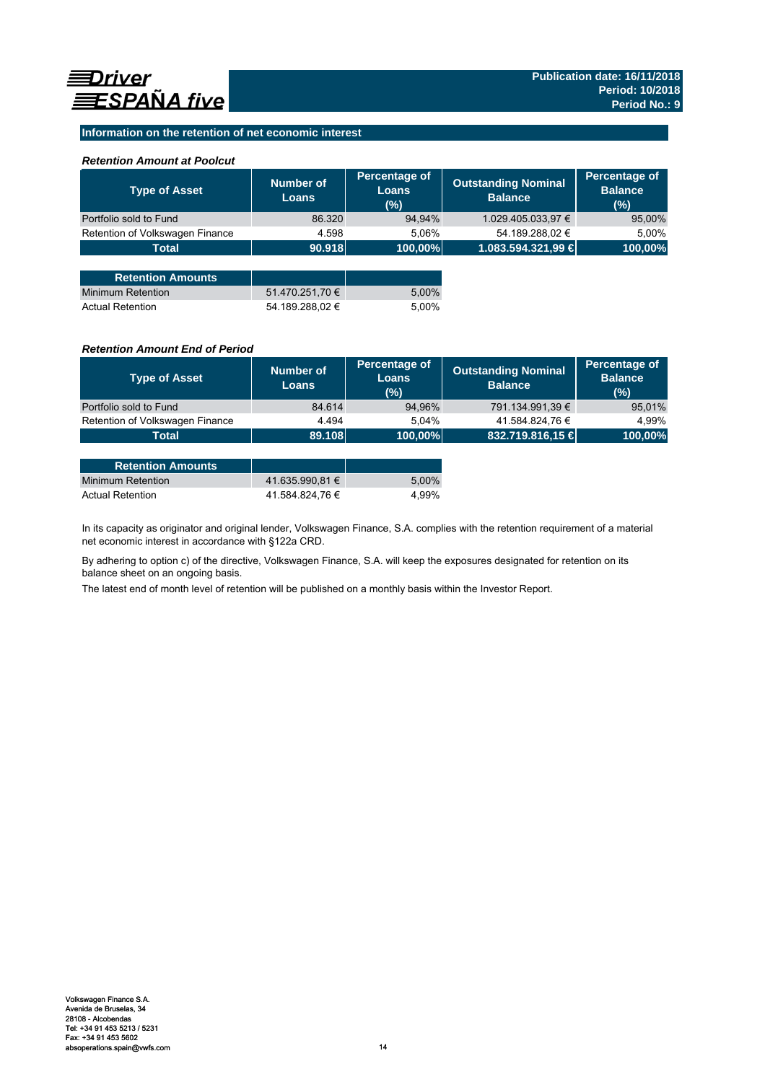### **Information on the retention of net economic interest**

### *Retention Amount at Poolcut*

| <b>Type of Asset</b>            | <b>Number of</b><br><b>Loans</b> | Percentage of<br><b>Loans</b><br>(%) | <b>Outstanding Nominal</b><br><b>Balance</b> | Percentage of<br><b>Balance</b><br>(% ) |
|---------------------------------|----------------------------------|--------------------------------------|----------------------------------------------|-----------------------------------------|
| Portfolio sold to Fund          | 86.320                           | 94,94%                               | 1.029.405.033,97 €                           | 95,00%                                  |
| Retention of Volkswagen Finance | 4.598                            | 5.06%                                | 54.189.288,02 €                              | 5.00%                                   |
| <b>Total</b>                    | 90.918                           | 100,00%                              | 1.083.594.321,99 €                           | 100,00%                                 |
|                                 |                                  |                                      |                                              |                                         |
| <b>Retention Amounts</b>        |                                  |                                      |                                              |                                         |
| Minimum Retention               | 51.470.251,70 €                  | 5,00%                                |                                              |                                         |
| <b>Actual Retention</b>         | 54.189.288.02 €                  | 5.00%                                |                                              |                                         |

### *Retention Amount End of Period*

| <b>Type of Asset</b>            | <b>Number of</b><br><b>Loans</b> | Percentage of<br>Loans<br>$(\%)$ | <b>Outstanding Nominal</b><br><b>Balance</b> | Percentage of<br><b>Balance</b><br>(%) |
|---------------------------------|----------------------------------|----------------------------------|----------------------------------------------|----------------------------------------|
| Portfolio sold to Fund          | 84.614                           | 94,96%                           | 791.134.991,39 €                             | 95,01%                                 |
| Retention of Volkswagen Finance | 4.494                            | 5.04%                            | 41.584.824,76 €                              | 4.99%                                  |
| <b>Total</b>                    | 89.108                           | 100,00%                          | 832.719.816,15 €                             | 100,00%                                |

| <b>Retention Amounts</b> |                 |       |
|--------------------------|-----------------|-------|
| Minimum Retention        | 41.635.990.81 € | 5.00% |
| <b>Actual Retention</b>  | 41.584.824.76 € | 4.99% |

In its capacity as originator and original lender, Volkswagen Finance, S.A. complies with the retention requirement of a material net economic interest in accordance with §122a CRD.

By adhering to option c) of the directive, Volkswagen Finance, S.A. will keep the exposures designated for retention on its balance sheet on an ongoing basis.

The latest end of month level of retention will be published on a monthly basis within the Investor Report.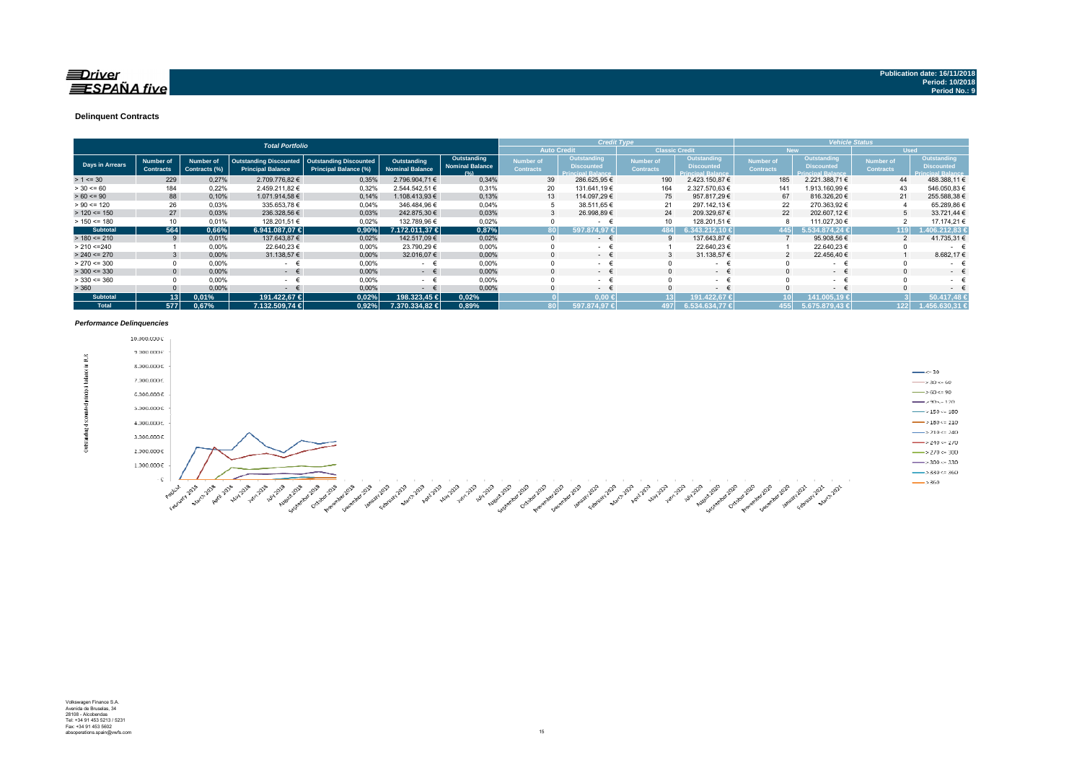### $\equiv$ Driver **ESPAÑA** five

#### **Delinquent Contracts**

|                 | <b>Total Portfolio</b>               |                                   |                                                           |                                                        |                                       |                                               |                               | <b>Credit Type</b>                                            |                                      |                                                              |                               | <b>Vehicle Status</b>                                               |                                      |                                                                     |  |
|-----------------|--------------------------------------|-----------------------------------|-----------------------------------------------------------|--------------------------------------------------------|---------------------------------------|-----------------------------------------------|-------------------------------|---------------------------------------------------------------|--------------------------------------|--------------------------------------------------------------|-------------------------------|---------------------------------------------------------------------|--------------------------------------|---------------------------------------------------------------------|--|
|                 |                                      |                                   |                                                           |                                                        |                                       |                                               |                               | <b>Auto Credit</b>                                            | <b>Classic Credit</b>                |                                                              |                               | <b>New</b>                                                          | <b>Used</b>                          |                                                                     |  |
| Days in Arrears | <b>Number of</b><br><b>Contracts</b> | <b>Number of</b><br>Contracts (%) | <b>Outstanding Discounted</b><br><b>Principal Balance</b> | <b>Outstanding Discounted</b><br>Principal Balance (%) | Outstanding<br><b>Nominal Balance</b> | Outstanding<br><b>Nominal Balance</b><br>10/1 | Number of<br><b>Contracts</b> | Outstanding,<br><b>Discounted</b><br><b>Principal Balance</b> | <b>Number of</b><br><b>Contracts</b> | Outstanding<br><b>Discounted</b><br><b>Principal Balance</b> | Number of<br><b>Contracts</b> | <b>Outstanding</b><br><b>Discounted</b><br><b>Principal Balance</b> | <b>Number of</b><br><b>Contracts</b> | <b>Outstanding</b><br><b>Discounted</b><br><b>Principal Balance</b> |  |
| $> 1 \le 30$    | 229                                  | 0,27%                             | 2.709.776,82 €                                            | 0,35%                                                  | 2.796.904.71 €                        | 0,34%                                         | 39                            | 286.625,95€                                                   | 190                                  | 2.423.150,87 €                                               | 185                           | 2.221.388,71 €                                                      | 44                                   | 488.388,11 €                                                        |  |
| $> 30 \le 60$   | 184                                  | 0.22%                             | 2.459.211.82 €                                            | 0,32%                                                  | 2.544.542,51 €                        | 0,31%                                         | 20                            | 131.641,19 €                                                  | 164                                  | 2.327.570.63 €                                               | 141                           | 1.913.160,99 €                                                      | 43                                   | 546.050,83 €                                                        |  |
| $> 60 \le 90$   | 88                                   | 0,10%                             | 1.071.914,58 €                                            | 0,14%                                                  | 1.108.413.93 €                        | 0,13%                                         | 13                            | 114.097.29 €                                                  | 75                                   | 957.817.29 €                                                 | 67                            | 816.326,20 €                                                        | 21                                   | 255.588,38 €                                                        |  |
| $> 90 \le 120$  | 26                                   | 0.03%                             | 335.653,78 €                                              | 0,04%                                                  | 346.484.96 €                          | 0,04%                                         |                               | 38.511,65 €                                                   | 21                                   | 297.142.13 €                                                 | 22                            | 270.363,92 €                                                        |                                      | 65.289,86 €                                                         |  |
| $> 120 \le 150$ | 27                                   | 0,03%                             | 236.328,56 €                                              | 0,03%                                                  | 242.875,30 €                          | 0,03%                                         |                               | 26.998,89 €                                                   | 24                                   | 209.329,67 €                                                 | 22                            | 202.607,12 €                                                        |                                      | 33.721,44 €                                                         |  |
| $> 150 \le 180$ | 10                                   | 0.01%                             | 128.201,51 €                                              | 0,02%                                                  | 132.789,96 €                          | 0,02%                                         |                               |                                                               |                                      | 128.201,51 €                                                 |                               | 111.027,30 €                                                        |                                      | 17.174,21 €                                                         |  |
| <b>Subtotal</b> | 564                                  | 0,66%                             | $6.941.087.07 \in$                                        | 0,90%                                                  | 7.172.011.37 €                        | 0,87%                                         |                               | 597.874.97 €                                                  | 484                                  | $343.212.10 \in$                                             | 445                           | 5.534.874.24 €                                                      | 119                                  | 6.212.83 €                                                          |  |
| $> 180 \le 210$ |                                      | 0.01%                             | 137.643,87 €                                              | 0,02%                                                  | 142.517.09 €                          | 0,02%                                         |                               | $\sim$                                                        |                                      | 137.643,87 €                                                 |                               | 95.908,56 €                                                         |                                      | 41.735,31 €                                                         |  |
| > 210 < 240     |                                      | 0.00%                             | 22.640.23 €                                               | 0,00%                                                  | 23.790.29 €                           | 0.00%                                         |                               | $\sim$                                                        |                                      | 22.640.23 €                                                  |                               | 22.640,23 €                                                         |                                      | $\sim$                                                              |  |
| $> 240 \le 270$ |                                      | 0.00%                             | 31.138,57 €                                               | 0,00%                                                  | 32.016,07 €                           | 0,00%                                         |                               | $\sim$ 100 $\mu$                                              |                                      | 31.138,57 €                                                  |                               | 22.456,40 €                                                         |                                      | 8.682,176                                                           |  |
| $> 270 \le 300$ |                                      | 0,00%                             | $\sim$                                                    | 0,00%                                                  | $\epsilon$<br>$\sim$                  | 0,00%                                         |                               | $\sim$ 10 $\pm$                                               |                                      | $\sim$                                                       |                               | $\sim$                                                              | $\Omega$                             | $\sim$                                                              |  |
| $>$ 300 <= 330  | $\Omega$                             | 0.00%                             | $ \epsilon$                                               | 0,00%                                                  | $ \epsilon$                           | 0.00%                                         |                               | $\sim$ 100 $\mu$                                              |                                      | $ \epsilon$                                                  |                               | $ \epsilon$                                                         | $\Omega$                             | $\sim$                                                              |  |
| $>$ 330 <= 360  |                                      | 0,00%                             | $\sim$                                                    | 0,00%                                                  | $ -$                                  | 0,00%                                         |                               | $\sim$ 10 $\pm$                                               |                                      | $\sim 100$                                                   |                               | $ \epsilon$                                                         |                                      | ۰                                                                   |  |
| > 360           |                                      | 0,00%                             | $\sim$                                                    | 0,00%                                                  | $\sim$                                | 0,00%                                         |                               | $\sim$                                                        |                                      | $ -$                                                         |                               | $ \epsilon$                                                         |                                      | $\sim$                                                              |  |
| <b>Subtotal</b> | 13 <sup>1</sup>                      | 0.01%                             | 191.422.67 €                                              | 0,02%                                                  | 198.323.45 €                          | 0,02%                                         |                               | $0.00 \leftarrow$                                             |                                      | 191.422,67 €                                                 |                               | 41.005.19 €                                                         |                                      | 50.417.48                                                           |  |
| <b>Total</b>    | 577                                  | 0.67%                             | 7.132.509.74 €                                            | 0.92%                                                  | 7.370.334.82 €                        | 0,89%                                         |                               | 597.874.97 €                                                  | 1971                                 | 6.534.634.77 €                                               | 4551                          | $5.675.879,43 \in$                                                  | 122                                  | 1.456.630.31 €                                                      |  |

#### *Performance Delinquencies*

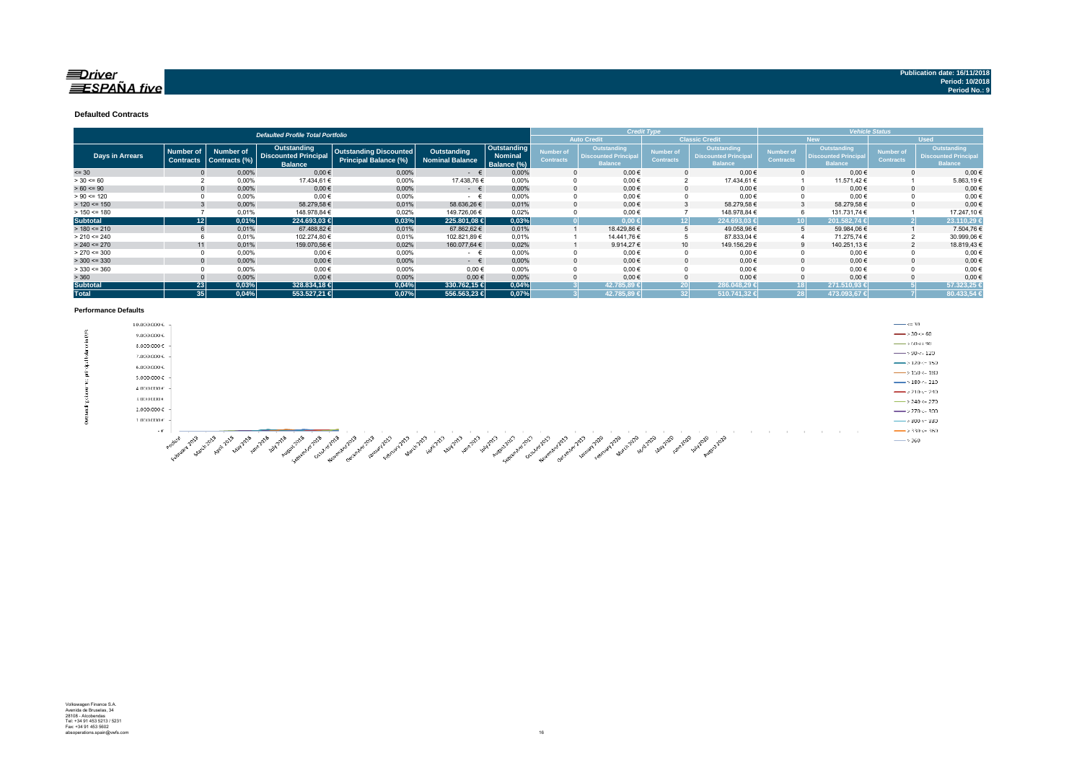### $\equiv$ Driver  $\equiv$ SPAÑA five

#### **Defaulted Contracts**

|                 |                                      | <b>Defaulted Profile Total Portfolio</b> |                                                                     |                                                        |                                       | <b>Credit Type</b>                    |                               | <b>Vehicle Status</b>                                              |                               |                                                              |                                      |                                                                    |                                      |                                                                     |
|-----------------|--------------------------------------|------------------------------------------|---------------------------------------------------------------------|--------------------------------------------------------|---------------------------------------|---------------------------------------|-------------------------------|--------------------------------------------------------------------|-------------------------------|--------------------------------------------------------------|--------------------------------------|--------------------------------------------------------------------|--------------------------------------|---------------------------------------------------------------------|
|                 |                                      |                                          |                                                                     |                                                        |                                       |                                       |                               | <b>Auto Credit</b>                                                 |                               | <b>Classic Credit</b>                                        | <b>New</b>                           |                                                                    | <b>Used</b>                          |                                                                     |
| Days in Arrears | <b>Number of</b><br><b>Contracts</b> | <b>Number of</b><br>Contracts (%)        | <b>Outstanding</b><br><b>Discounted Principal</b><br><b>Balance</b> | <b>Outstanding Discounted</b><br>Principal Balance (%) | Outstanding<br><b>Nominal Balance</b> | Outstanding<br>Nominal<br>Balance (%) | Number of<br><b>Contracts</b> | <b>Outstanding</b><br><b>Discounted Principa</b><br><b>Balance</b> | Number of<br><b>Contracts</b> | Outstanding<br><b>Discounted Principal</b><br><b>Balance</b> | <b>Number of</b><br><b>Contracts</b> | <b>Outstanding</b><br><b>Discounted Principa</b><br><b>Balance</b> | <b>Number of</b><br><b>Contracts</b> | <b>Outstanding</b><br><b>Discounted Principal</b><br><b>Balance</b> |
| $= 30$          |                                      | 0,00%                                    | $0,00$ €                                                            | 0.00%                                                  | $ \epsilon$                           | 0,00%                                 |                               | $0.00 \in$                                                         | 0                             | $0,00 \in$                                                   |                                      | $0,00 \in$                                                         |                                      | $0.00 \in$                                                          |
| $> 30 \le 60$   |                                      | 0,00%                                    | 17.434,61 €                                                         | 0,00%                                                  | 17.438,76€                            | 0.00%                                 |                               | $0,00 \in$                                                         |                               | 17.434,61 €                                                  |                                      | 11.571,42 €                                                        |                                      | 5.863,19€                                                           |
| $> 60 \le 90$   |                                      | 0,00%                                    | $0,00$ €                                                            | 0.00%                                                  | $ \epsilon$                           | 0.00%                                 |                               | $0.00 \in$                                                         | $\mathbf 0$                   | $0.00 \in$                                                   |                                      | $0.00 \in$                                                         |                                      | $0.00 \in$                                                          |
| $> 90 \le 120$  |                                      | 0,00%                                    | $0,00$ €                                                            | 0,00%                                                  | $ \epsilon$                           | 0.00%                                 |                               | $0,00 \in$                                                         |                               | $0,00 \in$                                                   |                                      | $0,00 \in$                                                         |                                      | $0,00 \in$                                                          |
| $> 120 \le 150$ |                                      | 0,00%                                    | 58.279,58€                                                          | 0,01%                                                  | 58.636,26€                            | 0.01%                                 |                               | $0.00 \in$                                                         |                               | 58.279,58 €                                                  |                                      | 58.279,58€                                                         |                                      | $0,00$ €                                                            |
| $> 150 \le 180$ |                                      | 0,01%                                    | 148.978,84 €                                                        | 0,02%                                                  | 149.726,06 €                          | 0,02%                                 |                               | $0,00 \in$                                                         |                               | 148.978,84 €                                                 |                                      | 131.731,74 €                                                       |                                      | 17.247,10 €                                                         |
| <b>Subtotal</b> | 121                                  | 0,01%                                    | 224.693,03 €                                                        | 0,03%                                                  | 225.801.08 €                          | 0,03%                                 |                               | $0.00 \in$                                                         | 121                           | 224.693.03 €                                                 |                                      | 201.582.74 €                                                       |                                      | 23.110,29                                                           |
| $> 180 \le 210$ |                                      | 0.01%                                    | 67.488,82 €                                                         | 0.01%                                                  | 67.862,62 €                           | 0.01%                                 |                               | 18.429,86 €                                                        |                               | 49.058,96 €                                                  |                                      | 59.984,06€                                                         |                                      | 7.504,76€                                                           |
| $> 210 \le 240$ |                                      | 0,01%                                    | 102.274,80 €                                                        | 0,01%                                                  | 102.821,89 €                          | 0,01%                                 |                               | 14.441.76 €                                                        | 5                             | 87.833,04 €                                                  |                                      | 71.275,74 €                                                        |                                      | 30.999,06€                                                          |
| $> 240 \le 270$ | 11                                   | 0,01%                                    | 159.070,56 €                                                        | 0,02%                                                  | 160.077,64 €                          | 0.02%                                 |                               | 9.914.27 $\in$                                                     | 10 <sup>1</sup>               | 149.156,29 €                                                 |                                      | 140.251,13 €                                                       |                                      | 18.819,43€                                                          |
| $> 270 \le 300$ |                                      | 0,00%                                    | $0,00$ €                                                            | 0,00%                                                  | - <del>+</del>                        | 0.00%                                 |                               | $0,00 \in$                                                         |                               | $0,00 \in$                                                   |                                      | $0,00 \in$                                                         |                                      | $0,00 \in$                                                          |
| $>$ 300 <= 330  |                                      | 0,00%                                    | $0,00 \in$                                                          | 0,00%                                                  | $ \epsilon$                           | 0,00%                                 |                               | $0.00 \in$                                                         | $\Omega$                      | $0,00 \in$                                                   |                                      | $0,00 \in$                                                         |                                      | $0,00 \in$                                                          |
| $>$ 330 <= 360  |                                      | 0,00%                                    | $0,00$ €                                                            | 0,00%                                                  | 0,00€                                 | 0.00%                                 |                               | $0,00 \in$                                                         |                               | $0.00 \in$                                                   |                                      | $0.00 \in$                                                         |                                      | $0,00 \in$                                                          |
| > 360           |                                      | 0,00%                                    | $0,00 \in$                                                          | 0,00%                                                  | 0,00€                                 | 0,00%                                 |                               | $0.00 \in$                                                         |                               | $0,00 \in$                                                   |                                      | $0,00 \in$                                                         |                                      | $0,00$ €                                                            |
| <b>Subtotal</b> | 23                                   | 0,03%                                    | 328,834.18 €                                                        | 0,04%                                                  | 330.762.15 €                          | 0,04%                                 |                               | 42.785.89 €                                                        | ا20                           | 286.048.29 €                                                 |                                      | 271.510.93 €                                                       |                                      | 57.323.25                                                           |
| <b>Total</b>    | 35                                   | 0,04%                                    | 553.527.21 €                                                        | 0,07%                                                  | 556.563,23 €                          | 0,07%                                 |                               | 42.785.89 €                                                        |                               | 510.741,32 €                                                 |                                      | 473.093,67 €                                                       |                                      | 80.433,54                                                           |

#### **Performance Defaults**

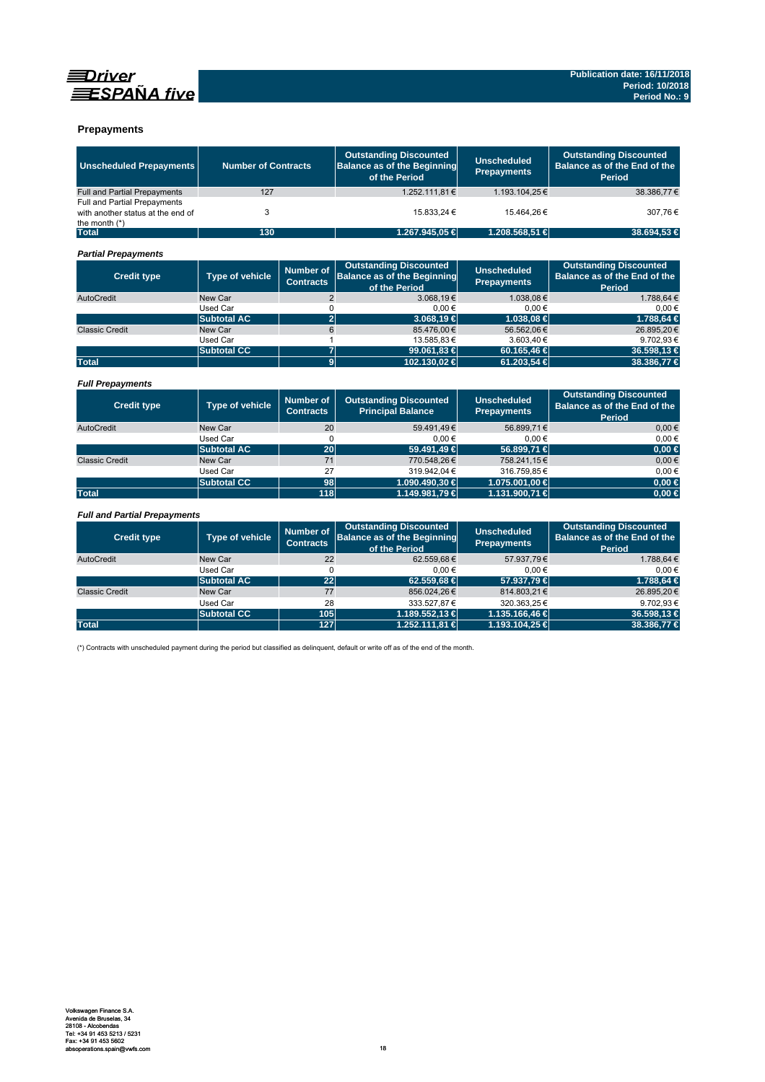



### **Prepayments**

| <b>Unscheduled Prepayments</b>                                                       | <b>Number of Contracts</b> |                                      | <b>Outstanding Discounted</b><br><b>Balance as of the Beginning</b><br>of the Period | <b>Unscheduled</b><br><b>Prepayments</b> | <b>Outstanding Discounted</b><br>Balance as of the End of the<br>Period |
|--------------------------------------------------------------------------------------|----------------------------|--------------------------------------|--------------------------------------------------------------------------------------|------------------------------------------|-------------------------------------------------------------------------|
| <b>Full and Partial Prepayments</b>                                                  | 127                        |                                      | 1.252.111.81€                                                                        | 1.193.104.25€                            | 38.386.77€                                                              |
| Full and Partial Prepayments<br>with another status at the end of<br>the month $(*)$ | 3                          |                                      | 15.833.24 €                                                                          | 15.464.26€                               | 307.76€                                                                 |
| <b>Total</b>                                                                         | 130                        |                                      | 1.267.945,05 €                                                                       | 1.208.568,51 €                           | 38.694.53 €                                                             |
| <b>Partial Prepayments</b>                                                           |                            |                                      |                                                                                      |                                          |                                                                         |
| <b>Credit type</b>                                                                   | Type of vehicle            | <b>Number of</b><br><b>Contracts</b> | <b>Outstanding Discounted</b><br><b>Balance as of the Beginning</b><br>of the Period | <b>Unscheduled</b><br><b>Prepayments</b> | <b>Outstanding Discounted</b><br>Balance as of the End of the<br>Period |
| AutoCredit                                                                           | New Car                    | $\overline{2}$                       | 3.068.19€                                                                            | 1.038.08€                                | 1.788.64 €                                                              |
|                                                                                      | Used Car                   | 0                                    | 0.00€                                                                                | $0.00 \in$                               | $0.00 \in$                                                              |
|                                                                                      | <b>Subtotal AC</b>         | $\overline{2}$                       | $3.068.19 \in$                                                                       | 1.038.08 €                               | 1.788.64 €                                                              |
| <b>Classic Credit</b>                                                                | New Car                    | 6                                    | 85.476,00€                                                                           | 56.562.06€                               | 26.895,20€                                                              |
|                                                                                      | Used Car                   | 1                                    | 13.585.83€                                                                           | 3.603.40€                                | 9.702,93€                                                               |
|                                                                                      | <b>Subtotal CC</b>         | $\overline{7}$                       | 99.061,83 €                                                                          | 60.165,46 €                              | 36.598,13 €                                                             |
| <b>Total</b>                                                                         |                            | $\overline{9}$                       | 102.130.02 €                                                                         | 61.203.54 €                              | 38,386,77 €                                                             |
| <b>Full Prepayments</b>                                                              |                            | <b>Number of</b>                     | <b>Outstanding Discounted</b>                                                        | <b>Unscheduled</b>                       | <b>Outstanding Discounted</b>                                           |
| <b>Credit type</b>                                                                   | <b>Type of vehicle</b>     | <b>Contracts</b>                     | <b>Principal Balance</b>                                                             | <b>Prepayments</b>                       | Balance as of the End of the<br>Period                                  |
| AutoCredit                                                                           | New Car                    | 20                                   | 59.491.49€                                                                           | 56.899.71€                               | $0.00 \in$                                                              |
|                                                                                      | Used Car                   | $\Omega$                             | 0.00€                                                                                | $0.00 \in$                               | $0.00 \in$                                                              |
|                                                                                      | <b>Subtotal AC</b>         | 20                                   | 59.491,49 €                                                                          | 56.899,71 €                              | $0,00 \in$                                                              |
| <b>Classic Credit</b>                                                                | New Car                    | 71                                   | 770.548,26€                                                                          | 758.241,15€                              | $0.00 \in$                                                              |
|                                                                                      | Used Car                   | 27                                   | 319.942.04€                                                                          | 316.759.85€                              | $0.00 \in$                                                              |
|                                                                                      | <b>Subtotal CC</b>         | 98                                   | 1.090.490,30 €                                                                       | 1.075.001,00 €                           | $0.00 \in$                                                              |
| <b>Total</b>                                                                         |                            | 118                                  | 1.149.981,79 €                                                                       | 1.131.900,71 €                           | $0,00$ €                                                                |
| <b>Full and Partial Prepayments</b>                                                  |                            |                                      |                                                                                      |                                          |                                                                         |
| <b>Credit type</b>                                                                   | <b>Type of vehicle</b>     |                                      | <b>Outstanding Discounted</b><br><b>Balance as of the Beginning</b><br>of the Period | <b>Unscheduled</b><br><b>Prepayments</b> | <b>Outstanding Discounted</b><br>Balance as of the End of the<br>Period |
| AutoCredit                                                                           | New Car                    | 22                                   | 62.559.68€                                                                           | 57.937.79€                               | 1.788.64 €                                                              |
|                                                                                      | Used Car                   | 0                                    | $0.00 \in$                                                                           | $0.00 \in$                               | $0.00 \in$                                                              |

|                       |                    |     | of the Period   |                    | Period      |
|-----------------------|--------------------|-----|-----------------|--------------------|-------------|
| AutoCredit            | New Car            | 22  | 62.559,68€      | 57.937,79€         | 1.788,64€   |
|                       | Used Car           |     | $0.00 \in$      | $0.00 \in$         | $0.00 \in$  |
|                       | <b>Subtotal AC</b> | 22  | $62.559.68 \in$ | 57,937,79 €        | 1.788.64 €  |
| <b>Classic Credit</b> | New Car            | 77  | 856.024,26€     | 814.803,21€        | 26.895,20€  |
|                       | Used Car           | 28  | 333.527.87 €    | 320.363.25€        | 9.702.93€   |
|                       | <b>Subtotal CC</b> | 105 | 1.189.552.13 €  | $1.135.166.46 \in$ | 36.598.13 € |
| <b>Total</b>          |                    | 127 | 1.252.111.81 €  | 1.193.104.25 €     | 38,386,77 € |
|                       |                    |     |                 |                    |             |

(\*) Contracts with unscheduled payment during the period but classified as delinquent, default or write off as of the end of the month.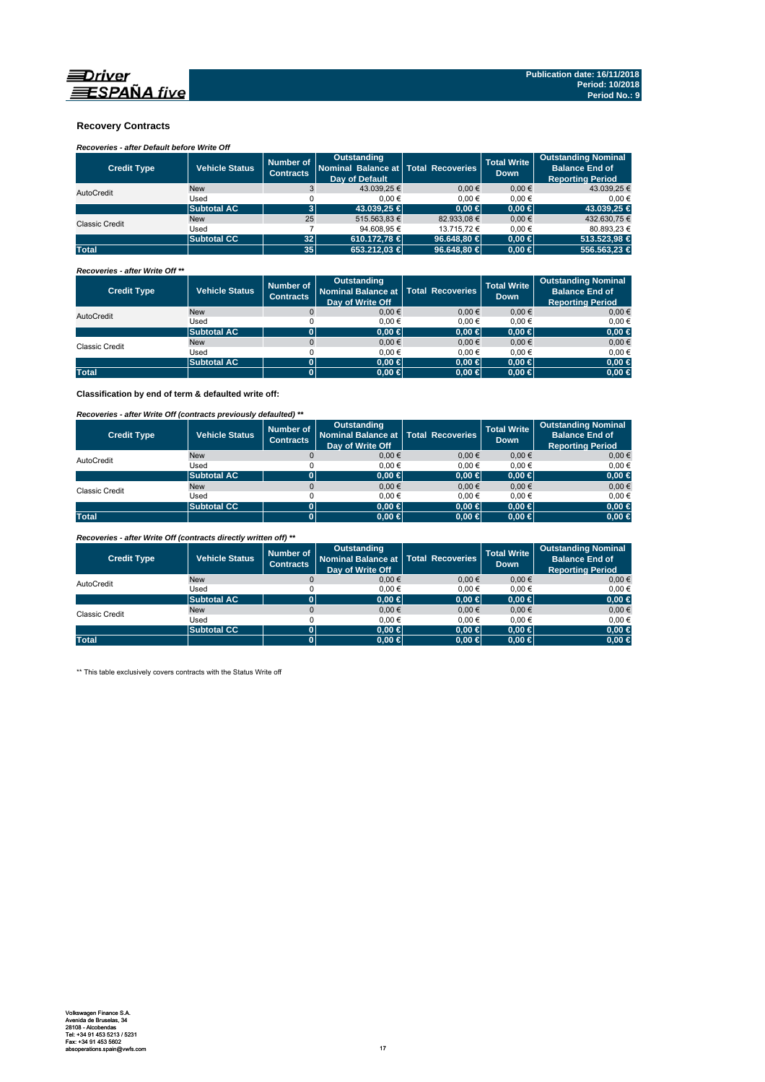

### **Recovery Contracts**

### *Recoveries - after Default before Write Off*

| <b>Credit Type</b>    | <b>Vehicle Status</b> | Number of<br><b>Contracts</b> | Outstanding<br>Nominal Balance at   Total Recoveries<br><b>Dav of Default</b> |                 | <b>Total Write</b><br><b>Down</b> | <b>Outstanding Nominal</b><br><b>Balance End of</b><br><b>Reporting Period</b> |
|-----------------------|-----------------------|-------------------------------|-------------------------------------------------------------------------------|-----------------|-----------------------------------|--------------------------------------------------------------------------------|
| AutoCredit            | <b>New</b>            |                               | 43.039.25 €                                                                   | $0.00 \in$      | $0.00 \in$                        | 43.039,25 €                                                                    |
|                       | Used                  |                               | $0.00 \in$                                                                    | 0.00€           | 0.00€                             | 0.00€                                                                          |
|                       | <b>Subtotal AC</b>    |                               | 43.039.25 €                                                                   | $0.00 \in$      | $0.00 \in$                        | 43,039.25 €                                                                    |
| <b>Classic Credit</b> | <b>New</b>            | 25                            | 515.563.83 €                                                                  | 82.933.08 €     | $0.00 \in$                        | 432.630,75 €                                                                   |
|                       | Used                  |                               | 94.608.95 €                                                                   | 13.715.72 €     | 0.00€                             | 80.893.23 €                                                                    |
|                       | <b>Subtotal CC</b>    | 32                            | 610.172.78 €                                                                  | 96,648.80 $\in$ | $0.00 \in$                        | 513,523,98 €                                                                   |
| <b>Total</b>          |                       | 35                            | 653.212.03 €                                                                  | 96.648.80 $\in$ | $0.00 \in$                        | 556,563,23 €                                                                   |

#### *Recoveries - after Write Off \*\**

| <b>Credit Type</b> | <b>Vehicle Status</b> | Number of<br><b>Contracts</b> | <b>Outstanding</b><br>Nominal Balance at   Total Recoveries<br>Day of Write Off |            | <b>Total Write</b><br><b>Down</b> | Outstanding Nominal<br><b>Balance End of</b><br><b>Reporting Period</b> |
|--------------------|-----------------------|-------------------------------|---------------------------------------------------------------------------------|------------|-----------------------------------|-------------------------------------------------------------------------|
| AutoCredit         | <b>New</b>            |                               | $0,00 \in$                                                                      | $0.00 \in$ | $0,00 \in$                        | $0,00 \in$                                                              |
|                    | Used                  |                               | 0.00€                                                                           | 0.00€      | 0.00€                             | 0,00€                                                                   |
|                    | <b>Subtotal AC</b>    |                               | 0.00 ∈                                                                          | $0,00 \in$ | $0.00 \in$                        | $0,00 \in$                                                              |
| Classic Credit     | <b>New</b>            |                               | $0.00 \in$                                                                      | $0.00 \in$ | $0,00 \in$                        | $0,00 \in$                                                              |
|                    | Used                  |                               | 0.00€                                                                           | 0.00€      | 0.00€                             | 0,00€                                                                   |
|                    | <b>Subtotal AC</b>    | 0                             | 0.00 ∈                                                                          | $0,00$ ∈   | $0.00 \in$                        | $0,00 \in$                                                              |
| <b>Total</b>       |                       |                               | $0.00 \in$                                                                      | $0,00 \in$ | $0.00 \in$                        | $0,00 \in$                                                              |

**Classification by end of term & defaulted write off:**

### *Recoveries - after Write Off (contracts previously defaulted) \*\**

| <b>Credit Type</b>    | Vehicle Status     | Number of<br><b>Contracts</b> | <b>Outstanding</b><br>Nominal Balance at   Total Recoveries<br>Day of Write Off |            | <b>Total Write</b><br><b>Down</b> | <b>Outstanding Nominal</b><br><b>Balance End of</b><br><b>Reporting Period</b> |
|-----------------------|--------------------|-------------------------------|---------------------------------------------------------------------------------|------------|-----------------------------------|--------------------------------------------------------------------------------|
| AutoCredit            | <b>New</b>         |                               | 0.00€                                                                           | 0.00€      | $0,00 \in$                        | $0,00 \in$                                                                     |
|                       | Used               |                               | 0.00€                                                                           | 0.00€      | 0.00€                             | 0,00€                                                                          |
|                       | <b>Subtotal AC</b> | 0                             | $0.00 \in$                                                                      | $0,00 \in$ | $0.00 \in$                        | $0,00 \in$                                                                     |
| <b>Classic Credit</b> | <b>New</b>         |                               | 0.00€                                                                           | 0.00€      | 0.00€                             | $0,00 \in$                                                                     |
|                       | Used               |                               | 0.00€                                                                           | $0.00 \in$ | 0.00€                             | 0,00€                                                                          |
|                       | <b>Subtotal CC</b> | 0                             | 0.00 ∈                                                                          | $0,00$ ∈   | $0.00 \in$                        | $0,00 \in$                                                                     |
| <b>Total</b>          |                    | 0                             | $0.00 \in$                                                                      | $0,00 \in$ | $0.00 \in$                        | $0,00 \in$                                                                     |

*Recoveries - after Write Off (contracts directly written off) \*\**

| <b>Credit Type</b>    | <b>Vehicle Status</b> | Number of<br><b>Contracts</b> | Outstanding<br>Nominal Balance at   Total Recoveries<br>Day of Write Off |            | <b>Total Write</b><br><b>Down</b> | <b>Outstanding Nominal</b><br><b>Balance End of</b><br><b>Reporting Period</b> |
|-----------------------|-----------------------|-------------------------------|--------------------------------------------------------------------------|------------|-----------------------------------|--------------------------------------------------------------------------------|
| AutoCredit            | <b>New</b>            |                               | 0.00€                                                                    | $0.00 \in$ | 0.00€                             | $0.00 \in$                                                                     |
|                       | Used                  |                               | 0.00€                                                                    | 0.00€      | 0.00€                             | $0.00 \in$                                                                     |
|                       | <b>Subtotal AC</b>    |                               | $0.00 \in$                                                               | $0,00 \in$ | $0.00 \in$                        | $0,00 \in$                                                                     |
| <b>Classic Credit</b> | <b>New</b>            |                               | 0.00€                                                                    | $0.00 \in$ | 0.00€                             | $0.00 \in$                                                                     |
|                       | Used                  |                               | 0.00€                                                                    | 0.00€      | 0.00€                             | $0.00 \in$                                                                     |
|                       | <b>Subtotal CC</b>    | 01                            | $0.00 \in$                                                               | $0.00 \in$ | $0.00 \in$                        | $0,00 \in$                                                                     |
| <b>Total</b>          |                       |                               | $0.00 \in$                                                               | $0,00 \in$ | $0.00 \in$                        | $0,00 \in$                                                                     |

\*\* This table exclusively covers contracts with the Status Write off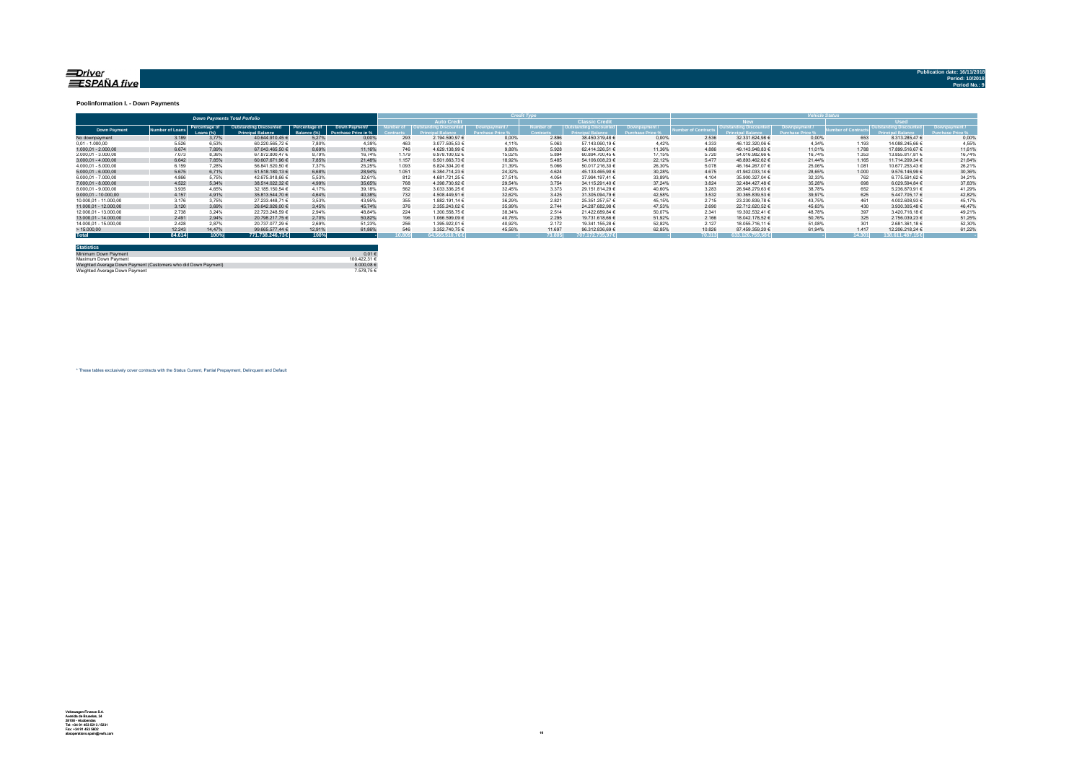# <u>≡Drive</u>r<br>≣ESPAÑA five

#### **Poolinformation I. - Down Payments**

|                       | <b>Down Payments Total Porfolio</b> |                            |                                                           |                               |                                      |       |                                   |        |                  |                        |        |                 | ______                 |        |             |                  |        |
|-----------------------|-------------------------------------|----------------------------|-----------------------------------------------------------|-------------------------------|--------------------------------------|-------|-----------------------------------|--------|------------------|------------------------|--------|-----------------|------------------------|--------|-------------|------------------|--------|
|                       |                                     |                            |                                                           |                               |                                      |       | <b>Auto Credit</b>                |        |                  | <b>Classic Credita</b> |        |                 | <b>RW</b>              |        | <b>Head</b> |                  |        |
| <b>Down Payment</b>   | umber of Loan                       | Percentage of<br>Loang (%) | <b>Outstanding Discounted</b><br><b>Princinal Ralance</b> | Percentage of<br>3alance (%). | Down Payment/<br>Purchase Price in % |       | umber of   Outstanding Discounted |        | <b>Jumber</b> of | Outstanding Discounted |        | mber of Contrac | Outstanding Discounted |        |             |                  |        |
| No downpayment        | 3.189                               | 3.77%                      | 40.644.910.45 €                                           | 5.27%                         | 0.00%                                | 293   | 2.194.590.97 €                    | 0.00%  | 2.896            | 38.450.319.48 €        | 0.00%  | 2.536           | 32.331.624.98 €        | 0.00%  | 653         | 8.313.285.47 €   | 0.00%  |
| $0.01 - 1.000.00$     | 5.526                               | 6.53%                      | 60.220.565.72 €                                           | 7.80%                         | 4.39%                                | 463   | 3.077.505,53 €                    | 4.11%  | 5.063            | 57.143.060,19 €        | 4.42%  | 4.333           | 46.132.320.06 €        | 4.34%  | 1.193       | 14.088.245.66 €  | 4,55%  |
| $1.000.01 - 2.000.00$ | 6.674                               | 7.89%                      | 67.043.465.50 €                                           | 8.69%                         | 11.16%                               | 746   | 4.629.138.99 €                    | 9.88%  | 5.928            | 62.414.326.51 €        | 11.36% | 4.886           | 49.143.948.83 €        | 11.01% | 1.788       | 17.899.516.67 €  | 11.61% |
| 2.000.01 - 3.000.00   | 7.073                               | 8.36%                      | 67.872.800.47 €                                           | 8.79%                         | 16.74%                               | 1.179 | 6.978.100.02 €                    | 15.02% | 5.894            | 60.894.700.45 €        | 17.15% | 5.720           | 54.016.982.66 €        | 16.74% | 1.353       | 13.855.817.81 €  | 16.74% |
| $3.000.01 - 4.000.00$ | 6.642                               | 7.85%                      | 60.607.671.96 €                                           | 7.85%                         | 21,48%                               | 1.157 | 6.501.663.73 €                    | 18.92% | 5.485            | 54.106.008.23 €        | 22.12% | 5.477           | 48.893.462.62 €        | 21.44% | 1.165       | 11.714.209.34 €  | 21.64% |
| 4.000.01 - 5.000.00   | 6.159                               | 7.28%                      | 56.841.520.50 €                                           | 7.37%                         | 25.25%                               | 1.093 | 6.824.304.20 €                    | 21.39% | 5.066            | 50.017.216.30 €        | 26.30% | 5.078           | 46.164.267.07 €        | 25.06% | 1.081       | 10.677.253.43 €  | 26.21% |
| $5.000.01 - 6.000.00$ | 5.675                               | 6.71%                      | 51.518.180.13 €                                           | 6.68%                         | 28.94%                               | 1.051 | 6.384.714.23 €                    | 24.32% | 4.624            | 45.133.465.90 €        | 30.28% | 4.675           | 41.942.033.14 €        | 28.65% | 1.000       | 9.576.146.99 €   | 30,36% |
| 6.000.01 - 7.000.00   | 4.866                               | 5.75%                      | 42.675.918.66 €                                           | 5.53%                         | 32.61%                               | 812   | 4.681.721.25 €                    | 27.51% | 4.054            | 37.994.197.41 €        | 33.89% | 4.104           | 35.900.327.04 €        | 32.33% | 762         | 6.775.591.62 €   | 34.21% |
| 7.000.01 - 8.000.00   | 4.522                               | 5.34%                      | 38.514.022.32 €                                           | 4.99%                         | 35.65%                               | 768   | 4.398.730.92 €                    | 29.54% | 3.754            | 34.115.291.40 €        | 37.24% | 3.824           | 32.484.427.48 €        | 35.28% | 698         | 6.029.594.84 €   | 37,83% |
| 8.000.01 - 9.000.00   | 3.935                               | 4.65%                      | 32.185.150.54 €                                           | 4.17%                         | 39.18%                               | 562   | 3.033.336.25 €                    | 32.45% | 3.373            | 29.151.814.29 €        | 40.60% | 3.283           | 26.948.279.63 €        | 38.78% | 652         | 5.236.870.91 €   | 41.29% |
| 9.000.01 - 10.000.00  | 4.157                               | 4.91%                      | 35.813.544.70 €                                           | 4.64%                         | 40.38%                               | 732   | 4.508.449.91 €                    | 32.62% | 3.425            | 31.305.094.79 €        | 42.58% | 3.532           | 30.365.839.53 €        | 39.97% | 625         | 5.447.705.17 €   | 42.82% |
| 10.000.01 - 11.000.00 | 3.176                               | 3.75%                      | 27.233.448.71 €                                           | 3.53%                         | 43.95%                               | 355   | 1.882.191.14 €                    | 36.29% | 2.821            | 25.351.257.57 €        | 45.15% | 2.715           | 23.230.839.78 €        | 43.75% | 461         | 4.002.608.93 €   | 45.17% |
| 11.000.01 - 12.000.00 | 3.120                               | 3.69%                      | 26.642.926.00 €                                           | 3.45%                         | 45.74%                               | 376   | 2.355.243.02 €                    | 35.99% | 2.744            | 24.287.682.98 €        | 47.53% | 2.690           | 22.712.620.52 €        | 45.63% | 430         | 3.930.305.48 €   | 46.47% |
| 12.000.01 - 13.000.00 | 2.738                               | 3.24%                      | 22.723.248.59 €                                           | 2.94%                         | 48.84%                               | 224   | 1.300.558,75 €                    | 38.34% | 2.514            | 21.422.689.84 €        | 50.07% | 2.341           | 19.302.532.41 €        | 48.78% | 397         | 3.420.716.18 €   | 49.21% |
| 13.000.01 - 14.000.00 | 2.491                               | 2.94%                      | 20.798.217.75 €                                           | 2.70%                         | 50.82%                               | 196   | 1.066.599.09 €                    | 40.76% | 2.295            | 19.731.618.66 €        | 51.92% | 2.166           | 18.042.178.52 €        | 50.76% | 325         | 2.756.039.23 €   | 51,25% |
| 14.000.01 - 15.000.00 | 2.428                               | 2.87%                      | 20.737.077.29 €                                           | 2.69%                         | 51.23%                               | 256   | 1.395.922.01 €                    | 40.92% | 2.172            | 19.341.155.28 €        | 52.82% | 2.127           | 18.055.716.11 €        | 51.08% | 301         | 2.681.361.18 €   | 52.30% |
| >15.000,00            | 12.243                              | 14,47%                     | 99.665.577.44 €                                           | 12.91%                        | 61.86%                               | 546   | 3.352.740.75 €                    | 45.56% | 11.697           | 96.312.836.69 €        | 62.85% | 10.826          | 87.459.359.20 €        | 61.94% | 1.417       | 12.206.218.24 €  | 61.22% |
| <b>Total</b>          | 84.614                              | 100%                       | 771.738.246.73€                                           | 100%                          |                                      | 0.809 | 64.565.510.76€                    |        | 73.805           | $.707.172.735.97 \in$  |        | 70.313          | 633.126.759.58€        |        | 14.301      | 138,611,487,15 € |        |

| <b>Statistics</b>                                              |              |
|----------------------------------------------------------------|--------------|
| Minimum Down Payment                                           | $0.01 \in$   |
| Maximum Down Payment                                           | 100.422.31 € |
| Weighted Average Down Payment (Customers who did Down Payment) | 8.000.08 €   |
| Weighted Average Down Payment                                  | 7.578.75 €   |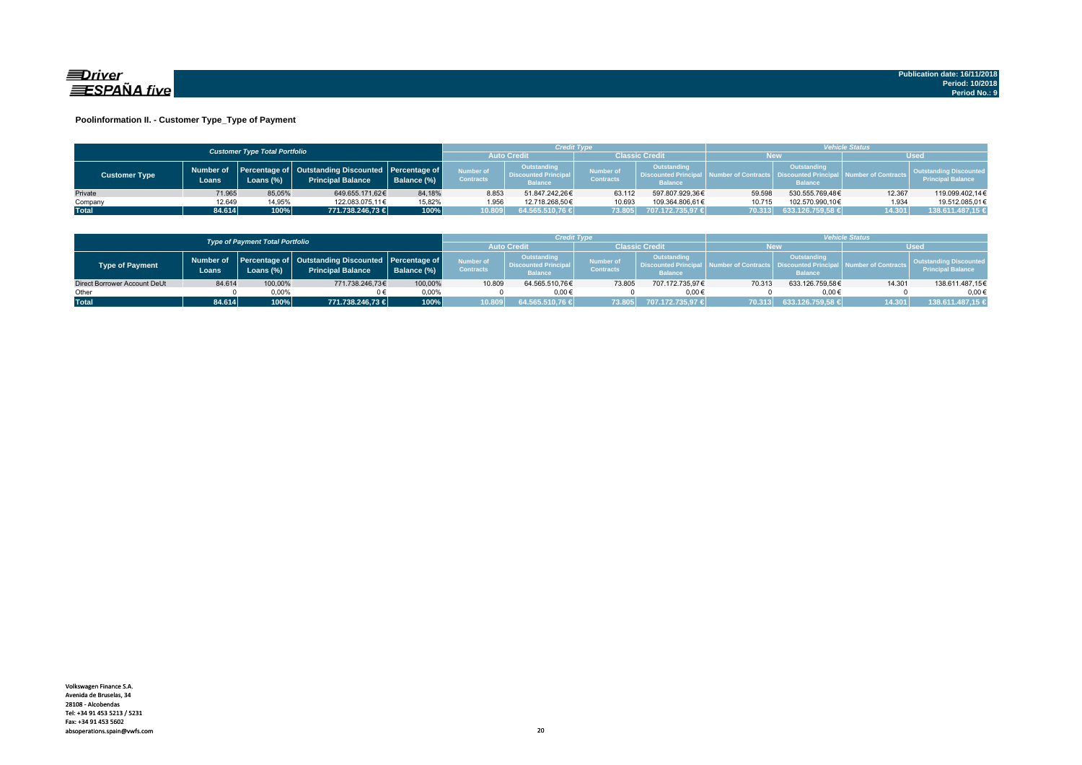

### **Poolinformation II. - Customer Type\_Type of Payment**

|                      |                                      |           |                                                                                       |             |                                                                                               | <b>Credit Type</b> |                               |                                                                     | <b>Vehicle Status</b> |                                                                                       |                        |                                                           |  |
|----------------------|--------------------------------------|-----------|---------------------------------------------------------------------------------------|-------------|-----------------------------------------------------------------------------------------------|--------------------|-------------------------------|---------------------------------------------------------------------|-----------------------|---------------------------------------------------------------------------------------|------------------------|-----------------------------------------------------------|--|
|                      | <b>Customer Type Total Portfolio</b> |           |                                                                                       |             |                                                                                               |                    | <b>Classic Credit</b>         |                                                                     | New                   |                                                                                       |                        |                                                           |  |
| <b>Customer Type</b> | Number of<br>Loans                   | .oans (%) | <b>Percentage of Outstanding Discounted Percentage of</b><br><b>Principal Balance</b> | Balance (%) | Outstanding<br>Number of<br><b>Discounted Principal</b><br><b>Contracts</b><br><b>Balance</b> |                    | Number of<br><b>Contracts</b> | <b>Outstanding</b><br><b>Discounted Principal</b><br><b>Balance</b> |                       | <b>Outstanding</b><br><b>Imber of Contracts Discounted Principa</b><br><b>Balance</b> | al Number of Contracts | <b>Outstanding Discounted</b><br><b>Principal Balance</b> |  |
| Private              | 71.965                               | 85.05%    | 649.655.171.62€                                                                       | 84.18%      | 8.853                                                                                         | 51.847.242.26€     | 63.112                        | 597.807.929.36€                                                     | 59.598                | 530.555.769.48€                                                                       | 12.367                 | 119.099.402.14€                                           |  |
| Company              | 12.649                               | 14,95%    | 122.083.075.11€                                                                       | 15.82%      | 1.956                                                                                         | 12.718.268.50€     | 10.693                        | 109.364.806.61€                                                     | 10.715                | 102.570.990.10€                                                                       | 1.934                  | 19.512.085.01€                                            |  |
| <b>Total</b>         | 84.614                               | 100%      | 771.738.246,73 €                                                                      | 100%        | 10.809                                                                                        | 64.565.510.76      | 73.805                        | 707.172.735.97 €                                                    | 70.313                | 633.126.759.58 €                                                                      | 14.301                 | 138.611.487,15 €                                          |  |

|                              |        | <b>Type of Payment Total Portfolio</b> |                                                                                          |             |                                      | Credit Type                                                 |                                      |                                                                    | <b>/ehicle Status</b> |                                                      |                            |                                                           |  |
|------------------------------|--------|----------------------------------------|------------------------------------------------------------------------------------------|-------------|--------------------------------------|-------------------------------------------------------------|--------------------------------------|--------------------------------------------------------------------|-----------------------|------------------------------------------------------|----------------------------|-----------------------------------------------------------|--|
|                              |        |                                        |                                                                                          |             | <b>Auto Credi</b>                    |                                                             | Classic Credit                       |                                                                    | <b>New</b>            |                                                      |                            |                                                           |  |
| <b>Type of Payment</b>       | Loans  | Loans (%)                              | Number of Percentage of Outstanding Discounted Percentage of<br><b>Principal Balance</b> | Balance (%) | <b>Number of</b><br><b>Contracts</b> | Outstanding<br><b>Discounted Principa</b><br><b>Balance</b> | <b>Number of</b><br><b>Contracts</b> | <b>Outstanding</b><br><b>Discounted Principa</b><br><b>Balance</b> |                       | Outstanding<br>Ll Discountad Prini<br><b>Balance</b> | <b>Jumber of Contracts</b> | <b>Outstanding Discounted</b><br><b>Principal Balance</b> |  |
| Direct Borrower Account DeUt | 84.614 | 100,00%                                | 771.738.246,73€                                                                          | 100,00%     | 10.809                               | 64.565.510.76€                                              | 73.805                               | 707.172.735.97€                                                    | 70.313                | 633.126.759,58€                                      | 14.301                     | 138.611.487,15€                                           |  |
| Other                        |        | 0.00%                                  |                                                                                          | $0.00\%$    |                                      | $0.00 \in$                                                  |                                      | 0.00€                                                              |                       | $0.00 \in$                                           |                            | $0.00 \in$                                                |  |
| <b>Total</b>                 | 84.614 | 100%                                   | 771.738.246.73 €                                                                         | 100%        | 10.809                               | 64.565.510,76 €                                             | 73.805                               | 707.172.735.97 €                                                   | 70.313                | 633.126.759,58 €                                     | 14.301                     | 138.611.487,15 €                                          |  |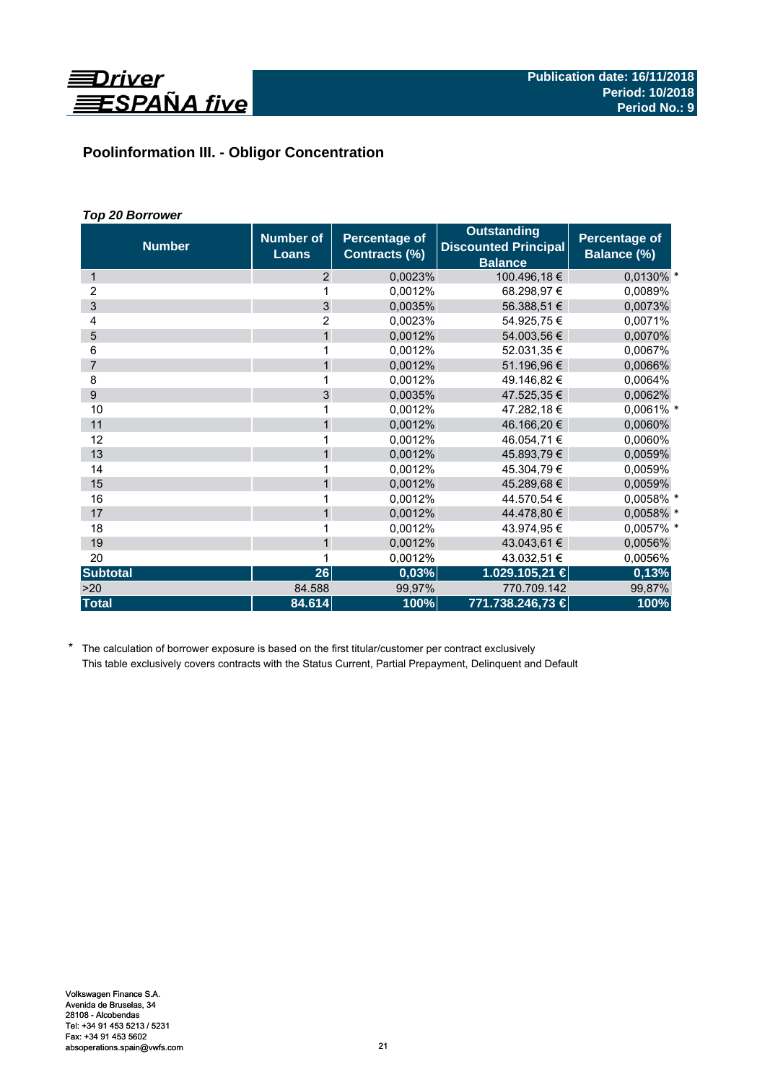

# **Poolinformation III. - Obligor Concentration**

# *Top 20 Borrower*

| <b>Number</b>   | <b>Number of</b><br><b>Loans</b> | <b>Percentage of</b><br>Contracts (%) | <b>Outstanding</b><br><b>Discounted Principal</b><br><b>Balance</b> | Percentage of<br>Balance (%) |
|-----------------|----------------------------------|---------------------------------------|---------------------------------------------------------------------|------------------------------|
| 1               | 2                                | 0,0023%                               | 100.496,18 €                                                        | 0,0130% *                    |
| 2               |                                  | 0,0012%                               | 68.298,97 €                                                         | 0,0089%                      |
| 3               | $\overline{3}$                   | 0,0035%                               | 56.388,51 €                                                         | 0,0073%                      |
| 4               | $\overline{2}$                   | 0,0023%                               | 54.925,75€                                                          | 0,0071%                      |
| 5               | $\mathbf{1}$                     | 0,0012%                               | 54.003,56 €                                                         | 0,0070%                      |
| 6               | 1                                | 0,0012%                               | 52.031,35 €                                                         | 0,0067%                      |
| $\overline{7}$  | 1                                | 0,0012%                               | 51.196,96 €                                                         | 0,0066%                      |
| 8               | 1                                | 0.0012%                               | 49.146,82 €                                                         | 0.0064%                      |
| 9               | 3                                | 0,0035%                               | 47.525.35 €                                                         | 0,0062%                      |
| 10              | 1                                | 0,0012%                               | 47.282,18€                                                          | 0,0061% *                    |
| 11              | $\mathbf{1}$                     | 0,0012%                               | 46.166,20 €                                                         | 0,0060%                      |
| 12              | 1                                | 0,0012%                               | 46.054,71 €                                                         | 0,0060%                      |
| 13              | $\mathbf{1}$                     | 0,0012%                               | 45.893,79€                                                          | 0,0059%                      |
| 14              | 1                                | 0,0012%                               | 45.304,79€                                                          | 0,0059%                      |
| 15              | $\mathbf{1}$                     | 0,0012%                               | 45.289,68 €                                                         | 0,0059%                      |
| 16              |                                  | 0,0012%                               | 44.570,54 €                                                         | 0,0058% *                    |
| 17              | $\mathbf{1}$                     | 0,0012%                               | 44.478,80 €                                                         | 0,0058% *                    |
| 18              | 1                                | 0.0012%                               | 43.974,95€                                                          | 0,0057% *                    |
| 19              | $\mathbf{1}$                     | 0,0012%                               | 43.043,61 €                                                         | 0,0056%                      |
| 20              | 1                                | 0,0012%                               | 43.032,51 €                                                         | 0,0056%                      |
| <b>Subtotal</b> | 26                               | 0,03%                                 | 1.029.105,21 €                                                      | 0,13%                        |
| >20             | 84.588                           | 99,97%                                | 770.709.142                                                         | 99,87%                       |
| <b>Total</b>    | 84.614                           | 100%                                  | 771.738.246,73 €                                                    | 100%                         |

\* The calculation of borrower exposure is based on the first titular/customer per contract exclusively This table exclusively covers contracts with the Status Current, Partial Prepayment, Delinquent and Default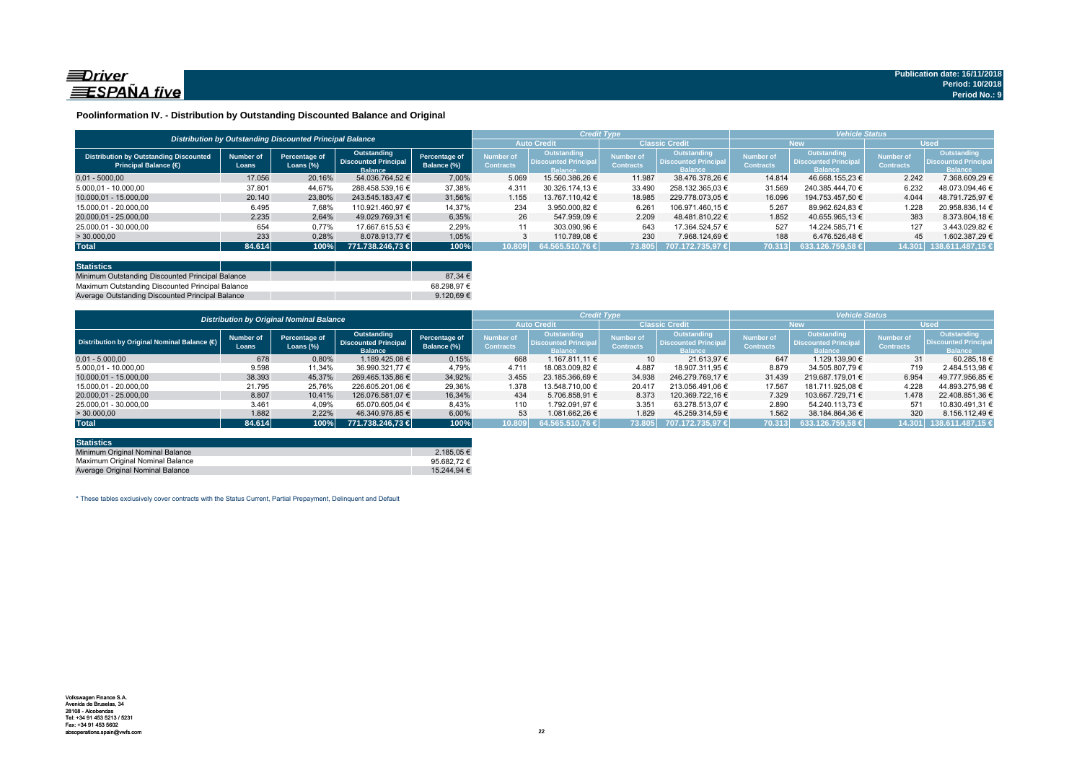

### **Poolinformation IV. - Distribution by Outstanding Discounted Balance and Original**

|                                                                              |                    | Distribution by Outstanding Discounted Principal Balance |                                                              |                              |                               |                                                             | <b>Credit Type</b>                   |                                                                     | <b>Vehicle Status</b>                |                                                             |                               |                                                             |  |
|------------------------------------------------------------------------------|--------------------|----------------------------------------------------------|--------------------------------------------------------------|------------------------------|-------------------------------|-------------------------------------------------------------|--------------------------------------|---------------------------------------------------------------------|--------------------------------------|-------------------------------------------------------------|-------------------------------|-------------------------------------------------------------|--|
|                                                                              |                    |                                                          |                                                              |                              | <b>Auto Credit</b>            |                                                             | <b>Classic Credit</b>                |                                                                     | <b>New</b>                           |                                                             | <b>Used</b>                   |                                                             |  |
| <b>Distribution by Outstanding Discounted</b><br><b>Principal Balance (€</b> | Number of<br>Loans | Percentage of<br>Loans $(\%)$                            | Outstanding<br><b>Discounted Principal</b><br><b>Balance</b> | Percentage of<br>Balance (%) | Number of<br><b>Contracts</b> | Outstanding<br><b>Discounted Principa</b><br><b>Ralance</b> | <b>Number of</b><br><b>Contracts</b> | <b>Outstanding</b><br><b>Discounted Principal</b><br><b>Balance</b> | <b>Number of</b><br><b>Contracts</b> | Outstanding<br><b>Discounted Principa</b><br><b>Ralance</b> | Number of<br><b>Contracts</b> | <b>Outstanding</b><br><b>Discounted Principa</b><br>talanco |  |
| $0.01 - 5000.00$                                                             | 17.056             | 20,16%                                                   | 54.036.764.52 €                                              | 7.00%                        | 5.069                         | 15.560.386.26 €                                             | 11.987                               | 38.476.378.26 €                                                     | 14.814                               | 46.668.155.23 €                                             | 2.242                         | 7.368.609.29 €                                              |  |
| 5.000.01 - 10.000.00                                                         | 37.801             | 44.67%                                                   | 288.458.539.16 €                                             | 37,38%                       | 4.31'                         | 30.326.174.13 €                                             | 33.490                               | 258.132.365.03 €                                                    | 31.569                               | 240.385.444.70 €                                            | 6.232                         | 48.073.094.46 €                                             |  |
| 10.000.01 - 15.000.00                                                        | 20.140             | 23,80%                                                   | 243.545.183.47 €                                             | 31,56%                       | 1.155                         | 13.767.110.42 €                                             | 18.985                               | 229.778.073.05 €                                                    | 16.096                               | 194.753.457.50 €                                            | 4.044                         | 48.791.725.97 €                                             |  |
| 15.000.01 - 20.000.00                                                        | 6.495              | 7,68%                                                    | 110.921.460.97 €                                             | 14,37%                       | 234                           | 3.950.000.82 €                                              | 6.261                                | 106.971.460.15 €                                                    | 5.267                                | 89.962.624.83 €                                             | 1.228                         | 20.958.836.14 €                                             |  |
| 20.000.01 - 25.000.00                                                        | 2.235              | 2.64%                                                    | 49.029.769.31 €                                              | 6.35%                        | 26                            | 547.959.09 €                                                | 2.209                                | 48.481.810.22 €                                                     | 1.852                                | 40.655.965.13 €                                             | 383                           | 8.373.804.18 €                                              |  |
| 25.000,01 - 30.000,00                                                        | 654                | 0,77%                                                    | 17.667.615,53 €                                              | 2,29%                        | 11                            | 303.090.96 €                                                | 643                                  | 17.364.524.57 €                                                     | 527                                  | 14.224.585.71 €                                             | 127                           | 3.443.029.82 €                                              |  |
| > 30.000,00                                                                  | 233                | 0,28%                                                    | 8.078.913.77 €                                               | 1.05%                        |                               | 110.789.08 €                                                | 230                                  | 7.968.124.69 €                                                      | 188                                  | 6.476.526.48 €                                              | 45                            | 1.602.387.29 €                                              |  |
| <b>Total</b>                                                                 | 84.614             | 100%                                                     | 771.738.246.73 €                                             | 100%                         | 10.809                        | $64.565.510.76 \in$                                         | 73.805                               | 707.172.735.97 €                                                    | 70.313                               | 633.126.759.58 €                                            | 14.301                        | 138.611.487.15 €                                            |  |

| <b>Statistics</b>                                |  |             |
|--------------------------------------------------|--|-------------|
| Minimum Outstanding Discounted Principal Balance |  | 87.34 $\in$ |
| Maximum Outstanding Discounted Principal Balance |  | 68.298.97 € |
| Average Outstanding Discounted Principal Balance |  | 9.120.69€   |

|                                             |                                                 |                            |                                                              |                              |                               |                                                                     | <b>Credit Type</b>            |                                                              | <b>Vehicle Status</b>         |                                                                     |                               |                                                             |  |
|---------------------------------------------|-------------------------------------------------|----------------------------|--------------------------------------------------------------|------------------------------|-------------------------------|---------------------------------------------------------------------|-------------------------------|--------------------------------------------------------------|-------------------------------|---------------------------------------------------------------------|-------------------------------|-------------------------------------------------------------|--|
|                                             | <b>Distribution by Original Nominal Balance</b> |                            |                                                              |                              |                               | <b>Auto Credit</b>                                                  |                               | <b>Classic Credit</b>                                        |                               | <b>New</b>                                                          |                               | <b>Used</b>                                                 |  |
| Distribution by Original Nominal Balance (O | <b>Number of</b><br>Loans                       | Percentage of<br>Loans (%) | Outstanding<br><b>Discounted Principal</b><br><b>Balance</b> | Percentage of<br>Balance (%) | Number of<br><b>Contracts</b> | <b>Outstanding</b><br><b>Discounted Principal</b><br><b>Balance</b> | Number of<br><b>Contracts</b> | Outstanding<br><b>Discounted Principal</b><br><b>Ralance</b> | lumber of<br><b>Contracts</b> | <b>Outstanding</b><br><b>Discounted Principal</b><br><b>Balance</b> | Number of<br><b>Contracts</b> | Outstanding<br><b>Discounted Principa</b><br><b>Balance</b> |  |
| $0.01 - 5.000.00$                           | 678                                             | 0,80%                      | 1.189.425.08 €                                               | 0,15%                        | 668                           | 1.167.811.11 €                                                      | 10 <sup>1</sup>               | 21.613.97 €                                                  | 647                           | 1.129.139.90 €                                                      | 31                            | 60.285.18€                                                  |  |
| 5.000,01 - 10.000,00                        | 9.598                                           | 11,34%                     | 36.990.321.77 €                                              | 4,79%                        | 4.71'                         | 18.083.009.82 €                                                     | 4.887                         | 18.907.311.95 €                                              | 8.879                         | 34.505.807.79 €                                                     | 719                           | 2.484.513.98 €                                              |  |
| 10.000.01 - 15.000.00                       | 38.393                                          | 45,37%                     | 269.465.135,86 €                                             | 34.92%                       | 3.455                         | 23.185.366.69 €                                                     | 34.938                        | 246.279.769.17 €                                             | 31.439                        | 219.687.179.01 €                                                    | 6.954                         | 49.777.956.85 €                                             |  |
| 15.000.01 - 20.000.00                       | 21.795                                          | 25,76%                     | 226.605.201.06 €                                             | 29,36%                       | 1.378                         | 13.548.710.00 €                                                     | 20.417                        | 213.056.491.06 €                                             | 17.567                        | 181.711.925.08 €                                                    | 4.228                         | 44.893.275.98 €                                             |  |
| 20.000.01 - 25.000.00                       | 8.807                                           | 10.41%                     | 126.076.581.07 €                                             | 16.34%                       | 434                           | 5.706.858.91 €                                                      | 8.373                         | 120.369.722.16 €                                             | 7.329                         | 103.667.729.71 €                                                    | 1.478                         | 22.408.851.36 €                                             |  |
| 25.000.01 - 30.000.00                       | 3.461                                           | 4,09%                      | 65.070.605.04 €                                              | 8,43%                        | 110                           | 1.792.091.97 €                                                      | 3.351                         | 63.278.513.07 €                                              | 2.890                         | 54.240.113.73 €                                                     | 571                           | 10.830.491.31 €                                             |  |
| >30.000,00                                  | 1.882                                           | 2,22%                      | 46.340.976.85 €                                              | 6,00%                        | 53                            | 1.081.662.26 €                                                      | 1.829                         | 45.259.314.59 €                                              | 1.562                         | 38.184.864.36 €                                                     | 320                           | 8.156.112.49 €                                              |  |
| <b>Total</b>                                | 84.614                                          | 100%                       | 771.738.246.73 €                                             | 100%                         | 10.809                        | 64.565.510,76 €                                                     | 73.805                        | 707.172.735.97 €                                             | 70.313                        | 633.126.759.58 €                                                    | 14.301                        | 138.611.487,15                                              |  |

| <b>Statistics</b>                |                 |
|----------------------------------|-----------------|
| Minimum Original Nominal Balance | 2.185.05 €      |
| Maximum Original Nominal Balance | 95.682.72 $\in$ |
| Average Original Nominal Balance | 15.244.94 €     |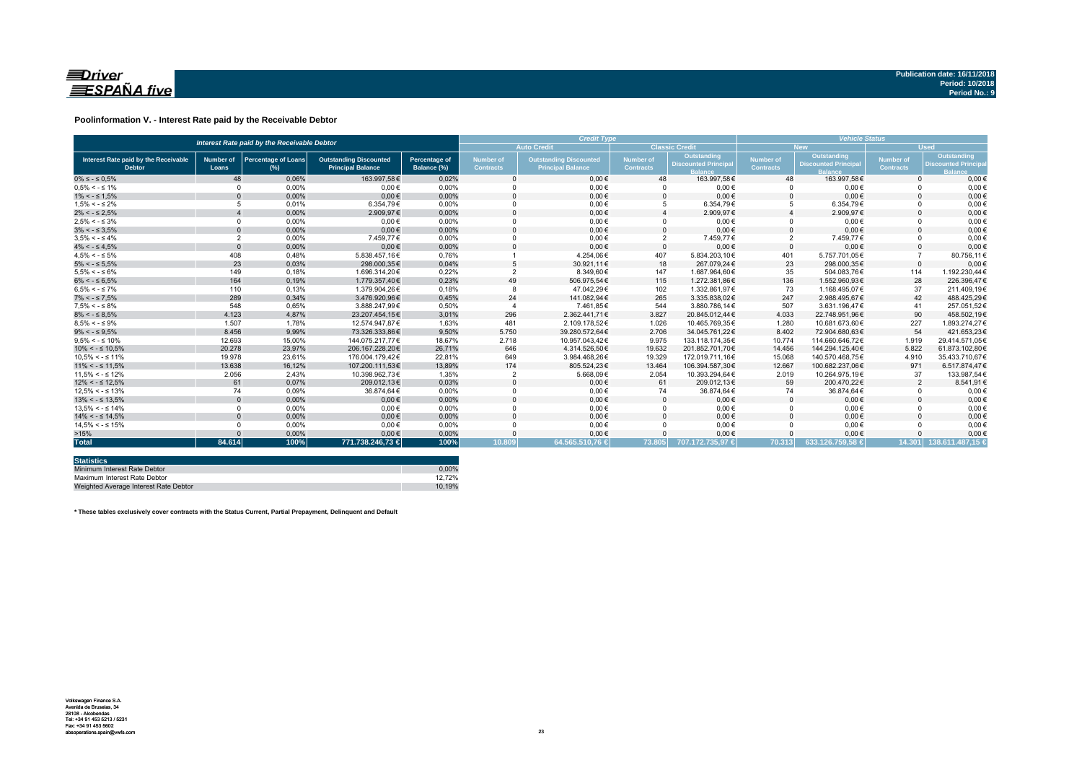

### **Poolinformation V. - Interest Rate paid by the Receivable Debtor**

|                                                       | Interest Rate paid by the Receivable Debtor |                                      |                                                           |                                     |                                      |                                                           | <b>Credit Type</b>            |                                           |                               |                                                  |                               | <b>Vehicle Status</b>                                    |  |  |  |
|-------------------------------------------------------|---------------------------------------------|--------------------------------------|-----------------------------------------------------------|-------------------------------------|--------------------------------------|-----------------------------------------------------------|-------------------------------|-------------------------------------------|-------------------------------|--------------------------------------------------|-------------------------------|----------------------------------------------------------|--|--|--|
|                                                       |                                             |                                      |                                                           |                                     |                                      | <b>Auto Credit</b>                                        |                               | <b>Classic Credit</b>                     |                               | <b>New</b>                                       | <b>Used</b>                   |                                                          |  |  |  |
| Interest Rate paid by the Receivable<br><b>Debtor</b> | <b>Number of</b><br>Loans                   | <b>Percentage of Loans</b><br>$(\%)$ | <b>Outstanding Discounted</b><br><b>Principal Balance</b> | <b>Percentage of</b><br>Balance (%) | <b>Number of</b><br><b>Contracts</b> | <b>Outstanding Discounted</b><br><b>Principal Balance</b> | Number of<br><b>Contracts</b> | Outstanding<br><b>Discounted Principa</b> | Number of<br><b>Contracts</b> | <b>Outstanding</b><br><b>Discounted Principa</b> | Number of<br><b>Contracts</b> | Outstanding<br><b>Discounted Princip</b><br><b>Ralar</b> |  |  |  |
| $0\% \leq -\leq 0.5\%$                                | 48                                          | 0.06%                                | 163.997.58€                                               | 0.02%                               |                                      | $0.00 \in$                                                | 48                            | 163.997.58€                               | 48                            | 163.997.58€                                      | $\Omega$                      | $0.00 \in$                                               |  |  |  |
| $0.5\% < -5.1\%$                                      | $\Omega$                                    | 0.00%                                | $0.00 \in$                                                | 0.00%                               |                                      | $0.00 \in$                                                |                               | $0.00 \in$                                | $\Omega$                      | $0.00 \in$                                       |                               | $0.00 \in$                                               |  |  |  |
| $1\% < - \leq 1.5\%$                                  |                                             | 0,00%                                | $0.00 \in$                                                | 0,00%                               |                                      | $0,00 \in$                                                |                               | $0,00 \in$                                | $\Omega$                      | $0,00 \in$                                       |                               | $0,00 \in$                                               |  |  |  |
| $1.5\% < -5.2\%$                                      |                                             | 0.01%                                | 6.354.79€                                                 | 0.00%                               |                                      | $0,00 \in$                                                |                               | 6.354.79€                                 | 5                             | 6.354,79€                                        |                               | $0,00 \in$                                               |  |  |  |
| $2\% < - \leq 2.5\%$                                  |                                             | 0,00%                                | 2.909,97€                                                 | 0,00%                               |                                      | $0.00 \in$                                                |                               | 2.909,97€                                 |                               | 2.909,97€                                        |                               | $0.00 \in$                                               |  |  |  |
| $2.5\% < -5.3\%$                                      | $\Omega$                                    | 0.00%                                | $0.00 \in$                                                | 0.00%                               |                                      | $0.00 \in$                                                |                               | $0.00 \in$                                | $\Omega$                      | $0.00 \in$                                       |                               | $0.00 \in$                                               |  |  |  |
| $3\% < - \leq 3.5\%$                                  | $\Omega$                                    | 0,00%                                | $0.00 \in$                                                | 0,00%                               |                                      | $0.00 \in$                                                |                               | $0.00 \in$                                | $\Omega$                      | $0,00 \in$                                       |                               | $0.00 \in$                                               |  |  |  |
| $3.5\% < -5.4\%$                                      | $\overline{2}$                              | 0.00%                                | 7.459.77€                                                 | 0.00%                               |                                      | $0.00 \in$                                                | $\overline{2}$                | 7.459.77€                                 | $\overline{2}$                | 7.459,77€                                        |                               | $0.00 \in$                                               |  |  |  |
| $4\% < - \leq 4.5\%$                                  | $\Omega$                                    | 0.00%                                | $0.00 \in$                                                | 0.00%                               |                                      | $0.00 \in$                                                | $\Omega$                      | $0.00 \in$                                | $\Omega$                      | $0.00 \in$                                       |                               | $0,00 \in$                                               |  |  |  |
| $4.5\% < -5\%$                                        | 408                                         | 0.48%                                | 5.838.457.16€                                             | 0.76%                               |                                      | 4.254.06€                                                 | 407                           | 5.834.203.10€                             | 401                           | 5.757.701.05€                                    |                               | 80.756.11€                                               |  |  |  |
| $5\% < - \leq 5.5\%$                                  | 23                                          | 0,03%                                | 298.000.35€                                               | 0,04%                               |                                      | 30.921,11€                                                | 18                            | 267.079.24€                               | 23                            | 298.000.35€                                      | $\Omega$                      | $0,00 \in$                                               |  |  |  |
| $5.5\% < -5.6\%$                                      | 149                                         | 0,18%                                | 1.696.314,20€                                             | 0,22%                               |                                      | 8.349,60€                                                 | 147                           | 1.687.964,60€                             | 35                            | 504.083,76€                                      | 114                           | 1.192.230,44€                                            |  |  |  |
| $6\% < - \leq 6.5\%$                                  | 164                                         | 0,19%                                | 1.779.357,40€                                             | 0,23%                               | 49                                   | 506.975,54€                                               | 115                           | 1.272.381.86€                             | 136                           | 1.552.960,93€                                    | 28                            | 226.396,47€                                              |  |  |  |
| $6.5\% < -5.7\%$                                      | 110                                         | 0.13%                                | 1.379.904.26€                                             | 0.18%                               |                                      | 47.042.29€                                                | 102                           | 1.332.861.97€                             | 73                            | 1.168.495.07€                                    | 37                            | 211.409.19€                                              |  |  |  |
| $7\% < - \leq 7.5\%$                                  | 289                                         | 0,34%                                | 3.476.920.96€                                             | 0,45%                               | 24                                   | 141.082,94€                                               | 265                           | 3.335.838.02€                             | 247                           | 2.988.495.67€                                    | 42                            | 488.425.29€                                              |  |  |  |
| $7.5\% < -5.8\%$                                      | 548                                         | 0.65%                                | 3.888.247.99€                                             | 0.50%                               |                                      | 7.461.85€                                                 | 544                           | 3.880.786.14€                             | 507                           | 3.631.196.47€                                    | 41                            | 257.051.52€                                              |  |  |  |
| $8\% < - \leq 8.5\%$                                  | 4.123                                       | 4,87%                                | 23.207.454,15€                                            | 3,01%                               | 296                                  | 2.362.441.71€                                             | 3.827                         | 20.845.012.44€                            | 4.033                         | 22.748.951.96€                                   | 90                            | 458.502.19€                                              |  |  |  |
| $8.5\% < -5.9\%$                                      | 1.507                                       | 1.78%                                | 12.574.947.87€                                            | 1.63%                               | 481                                  | 2.109.178.52€                                             | 1.026                         | 10.465.769.35€                            | 1.280                         | 10.681.673.60€                                   | 227                           | 1.893.274.27€                                            |  |  |  |
| $9\% < - \leq 9.5\%$                                  | 8.456                                       | 9,99%                                | 73.326.333.86€                                            | 9.50%                               | 5.750                                | 39.280.572.64€                                            | 2.706                         | 34.045.761.22€                            | 8.402                         | 72.904.680.63€                                   | 54                            | 421.653.23€                                              |  |  |  |
| $9.5\% < -5.10\%$                                     | 12.693                                      | 15.00%                               | 144.075.217.77€                                           | 18.67%                              | 2.718                                | 10.957.043.42€                                            | 9.975                         | 133.118.174.35€                           | 10.774                        | 114.660.646.72€                                  | 1.919                         | 29.414.571.05€                                           |  |  |  |
| $10\% < -\leq 10.5\%$                                 | 20,278                                      | 23,97%                               | 206.167.228.20€                                           | 26,71%                              | 646                                  | 4.314.526,50€                                             | 19.632                        | 201.852.701.70€                           | 14.456                        | 144.294.125.40€                                  | 5.822                         | 61.873.102.80€                                           |  |  |  |
| $10.5\% < -5.11\%$                                    | 19.978                                      | 23,61%                               | 176.004.179.42€                                           | 22,81%                              | 649                                  | 3.984.468,26€                                             | 19.329                        | 172.019.711.16€                           | 15.068                        | 140.570.468,75€                                  | 4.910                         | 35.433.710,67€                                           |  |  |  |
| $11\% < - \leq 11.5\%$                                | 13.638                                      | 16,12%                               | 107.200.111.53€                                           | 13,89%                              | 174                                  | 805.524,23€                                               | 13.464                        | 106.394.587,30€                           | 12.667                        | 100.682.237.06€                                  | 971                           | 6.517.874,47€                                            |  |  |  |
| $11.5\% < -5.12\%$                                    | 2.056                                       | 2.43%                                | 10.398.962.73€                                            | 1.35%                               |                                      | 5.668,09€                                                 | 2.054                         | 10.393.294.64€                            | 2.019                         | 10.264.975.19€                                   | 37                            | 133.987.54€                                              |  |  |  |
| $12\% < -512.5\%$                                     | 61                                          | 0,07%                                | 209.012,13€                                               | 0,03%                               |                                      | $0,00 \in$                                                | 61                            | 209.012,13€                               | 59                            | 200.470,22€                                      | $\overline{2}$                | 8.541,91€                                                |  |  |  |
| $12.5\% < -5.13\%$                                    | 74                                          | 0.09%                                | 36.874.64€                                                | 0.00%                               |                                      | $0.00 \in$                                                | 74                            | 36.874.64€                                | 74                            | 36.874,64€                                       |                               | $0,00 \in$                                               |  |  |  |
| $13\% < -513.5\%$                                     | $\Omega$                                    | 0,00%                                | $0,00 \in$                                                | 0,00%                               |                                      | $0,00 \in$                                                |                               | $0,00 \in$                                | $\Omega$                      | $0,00 \in$                                       |                               | $0,00 \in$                                               |  |  |  |
| $13.5\% < -5.14\%$                                    | $\Omega$                                    | 0.00%                                | $0.00 \in$                                                | 0.00%                               |                                      | $0.00 \in$                                                |                               | $0.00 \in$                                | $\Omega$                      | $0.00 \in$                                       |                               | $0,00 \in$                                               |  |  |  |
| $14\% < -5.14.5\%$                                    |                                             | 0.00%                                | $0.00 \in$                                                | 0.00%                               |                                      | $0.00 \in$                                                |                               | $0.00 \in$                                | $\Omega$                      | $0.00 \in$                                       |                               | $0,00 \in$                                               |  |  |  |
| $14.5\% < -5.15\%$                                    | $\Omega$                                    | 0.00%                                | $0.00 \in$                                                | 0.00%                               |                                      | $0.00 \in$                                                |                               | $0.00 \in$                                | $\Omega$                      | $0.00 \in$                                       |                               | $0.00 \in$                                               |  |  |  |
| >15%                                                  |                                             | 0,00%                                | $0.00 \in$                                                | 0,00%                               |                                      | $0,00 \in$                                                |                               | $0,00 \in$                                |                               | $0.00 \in$                                       |                               | $0,00 \in$                                               |  |  |  |
| <b>Total</b>                                          | 84.614                                      | 100%                                 | 771.738.246,73 €                                          | 100%                                | 10.809                               | 64.565.510,76 €                                           | 73.805                        | 707.172.735.97 €                          | 70.313                        | 633.126.759.58 €                                 |                               | 14.301 138.611.487.15 €                                  |  |  |  |

| <b>Statistics</b>                     |        |
|---------------------------------------|--------|
| Minimum Interest Rate Debtor          | 0.00%  |
| Maximum Interest Rate Debtor          | 12.72% |
| Weighted Average Interest Rate Debtor | 10.19% |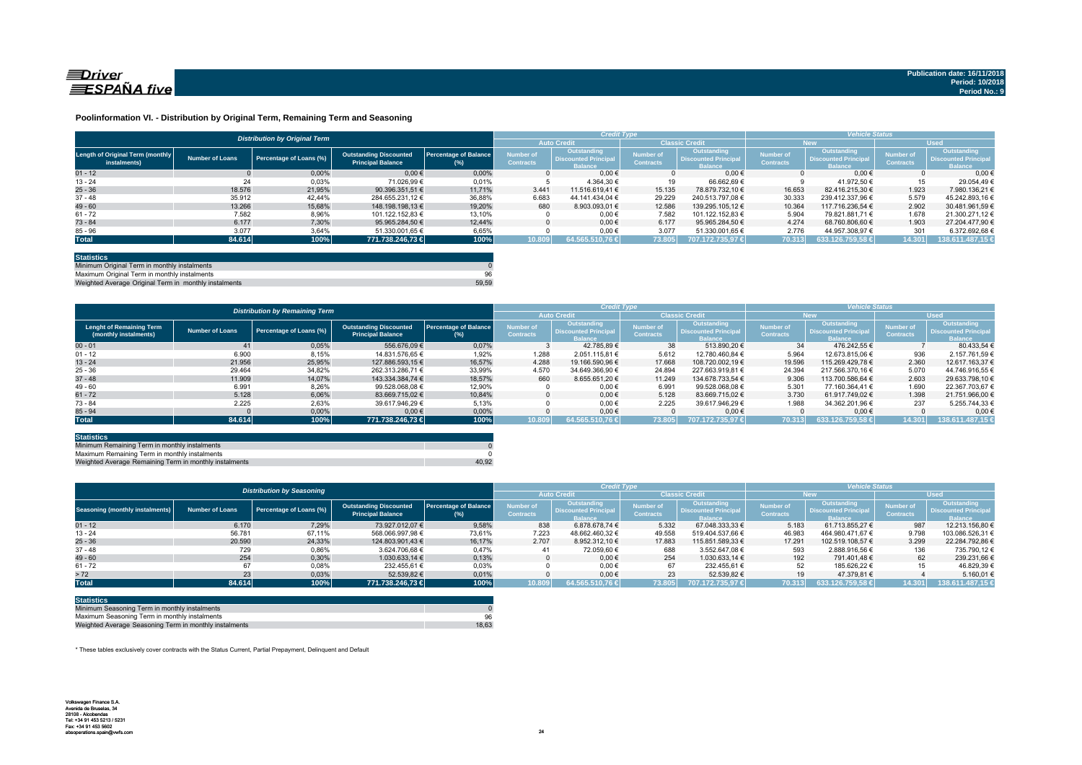

#### **Poolinformation VI. - Distribution by Original Term, Remaining Term and Seasoning**

|                                                  |                 | <b>Distribution by Original Term</b> |                                                           |                                     |                                      | <b>Credit Type</b>                                           |                                      |                                                              | <b>Vehicle Status</b>                |                                                                    |                                      |                                                                     |
|--------------------------------------------------|-----------------|--------------------------------------|-----------------------------------------------------------|-------------------------------------|--------------------------------------|--------------------------------------------------------------|--------------------------------------|--------------------------------------------------------------|--------------------------------------|--------------------------------------------------------------------|--------------------------------------|---------------------------------------------------------------------|
|                                                  |                 |                                      |                                                           |                                     |                                      | <b>Auto Credit</b>                                           |                                      | <b>Classic Credit</b>                                        | <b>New</b>                           |                                                                    | <b>Used</b>                          |                                                                     |
| Length of Original Term (monthly<br>instalments) | Number of Loans | Percentage of Loans (%)              | <b>Outstanding Discounted</b><br><b>Principal Balance</b> | <b>Percentage of Balance</b><br>(%) | <b>Number of</b><br><b>Contracts</b> | Outstanding<br><b>Discounted Principal</b><br><b>Balance</b> | <b>Number of</b><br><b>Contracts</b> | Outstanding<br><b>Discounted Principal</b><br><b>Balance</b> | <b>Number of</b><br><b>Contracts</b> | <b>Outstanding</b><br><b>Discounted Principa</b><br><b>Balance</b> | <b>Number of</b><br><b>Contracts</b> | <b>Outstanding</b><br><b>Discounted Principal</b><br><b>lalance</b> |
| $01 - 12$                                        |                 | 0.00%                                | $0.00 \in$                                                | 0.00%                               |                                      | $0.00 \in$                                                   |                                      | $0.00 \in$                                                   |                                      | $0.00 \in$                                                         |                                      | 0.006                                                               |
| $13 - 24$                                        | 24              | 0,03%                                | 71.026.99 €                                               | 0,01%                               |                                      | 4.364.30 €                                                   |                                      | 66.662.69 €                                                  |                                      | 41.972.50 €                                                        | 15                                   | 29.054.49                                                           |
| $25 - 36$                                        | 18.576          | 21.95%                               | 90.396.351.51 €                                           | 11.71%                              | 3.441                                | 11.516.619.41 €                                              | 15.135                               | 78.879.732.10 €                                              | 16.653                               | 82.416.215.30 €                                                    | 1.923                                | 7.980.136.21 6                                                      |
| $37 - 48$                                        | 35.912          | 42.44%                               | 284.655.231.12 €                                          | 36,88%                              | 6.683                                | 44.141.434.04 €                                              | 29.229                               | 240.513.797.08 €                                             | 30.333                               | 239.412.337.96 €                                                   | 5.579                                | 45.242.893.16 6                                                     |
| $49 - 60$                                        | 13.266          | 15.68%                               | 148.198.198.13 €                                          | 19.20%                              | 680                                  | 8.903.093.01 €                                               | 12.586                               | 139.295.105.12 €                                             | 10.364                               | 117.716.236.54 €                                                   | 2.902                                | 30.481.961.59 €                                                     |
| $61 - 72$                                        | 7.582           | 8,96%                                | 101.122.152.83 €                                          | 13,10%                              |                                      | $0.00 \in$                                                   | 7.582                                | 101.122.152.83 €                                             | 5.904                                | 79.821.881.71 €                                                    | 1.678                                | 21.300.271.12 €                                                     |
| $73 - 84$                                        | 6.177           | 7,30%                                | 95.965.284.50 €                                           | 12.44%                              |                                      | $0.00 \in$                                                   | 6.177                                | 95.965.284.50 €                                              | 4.274                                | 68.760.806.60 €                                                    | 1.903                                | 27.204.477.90 €                                                     |
| $85 - 96$                                        | 3.077           | 3,64%                                | 51.330.001.65 €                                           | 6,65%                               |                                      | $0,00 \in$                                                   | 3.077                                | 51.330.001.65 €                                              | 2.776                                | 44.957.308,97 €                                                    | 301                                  | 6.372.692.68                                                        |
| <b>Total</b>                                     | 84.614          | 100%                                 | 771.738.246,73 €                                          | 100%                                | 10.809                               | 64.565.510.76 €                                              | 73.805                               | 707.172.735.97 €                                             | 70.313                               | 633.126.759.58 €                                                   | 14.301                               | 138.611.487,15                                                      |

| <b>Statistics</b>                                     |       |
|-------------------------------------------------------|-------|
| Minimum Original Term in monthly instalments          |       |
| Maximum Original Term in monthly instalments          | 96    |
| Weighted Average Original Term in monthly instalments | 59.59 |

Weighted Average Original Term in monthly installer

|                                                          |                        | <b>Distribution by Remaining Term</b> |                                                           |                                     |                                      | <b>Credit Type</b>                                          |                               |                                                             | <b>Vehicle Status</b>                |                                                             |                               |                                                                     |  |
|----------------------------------------------------------|------------------------|---------------------------------------|-----------------------------------------------------------|-------------------------------------|--------------------------------------|-------------------------------------------------------------|-------------------------------|-------------------------------------------------------------|--------------------------------------|-------------------------------------------------------------|-------------------------------|---------------------------------------------------------------------|--|
|                                                          |                        |                                       |                                                           |                                     |                                      | <b>Auto Credit</b>                                          |                               | <b>Classic Credit</b>                                       | New <sup>1</sup>                     |                                                             | <b>Used</b>                   |                                                                     |  |
| <b>Lenght of Remaining Term</b><br>(monthly instalments) | <b>Number of Loans</b> | Percentage of Loans (%)               | <b>Outstanding Discounted</b><br><b>Principal Balance</b> | <b>Percentage of Balance</b><br>(%) | <b>Number of</b><br><b>Contracts</b> | Outstanding<br><b>Discounted Principa</b><br><b>Balance</b> | Number of<br><b>Contracts</b> | Outstanding<br><b>Discounted Principa</b><br><b>Balance</b> | <b>Number of</b><br><b>Contracts</b> | Outstanding<br><b>Discounted Principa</b><br><b>Balance</b> | Number of<br><b>Contracts</b> | <b>Outstanding</b><br><b>Discounted Principal</b><br><b>Balance</b> |  |
| $00 - 01$                                                | 41                     | 0,05%                                 | 556.676.09 €                                              | 0.07%                               |                                      | 42.785.89 €                                                 | 38                            | 513.890.20 €                                                | 34                                   | 476.242.55 €                                                |                               | 80.433.54 €                                                         |  |
| $01 - 12$                                                | 6.900                  | 8,15%                                 | 14.831.576.65 €                                           | 1.92%                               | 1.288                                | 2.051.115.81 €                                              | 5.612                         | 12.780.460.84 €                                             | 5.964                                | 12.673.815.06 €                                             | 936                           | 2.157.761.59 €                                                      |  |
| $13 - 24$                                                | 21.956                 | 25.95%                                | 127.886.593.15 €                                          | 16.57%                              | 4.288                                | 19.166.590.96 €                                             | 17.668                        | 108.720.002.19 €                                            | 19.596                               | 115.269.429.78 €                                            | 2.360                         | 12.617.163.37 €                                                     |  |
| $25 - 36$                                                | 29.464                 | 34,82%                                | 262.313.286.71 €                                          | 33,99%                              | 4.570                                | 34.649.366.90 €                                             | 24.894                        | 227.663.919.81 €                                            | 24.394                               | 217.566.370.16 €                                            | 5.070                         | 44.746.916.55 €                                                     |  |
| $37 - 48$                                                | 11.909                 | 14.07%                                | 143.334.384.74 €                                          | 18.57%                              | 660                                  | 8.655.651.20 €                                              | 11.249                        | 134.678.733.54 €                                            | 9.306                                | 113.700.586.64 €                                            | 2.603                         | 29.633.798.10 €                                                     |  |
| $49 - 60$                                                | 6.991                  | 8,26%                                 | 99.528.068.08 €                                           | 12.90%                              |                                      | $0.00 \in$                                                  | 6.991                         | 99.528.068.08 €                                             | 5.301                                | 77.160.364.41 €                                             | 1.690                         | 22.367.703.67 €                                                     |  |
| $61 - 72$                                                | 5.128                  | 6,06%                                 | 83.669.715.02 €                                           | 10.84%                              |                                      | $0.00 \in$                                                  | 5.128                         | 83.669.715.02 €                                             | 3.730                                | 61.917.749.02 €                                             | 1.398                         | 21.751.966.00 €                                                     |  |
| $73 - 84$                                                | 2.225                  | 2,63%                                 | 39.617.946.29 €                                           | 5.13%                               |                                      | $0.00 \in$                                                  | 2.225                         | 39.617.946.29 €                                             | 1.988                                | 34.362.201.96 €                                             | 237                           | 5.255.744.33 €                                                      |  |
| $85 - 94$                                                |                        | 0,00%                                 | $0,00 \in$                                                | 0.00%                               |                                      | 0.00€                                                       |                               | $0,00 \in$                                                  |                                      | $0.00 \in$                                                  |                               | 0.00                                                                |  |
| <b>Total</b>                                             | 84.614                 | 100%                                  | 771.738.246.73 €                                          | 100%                                | 10.809                               | 64.565.510.76 €                                             | 73.805                        | , 707.172.735.97 €                                          | 70.313                               | 759.58 €<br>633.<br>126.                                    | 14.301                        | 138.611.487.15                                                      |  |

| <b>Statistics</b>                                      |       |
|--------------------------------------------------------|-------|
| Minimum Remaining Term in monthly instalments          |       |
| Maximum Remaining Term in monthly instalments          |       |
| Weighted Average Remaining Term in monthly instalments | 40.92 |

|                                        |                        | <b>Distribution by Seasoning</b> |                                                           |                              |                                      | <b>Credit Type</b>                                    |                                      |                                                              | <b>Vehicle Status</b>                |                                                                    |                                      |                                                              |  |
|----------------------------------------|------------------------|----------------------------------|-----------------------------------------------------------|------------------------------|--------------------------------------|-------------------------------------------------------|--------------------------------------|--------------------------------------------------------------|--------------------------------------|--------------------------------------------------------------------|--------------------------------------|--------------------------------------------------------------|--|
|                                        |                        |                                  |                                                           |                              |                                      |                                                       | <b>Classic Credit</b>                |                                                              | New.                                 |                                                                    | <b>Used</b>                          |                                                              |  |
| <b>Seasoning (monthly instalments)</b> | <b>Number of Loans</b> | Percentage of Loans (%)          | <b>Outstanding Discounted</b><br><b>Principal Balance</b> | Percentage of Balance<br>(%) | <b>Number of</b><br><b>Contracts</b> | Outstanding<br>Discounted Principal<br><b>Ralance</b> | <b>Number</b> of<br><b>Contracts</b> | Outstanding<br><b>Discounted Principal</b><br><b>Ralance</b> | <b>Number of</b><br><b>Contracts</b> | <b>Outstanding</b><br><b>Discounted Principa</b><br><b>Balance</b> | <b>Number of</b><br><b>Contracts</b> | Outstanding<br><b>Discounted Principal</b><br><b>Ralance</b> |  |
| $01 - 12$                              | 6.170                  | 7,29%                            | 73.927.012.07 €                                           | 9,58%                        | 838                                  | 6.878.678.74 €                                        | 5.332                                | 67.048.333.33 €                                              | 5.183                                | 61.713.855.27 €                                                    | 987                                  | 12.213.156.80 €                                              |  |
| $13 - 24$                              | 56.781                 | 67,11%                           | 568.066.997.98 €                                          | 73,61%                       | 7.223                                | 48.662.460.32 €                                       | 49.558                               | 519.404.537.66 €                                             | 46.983                               | 464.980.471.67 €                                                   | 9.798                                | 103.086.526,31 6                                             |  |
| $25 - 36$                              | 20.590                 | 24,33%                           | 124.803.901.43 €                                          | 16,17%                       | 2.707                                | 8.952.312.10 €                                        | 17.883                               | 115.851.589.33 €                                             | 17.291                               | 102.519.108.57 €                                                   | 3.299                                | 22.284.792.86 €                                              |  |
| $37 - 48$                              | 729                    | 0,86%                            | 3.624.706.68 €                                            | 0.47%                        | 41                                   | 72.059.60 €                                           | 688                                  | 3.552.647.08 €                                               | 593                                  | 2.888.916.56 €                                                     | 136                                  | 735.790.12 €                                                 |  |
| $49 - 60$                              | 254                    | 0.30%                            | 1.030.633.14 €                                            | 0.13%                        |                                      | $0.00 \in$                                            | 254                                  | 1.030.633.14 €                                               | 192                                  | 791.401.48 €                                                       | 62                                   | 239.231.66 €                                                 |  |
| $61 - 72$                              | 67                     | 0,08%                            | 232.455,61 €                                              | 0,03%                        |                                      | $0.00 \in$                                            | 67                                   | 232.455.61 €                                                 |                                      | 185.626.22 €                                                       |                                      | 46.829.39 €                                                  |  |
| > 72                                   | 23                     | 0.03%                            | 52.539.82 €                                               | 0,01%                        |                                      | $0.00 \in$                                            | 23                                   | 52.539.82 €                                                  | 19                                   | 47.379.81 €                                                        |                                      | 5.160.01                                                     |  |
| <b>Total</b>                           | 84.614                 | 100%                             | 771.738.246.73 €                                          | 100%                         | 10.809                               | 64.565.510.76 €                                       | 73.805                               | 1707.172.735.97 €                                            | 70.313                               | $633.126.759.58 \in$ <sup>1</sup>                                  | 14.301                               | 138.611.487,15                                               |  |

| <b>Statistics</b>                                      |       |
|--------------------------------------------------------|-------|
| Minimum Seasoning Term in monthly instalments          |       |
| Maximum Seasoning Term in monthly instalments          | 96    |
| Weighted Average Seasoning Term in monthly instalments | 18.63 |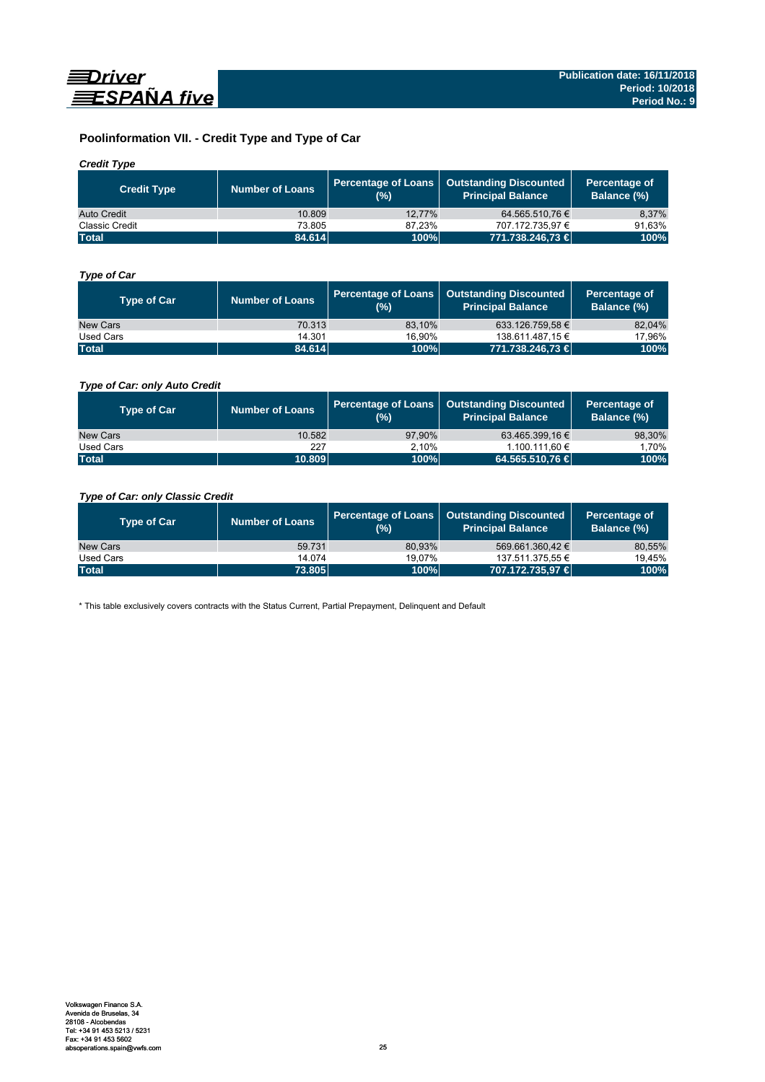

# **Poolinformation VII. - Credit Type and Type of Car**

### *Credit Type*

| <b>Credit Type</b> | Number of Loans | (%)    | Percentage of Loans   Outstanding Discounted<br>l Principal Balance <sup>'</sup> | Percentage of<br>Balance (%) |
|--------------------|-----------------|--------|----------------------------------------------------------------------------------|------------------------------|
| Auto Credit        | 10.809          | 12.77% | 64.565.510.76 €                                                                  | 8.37%                        |
| Classic Credit     | 73.805          | 87.23% | 707.172.735.97 €                                                                 | 91.63%                       |
| <b>Total</b>       | 84.614          | 100%   | 771.738.246,73 €                                                                 | 100%                         |

### *Type of Car*

| <b>Type of Car</b> | <b>Number of Loans</b> | (%)    | Percentage of Loans   Outstanding Discounted<br><b>Principal Balance</b> | Percentage of<br>Balance (%) |
|--------------------|------------------------|--------|--------------------------------------------------------------------------|------------------------------|
| New Cars           | 70.313                 | 83.10% | 633.126.759.58 €                                                         | 82,04%                       |
| Used Cars          | 14.301                 | 16.90% | 138.611.487.15 €                                                         | 17,96%                       |
| <b>Total</b>       | 84.614                 | 100%   | 771.738.246,73 €                                                         | 100%                         |

### *Type of Car: only Auto Credit*

| <b>Type of Car</b> | <b>Number of Loans</b> | (%)    | Percentage of Loans   Outstanding Discounted<br><b>Principal Balance</b> | Percentage of<br>Balance (%) |
|--------------------|------------------------|--------|--------------------------------------------------------------------------|------------------------------|
| New Cars           | 10.582                 | 97.90% | 63.465.399.16 €                                                          | 98,30%                       |
| Used Cars          | 227                    | 2.10%  | 1.100.111.60 €                                                           | 1.70%                        |
| <b>Total</b>       | 10.809                 | 100%   | 64.565.510.76 €                                                          | 100%                         |

### *Type of Car: only Classic Credit*

| <b>Type of Car</b> | <b>Number of Loans</b> | (%)    | Percentage of Loans   Outstanding Discounted<br><b>Principal Balance</b> | Percentage of<br>Balance (%) |
|--------------------|------------------------|--------|--------------------------------------------------------------------------|------------------------------|
| New Cars           | 59.731                 | 80.93% | 569.661.360.42 €                                                         | 80,55%                       |
| Used Cars          | 14.074                 | 19.07% | 137.511.375,55 €                                                         | 19.45%                       |
| <b>Total</b>       | 73.805                 | 100%   | 707.172.735.97 €                                                         | 100%                         |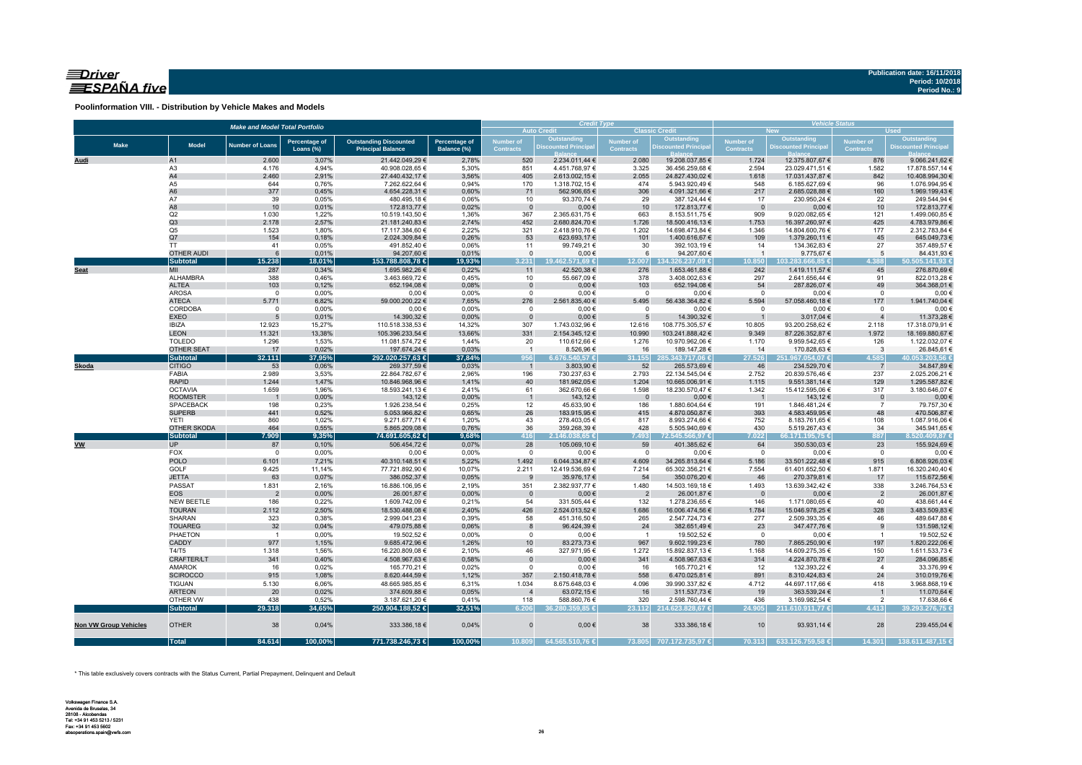### $\equiv$ Driver ESPAÑA five

**Poolinformation VIII. - Distribution by Vehicle Makes and Models**

|                              |                                | <b>Make and Model Total Portfolio</b> |                      |                                  |                | <b>Credit Type</b> |                                            |                                   | <b>Vehicle Status</b><br><b>Used</b><br><b>New</b> |                               |                                  |                                      |                                  |
|------------------------------|--------------------------------|---------------------------------------|----------------------|----------------------------------|----------------|--------------------|--------------------------------------------|-----------------------------------|----------------------------------------------------|-------------------------------|----------------------------------|--------------------------------------|----------------------------------|
|                              |                                |                                       |                      |                                  |                |                    | <b>Auto Credit</b>                         |                                   | <b>Classic Credit</b>                              |                               | Outstanding                      |                                      | Outstanding                      |
| <b>Make</b>                  | <b>Model</b>                   | <b>Number of Loans</b>                | <b>Percentage of</b> | <b>Outstanding Discounted</b>    | Percentage of  | <b>Number of</b>   | <b>Outstanding<br/>Discounted Principa</b> | <b>Number of</b>                  | <b>Outstanding</b><br>Discounted Principa          | Number of<br><b>Contracts</b> | <b>Discounted Principa</b>       | <b>Number of</b><br><b>Contracts</b> | <b>Discounted Principal</b>      |
|                              |                                |                                       | Loans (%)            | <b>Principal Balance</b>         | Balance (%)    | <b>Contracts</b>   |                                            | <b>Contracts</b>                  |                                                    |                               |                                  |                                      |                                  |
| Audi                         | A1                             | 2.600                                 | 3,07%                | 21.442.049,29 €                  | 2,78%          | 520                | 2.234.011,44 €                             | 2.080                             | 19.208.037,85 €                                    | 1.724                         | 12.375.807,67 €                  | 876                                  | 9.066.241,62 €                   |
|                              | A <sub>3</sub>                 | 4.176                                 | 4,94%                | 40.908.028,65 €                  | 5,30%          | 851                | 4.451.768,97 €                             | 3.325                             | 36.456.259,68 €                                    | 2.594                         | 23.029.471,51 €                  | 1.582                                | 17.878.557,14 €                  |
|                              | A4                             | 2.460                                 | 2,91%                | 27.440.432,17 €                  | 3,56%          | 405                | 2.613.002,15 €                             | 2.055                             | 24.827.430,02 €                                    | 1.618                         | 17.031.437,87 €                  | 842                                  | 10.408.994,30 €                  |
|                              | A5<br>A <sub>6</sub>           | 644<br>377                            | 0,76%<br>0,45%       | 7.262.622,64 €<br>4.654.228,31 € | 0,94%<br>0,60% | 170<br>71          | 1.318.702,15 €<br>562.906,65 €             | 474<br>306                        | 5.943.920,49 €<br>4.091.321,66 €                   | 548<br>217                    | 6.185.627,69 €<br>2.685.028,88 € | 96<br>160                            | 1.076.994,95 €<br>1.969.199,43 € |
|                              | A7                             | 39                                    | 0,05%                | 480.495,18€                      | 0,06%          | 10                 | 93.370,74 €                                | 29                                | 387.124,44 €                                       | 17                            | 230.950,24 €                     | 22                                   | 249.544,94 €                     |
|                              | A8                             | 10                                    | 0,01%                | 172.813,77 €                     | 0,02%          | $\mathbf{0}$       | $0,00 \in$                                 | 10                                | 172.813,77 €                                       | $\overline{0}$                | $0,00 \in$                       | 10                                   | 172.813,77 €                     |
|                              | Q2                             | 1.030                                 | 1,22%                | 10.519.143,50 €                  | 1,36%          | 367                | 2.365.631,75 €                             | 663                               | 8.153.511,75 €                                     | 909                           | 9.020.082,65 €                   | 121                                  | 1.499.060,85 €                   |
|                              | Q3                             | 2.178                                 | 2,57%                | 21.181.240,83 €                  | 2,74%          | 452                | 2.680.824,70 €                             | 1.726                             | 18.500.416,13 €                                    | 1.753                         | 16.397.260,97 €                  | 425                                  | 4.783.979,86 €                   |
|                              | Q <sub>5</sub>                 | 1.523                                 | 1,80%                | 17.117.384,60 €                  | 2,22%          | 321                | 2.418.910,76 €                             | 1.202                             | 14.698.473,84 €                                    | 1.346                         | 14.804.600,76 €                  | 177                                  | 2.312.783,84 €                   |
|                              | Q7                             | 154                                   | 0,18%                | 2.024.309,84 €                   | 0,26%          | 53                 | 623.693,17 €                               | 101                               | 1.400.616,67 €                                     | 109                           | 1.379.260,11 €                   | 45                                   | 645.049,73€                      |
|                              | <b>TT</b>                      | 41                                    | 0,05%                | 491.852,40 €                     | 0,06%          | 11                 | 99.749,21€                                 | 30                                | 392.103,19€                                        | 14                            | 134.362,83 €                     | 27                                   | 357.489,57 €                     |
|                              | <b>OTHER AUDI</b>              | 6                                     | 0,01%                | 94.207,60 €                      | 0,01%          | $\mathbf{0}$       | $0,00 \in$                                 | 6                                 | 94.207,60 €                                        | $\overline{1}$                | 9.775,67 €                       | 5                                    | 84.431,93 €                      |
|                              | <b>Subtotal</b>                | 15.238                                | 18,01%               | 153.788.808,78 €                 | 19,93%         | 3.231              | 19.462.571.69 €                            | 12.007                            | 134.326.237.09 €                                   | 10.850                        | 103.283.666.85 €                 | 4.388                                | 50.505.141,93 €                  |
| <b>Seat</b>                  | MII<br>ALHAMBRA                | 287<br>388                            | 0,34%<br>0,46%       | 1.695.982,26 €                   | 0,22%<br>0,45% | 11<br>10           | 42.520,38 €                                | 276<br>378                        | 1.653.461,88 €<br>3.408.002,63 €                   | 242<br>297                    | 1.419.111,57 €                   | 45<br>91                             | 276.870,69€                      |
|                              | <b>ALTEA</b>                   | 103                                   | 0,12%                | 3.463.669,72 €<br>652.194,08 €   | 0,08%          | $\overline{0}$     | 55.667,09 €<br>$0,00 \in$                  | 103                               | 652.194,08 €                                       | 54                            | 2.641.656,44 €<br>287.826,07 €   | 49                                   | 822.013,28€<br>364.368,01 €      |
|                              | <b>AROSA</b>                   | $\mathbf 0$                           | 0,00%                | $0,00 \in$                       | 0,00%          | $\mathbf 0$        | $0,00 \in$                                 | $\overline{0}$                    | $0,00 \in$                                         | $\overline{0}$                | $0,00 \in$                       | $\Omega$                             | $0,00 \in$                       |
|                              | <b>ATECA</b>                   | 5.771                                 | 6,82%                | 59.000.200,22 €                  | 7,65%          | 276                | 2.561.835,40 €                             | 5.495                             | 56.438.364,82 €                                    | 5.594                         | 57.058.460,18 €                  | 177                                  | 1.941.740,04 €                   |
|                              | CORDOBA                        | $\mathbf 0$                           | 0,00%                | $0,00 \in$                       | 0,00%          | $\mathsf 0$        | $0,00 \in$                                 | $\overline{0}$                    | $0,00 \in$                                         | $\overline{0}$                | $0,00 \in$                       | $\mathbf 0$                          | $0,00 \in$                       |
|                              | <b>EXEO</b>                    | 5                                     | 0,01%                | 14.390,32 €                      | 0,00%          | $\Omega$           | $0,00 \in$                                 | $5\overline{5}$                   | 14.390,32 €                                        | $\overline{1}$                | 3.017,04 €                       |                                      | 11.373,28 €                      |
|                              | <b>IBIZA</b>                   | 12.923                                | 15,27%               | 110.518.338,53 €                 | 14,32%         | 307                | 1.743.032,96 €                             | 12.616                            | 108.775.305,57 €                                   | 10.805                        | 93.200.258,62 €                  | 2.118                                | 17.318.079,91 €                  |
|                              | <b>LEON</b>                    | 11.321                                | 13,38%               | 105.396.233,54 €                 | 13,66%         | 331                | 2.154.345,12 €                             | 10.990                            | 103.241.888,42 €                                   | 9.349                         | 87.226.352,87 €                  | 1.972                                | 18.169.880,67 €                  |
|                              | <b>TOLEDO</b>                  | 1.296                                 | 1,53%                | 11.081.574,72€                   | 1,44%          | 20                 | 110.612,66 €                               | 1.276                             | 10.970.962,06 €                                    | 1.170                         | 9.959.542,65 €                   | 126                                  | 1.122.032,07 €                   |
|                              | OTHER SEAT                     | 17                                    | 0,02%                | 197.674,24 €                     | 0,03%          | $\overline{1}$     | 8.526,96 €                                 | 16                                | 189.147,28 €                                       | 14                            | 170.828,63 €                     | $\overline{\mathbf{3}}$              | 26.845,61 €                      |
|                              | <b>Subtotal</b>                | 32.111                                | 37,95%               | 292.020.257,63 €                 | 37,84%         | 956                | 6.676.540,57 €                             | 31.155                            | 285.343.717,06 €                                   | 27.526                        | 251.967.054,07 €                 | 4.585                                | 40.053.203,56 €                  |
| <b>Skoda</b>                 | <b>CITIGO</b>                  | 53                                    | 0,06%                | 269.377,59€                      | 0,03%          | $\overline{1}$     | 3.803,90 €                                 | 52                                | 265.573,69 €                                       | 46                            | 234.529,70 €                     | $\overline{7}$                       | 34.847,89 €                      |
|                              | FABIA                          | 2.989                                 | 3,53%                | 22.864.782,67 €                  | 2,96%          | 196                | 730.237,63 €                               | 2.793                             | 22.134.545,04 €                                    | 2.752                         | 20.839.576,46 €                  | 237                                  | 2.025.206,21 €                   |
|                              | <b>RAPID</b><br><b>OCTAVIA</b> | 1.244                                 | 1,47%<br>1,96%       | 10.846.968,96 €                  | 1,41%<br>2,41% | 40<br>61           | 181.962,05 €                               | 1.204                             | 10.665.006,91 €                                    | 1.115<br>1.342                | 9.551.381,14 €                   | 129<br>317                           | 1.295.587,82 €                   |
|                              | <b>ROOMSTER</b>                | 1.659<br>$\overline{1}$               | 0,00%                | 18.593.241,13 €<br>143,12€       | 0,00%          | $\overline{1}$     | 362.670,66 €<br>143,12 €                   | 1.598<br>$\overline{\phantom{0}}$ | 18.230.570,47 €<br>$0,00 \in$                      | $\overline{\phantom{0}}$      | 15.412.595,06 €<br>143,12€       | $\overline{0}$                       | 3.180.646,07 €<br>$0,00 \in$     |
|                              | <b>SPACEBACK</b>               | 198                                   | 0,23%                | 1.926.238,54 €                   | 0,25%          | 12                 | 45.633,90 €                                | 186                               | 1.880.604,64 €                                     | 191                           | 1.846.481,24 €                   | $\overline{7}$                       | 79.757,30 €                      |
|                              | <b>SUPERB</b>                  | 441                                   | 0,52%                | 5.053.966,82 €                   | 0,65%          | 26                 | 183.915,95€                                | 415                               | 4.870.050,87 €                                     | 393                           | 4.583.459,95 €                   | 48                                   | 470.506,87€                      |
|                              | <b>YETI</b>                    | 860                                   | 1,02%                | 9.271.677,71 €                   | 1,20%          | 43                 | 278.403,05 €                               | 817                               | 8.993.274,66 €                                     | 752                           | 8.183.761,65 €                   | 108                                  | 1.087.916,06 €                   |
|                              | OTHER SKODA                    | 464                                   | 0,55%                | 5.865.209,08 €                   | 0,76%          | 36                 | 359.268,39 €                               | 428                               | 5.505.940,69€                                      | 430                           | 5.519.267,43 €                   | 34                                   | 345.941,65€                      |
|                              | <b>Subtotal</b>                | 7.909                                 | 9,35%                | 74.691.605,62 €                  | 9,68%          | 416                | $2.146.038,65 \in$                         | 7.493                             | 72.545.566,97 €                                    | 7.022                         | 66.171.195,75 €                  | 887                                  | $8.520.409,87 \in$               |
| <b>VW</b>                    | <b>UP</b>                      | 87                                    | 0,10%                | 506.454,72 €                     | 0,07%          | 28                 | 105.069,10 €                               | 59                                | 401.385,62 €                                       | 64                            | 350.530,03 €                     | 23                                   | 155.924,69 €                     |
|                              | FOX                            | $\overline{0}$                        | 0,00%                | $0,00 \in$                       | 0,00%          | $\mathbf 0$        | $0,00 \in$                                 | $\overline{0}$                    | $0,00 \in$                                         | $\overline{0}$                | $0,00 \in$                       | $\overline{0}$                       | $0,00 \in$                       |
|                              | <b>POLO</b>                    | 6.101                                 | 7,21%                | 40.310.148,51 €                  | 5,22%          | 1.492              | 6.044.334,87 €                             | 4.609                             | 34.265.813,64 €                                    | 5.186                         | 33.501.222,48 €                  | 915                                  | 6.808.926,03 €                   |
|                              | GOLF                           | 9.425                                 | 11,14%               | 77.721.892,90 €                  | 10,07%         | 2.211              | 12.419.536,69 €                            | 7.214                             | 65.302.356,21 €                                    | 7.554                         | 61.401.652,50 €                  | 1.871                                | 16.320.240,40 €                  |
|                              | <b>JETTA</b>                   | 63                                    | 0,07%                | 386.052,37 €                     | 0,05%          | 9                  | 35.976,17 €                                | 54                                | 350.076,20€                                        | 46                            | 270.379,81 €                     | 17                                   | 115.672,56 €                     |
|                              | PASSAT<br><b>EOS</b>           | 1.831<br>$\overline{2}$               | 2,16%<br>0,00%       | 16.886.106,95 €<br>26.001,87 €   | 2,19%<br>0,00% | 351                | 2.382.937,77 €<br>$0,00 \in$               | 1.480                             | 14.503.169,18 €<br>26.001,87 €                     | 1.493<br>$\overline{0}$       | 13.639.342,42 €<br>$0,00 \in$    | 338                                  | 3.246.764,53 €<br>26.001,87 €    |
|                              | NEW BEETLE                     | 186                                   | 0,22%                | 1.609.742,09 €                   | 0,21%          | $\mathbf 0$<br>54  | 331.505,44 €                               | $\overline{2}$<br>132             | 1.278.236,65 €                                     | 146                           | 1.171.080,65 €                   | $\overline{2}$<br>40                 | 438.661,44 €                     |
|                              | <b>TOURAN</b>                  | 2.112                                 | 2,50%                | 18.530.488,08 €                  | 2,40%          | 426                | 2.524.013,52 €                             | 1.686                             | 16.006.474,56 €                                    | 1.784                         | 15.046.978,25 €                  | 328                                  | 3.483.509,83 €                   |
|                              | SHARAN                         | 323                                   | 0,38%                | 2.999.041,23 €                   | 0,39%          | 58                 | 451.316,50 €                               | 265                               | 2.547.724,73 €                                     | 277                           | 2.509.393,35 €                   | 46                                   | 489.647,88 €                     |
|                              | <b>TOUAREG</b>                 | 32                                    | 0,04%                | 479.075,88 €                     | 0,06%          | 8                  | 96.424,39 €                                | 24                                | 382.651,49€                                        | 23                            | 347.477,76 €                     | 9                                    | 131.598,12€                      |
|                              | PHAETON                        | $\overline{1}$                        | 0,00%                | 19.502,52 €                      | 0,00%          | $^{\circ}$         | $0,00 \in$                                 | $\overline{1}$                    | 19.502,52 €                                        | $\overline{\mathbf{0}}$       | $0,00 \in$                       | $\overline{1}$                       | 19.502,52 €                      |
|                              | CADDY                          | 977                                   | 1,15%                | 9.685.472,96 €                   | 1,26%          | 10                 | 83.273,73 €                                | 967                               | 9.602.199,23 €                                     | 780                           | 7.865.250,90 €                   | 197                                  | 1.820.222,06 €                   |
|                              | T4/T5                          | 1.318                                 | 1,56%                | 16.220.809,08 €                  | 2,10%          | 46                 | 327.971,95 €                               | 1.272                             | 15.892.837,13 €                                    | 1.168                         | 14.609.275,35 €                  | 150                                  | 1.611.533,73 €                   |
|                              | CRAFTER/LT                     | 341                                   | 0,40%                | 4.508.967,63 €                   | 0,58%          | $\overline{0}$     | $0,00 \in$                                 | 341                               | 4.508.967,63 €                                     | 314                           | 4.224.870,78 €                   | 27                                   | 284.096,85€                      |
|                              | AMAROK                         | 16                                    | 0,02%                | 165.770,21 €                     | 0,02%          | $\mathsf 0$        | $0,00 \in$                                 | 16                                | 165.770,21 €                                       | 12                            | 132.393,22 €                     | $\overline{4}$                       | 33.376,99 €                      |
|                              | <b>SCIROCCO</b>                | 915                                   | 1,08%                | 8.620.444,59 €                   | 1,12%          | 357                | 2.150.418,78 €                             | 558                               | 6.470.025,81 €                                     | 891                           | 8.310.424,83 €                   | 24                                   | 310.019,76€                      |
|                              | <b>TIGUAN</b>                  | 5.130                                 | 6,06%                | 48.665.985,85€                   | 6,31%          | 1.034              | 8.675.648,03 €                             | 4.096                             | 39.990.337,82 €                                    | 4.712                         | 44.697.117,66 €                  | 418                                  | 3.968.868,19€                    |
|                              | <b>ARTEON</b>                  | 20                                    | 0,02%                | 374.609,88 €                     | 0,05%          | $\overline{4}$     | 63.072,15€                                 | 16                                | 311.537,73 €                                       | 19                            | 363.539,24 €                     |                                      | 11.070,64 €                      |
|                              | OTHER VW                       | 438                                   | 0,52%                | 3.187.621,20 €                   | 0,41%          | 118                | 588.860,76 €                               | 320                               | 2.598.760,44 €                                     | 436                           | 3.169.982,54 €                   | $\overline{2}$                       | 17.638,66 €                      |
|                              | <b>Subtotal</b>                | 29.318                                | 34,65%               | 250.904.188,52 €                 | 32,51%         | 6.206              | 36.280.359.85 €                            |                                   | 23.112 214.623.828,67 €                            | 24.905                        | 211.610.911,77 €                 | 4.413                                | 39.293.276,75 €                  |
| <b>Non VW Group Vehicles</b> | <b>OTHER</b>                   | 38                                    | 0,04%                | 333.386,18€                      | 0,04%          | $\Omega$           | $0,00 \in$                                 | 38                                | 333.386,18€                                        | 10                            | 93.931,14 €                      | 28                                   | 239.455,04 €                     |
|                              | <b>Total</b>                   | 84.614                                | 100,00%              | 771.738.246,73 €                 | 100,00%        | 10.809             | 64.565.510,76 €                            |                                   | 73.805 707.172.735,97 €                            | 70.313                        | 633.126.759,58 €                 | 14.301                               | 138.611.487,15 €                 |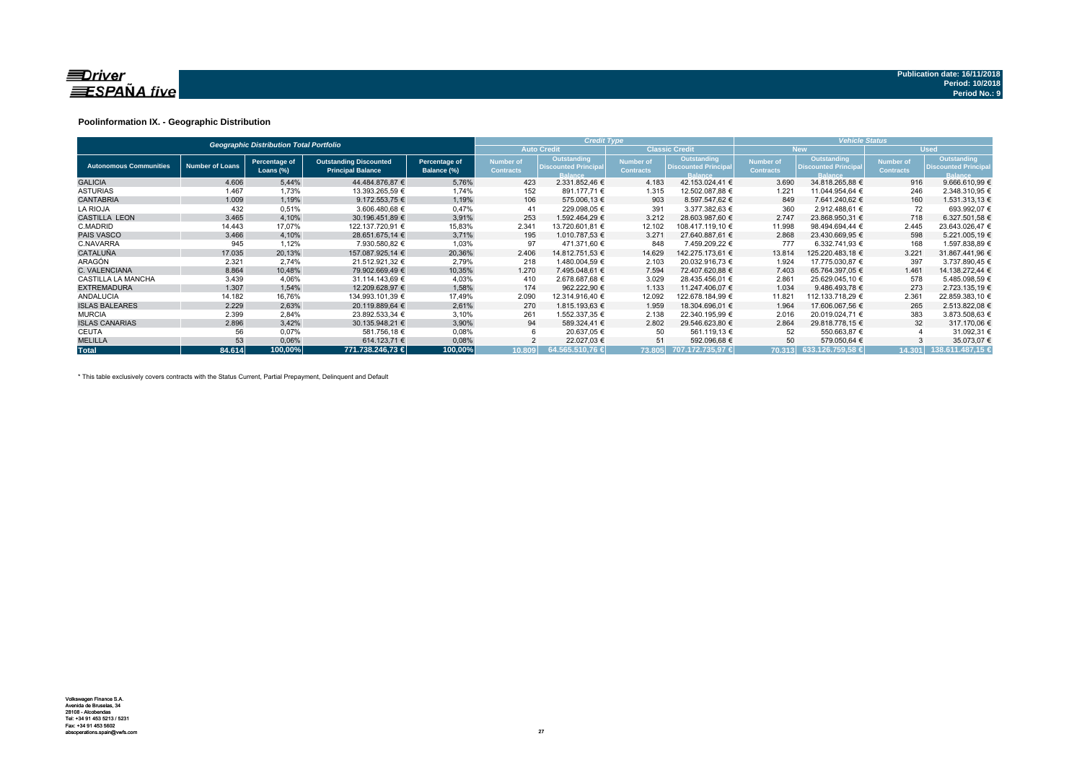

### **Poolinformation IX. - Geographic Distribution**

|                               |                        | <b>Geographic Distribution Total Portfolio</b> |                                                           |                              |                               | <b>Credit Type</b>                                           |                                      |                                                              | <b>Vehicle Status</b>                |                                                                     |                               |                                                             |  |  |
|-------------------------------|------------------------|------------------------------------------------|-----------------------------------------------------------|------------------------------|-------------------------------|--------------------------------------------------------------|--------------------------------------|--------------------------------------------------------------|--------------------------------------|---------------------------------------------------------------------|-------------------------------|-------------------------------------------------------------|--|--|
|                               |                        |                                                |                                                           |                              |                               | <b>Auto Credit</b>                                           |                                      | <b>Classic Credit</b>                                        |                                      | New.                                                                |                               | <b>Used</b>                                                 |  |  |
| <b>Autonomous Communities</b> | <b>Number of Loans</b> | Percentage of<br>Loans (%)                     | <b>Outstanding Discounted</b><br><b>Principal Balance</b> | Percentage of<br>Balance (%) | Number of<br><b>Contracts</b> | Outstanding<br><b>Discounted Principal</b><br><b>Balance</b> | <b>Number of</b><br><b>Contracts</b> | Outstanding<br><b>Discounted Principal</b><br><b>Balance</b> | <b>Number of</b><br><b>Contracts</b> | <b>Outstanding</b><br><b>Discounted Principal</b><br><b>Balance</b> | Number of<br><b>Contracts</b> | Outstanding<br><b>Discounted Principa</b><br><b>Balance</b> |  |  |
| <b>GALICIA</b>                | 4.606                  | 5,44%                                          | 44.484.876,87 €                                           | 5,76%                        | 423                           | 2.331.852,46 €                                               | 4.183                                | 42.153.024,41 €                                              | 3.690                                | 34.818.265,88 €                                                     | 916                           | 9.666.610,99 €                                              |  |  |
| <b>ASTURIAS</b>               | 1.467                  | 1,73%                                          | 13.393.265,59 €                                           | 1,74%                        | 152                           | 891.177,71 €                                                 | 1.315                                | 12.502.087.88 €                                              | 1.221                                | 11.044.954,64 €                                                     | 246                           | 2.348.310,95 €                                              |  |  |
| <b>CANTABRIA</b>              | 1.009                  | 1,19%                                          | 9.172.553.75 €                                            | 1,19%                        | 106                           | 575.006.13 €                                                 | 903                                  | 8.597.547.62 €                                               | 849                                  | 7.641.240.62 €                                                      | 160                           | 1.531.313,13 €                                              |  |  |
| <b>LA RIOJA</b>               | 432                    | 0.51%                                          | 3.606.480.68 €                                            | 0.47%                        | 41                            | 229.098.05 €                                                 | 391                                  | 3.377.382.63 €                                               | 360                                  | 2.912.488.61 €                                                      | 72                            | 693.992.07 €                                                |  |  |
| <b>CASTILLA LEON</b>          | 3.465                  | 4,10%                                          | 30.196.451,89 €                                           | 3,91%                        | 253                           | 1.592.464.29 €                                               | 3.212                                | 28.603.987,60 €                                              | 2.747                                | 23.868.950,31 €                                                     | 718                           | 6.327.501,58 €                                              |  |  |
| C.MADRID                      | 14.443                 | 17,07%                                         | 122.137.720,91 €                                          | 15,83%                       | 2.341                         | 13.720.601,81 €                                              | 12.102                               | 108.417.119,10 €                                             | 11.998                               | 98.494.694,44 €                                                     | 2.445                         | 23.643.026,47 €                                             |  |  |
| <b>PAIS VASCO</b>             | 3.466                  | 4,10%                                          | 28.651.675.14 €                                           | 3,71%                        | 195                           | 1.010.787.53 €                                               | 3.271                                | 27.640.887.61 €                                              | 2.868                                | 23.430.669.95 €                                                     | 598                           | 5.221.005,19 €                                              |  |  |
| C.NAVARRA                     | 945                    | 1,12%                                          | 7.930.580,82 €                                            | 1,03%                        | 97                            | 471.371.60 €                                                 | 848                                  | 7.459.209,22 €                                               | 777                                  | 6.332.741.93 €                                                      | 168                           | 1.597.838,89 €                                              |  |  |
| <b>CATALUÑA</b>               | 17.035                 | 20,13%                                         | 157.087.925.14 €                                          | 20,36%                       | 2.406                         | 14.812.751.53 €                                              | 14.629                               | 142.275.173.61 €                                             | 13.814                               | 125.220.483.18 €                                                    | 3.221                         | 31.867.441,96 €                                             |  |  |
| ARAGÓN                        | 2.321                  | 2.74%                                          | 21.512.921.32 €                                           | 2,79%                        | 218                           | 1.480.004,59 €                                               | 2.103                                | 20.032.916.73 €                                              | 1.924                                | 17.775.030,87 €                                                     | 397                           | 3.737.890,45 €                                              |  |  |
| C. VALENCIANA                 | 8.864                  | 10,48%                                         | 79.902.669.49 €                                           | 10,35%                       | 1.270                         | 7.495.048.61 €                                               | 7.594                                | 72.407.620.88 €                                              | 7.403                                | 65.764.397.05 €                                                     | 1.461                         | 14.138.272.44 €                                             |  |  |
| <b>CASTILLA LA MANCHA</b>     | 3.439                  | 4,06%                                          | 31.114.143,69 €                                           | 4,03%                        | 410                           | 2.678.687,68 €                                               | 3.029                                | 28.435.456,01 €                                              | 2.861                                | 25.629.045,10 €                                                     | 578                           | 5.485.098,59 €                                              |  |  |
| <b>EXTREMADURA</b>            | 1.307                  | 1,54%                                          | 12.209.628,97 €                                           | 1,58%                        | 174                           | 962.222.90 €                                                 | 1.133                                | 11.247.406,07 €                                              | 1.034                                | 9.486.493,78 €                                                      | 273                           | 2.723.135,19 €                                              |  |  |
| <b>ANDALUCIA</b>              | 14.182                 | 16,76%                                         | 134.993.101.39 €                                          | 17,49%                       | 2.090                         | 12.314.916.40 €                                              | 12.092                               | 122.678.184.99 €                                             | 11.821                               | 112.133.718.29 €                                                    | 2.361                         | 22.859.383,10 €                                             |  |  |
| <b>ISLAS BALEARES</b>         | 2.229                  | 2,63%                                          | 20.119.889.64 €                                           | 2,61%                        | 270                           | 1.815.193,63 €                                               | 1.959                                | 18.304.696.01 €                                              | 1.964                                | 17.606.067.56 €                                                     | 265                           | 2.513.822.08 €                                              |  |  |
| <b>MURCIA</b>                 | 2.399                  | 2,84%                                          | 23.892.533,34 €                                           | 3,10%                        | 261                           | 1.552.337,35 €                                               | 2.138                                | 22.340.195.99 €                                              | 2.016                                | 20.019.024.71 €                                                     | 383                           | 3.873.508,63 €                                              |  |  |
| <b>ISLAS CANARIAS</b>         | 2.896                  | 3,42%                                          | 30.135.948.21 €                                           | 3,90%                        | 94                            | 589.324,41 €                                                 | 2.802                                | 29.546.623,80 €                                              | 2.864                                | 29.818.778.15 €                                                     | 32                            | 317.170,06 €                                                |  |  |
| <b>CEUTA</b>                  | 56                     | 0,07%                                          | 581.756,18 €                                              | 0,08%                        |                               | 20.637,05 €                                                  | 50                                   | 561.119,13 €                                                 | 52                                   | 550.663,87 €                                                        |                               | 31.092,31 €                                                 |  |  |
| <b>MELILLA</b>                | 53                     | 0,06%                                          | 614.123,71 €                                              | 0,08%                        |                               | 22.027,03 €                                                  | 51                                   | 592.096,68 €                                                 | 50                                   | 579.050,64 €                                                        |                               | 35.073,07 €                                                 |  |  |
| <b>Total</b>                  | 84.614                 | 100,00%                                        | 771.738.246.73 €                                          | 100,00%                      | 10.809                        | 64.565.510.76 €                                              | 73.805                               | 707.172.735,97 €                                             |                                      | 70.313 633.126.759,58 €                                             | 14.301                        | 138.611.487.15                                              |  |  |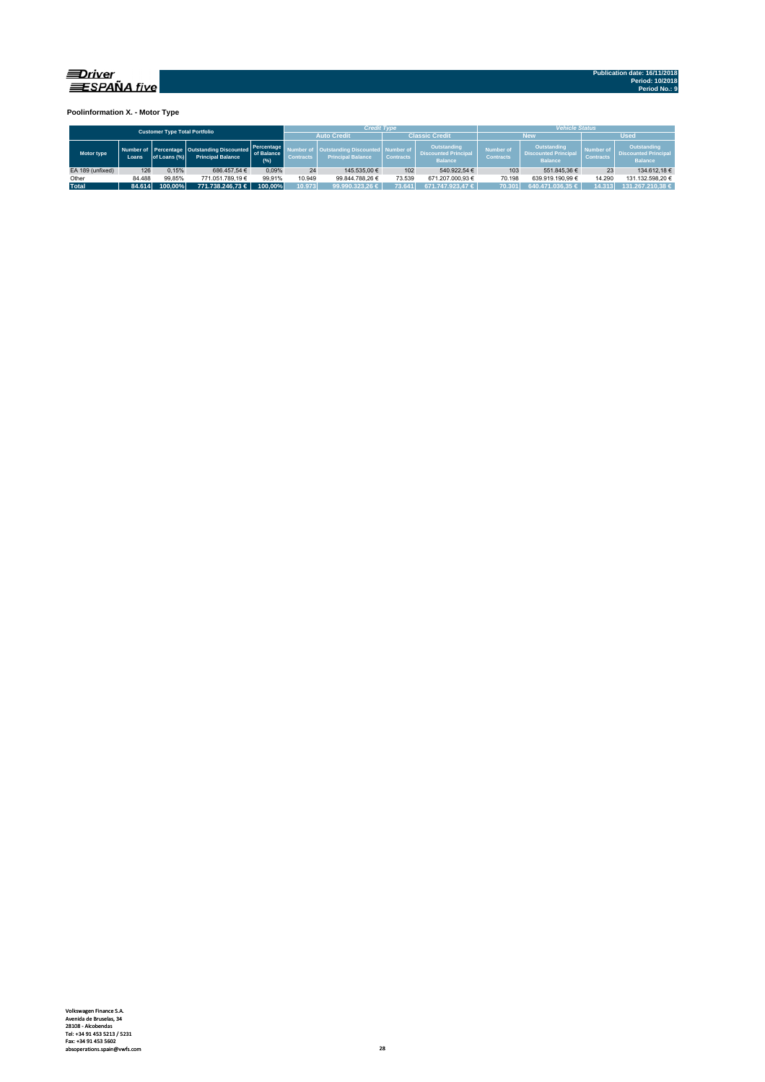

**Poolinformation X. - Motor Type**

| <b>Customer Type Total Portfolio</b> |        |              |                                                                         |                                  |                  | <b>Credit Type</b>                                        |                               |                                                              | <b>Vehicle Status</b>                                                                                |                  |                               |                                                              |  |  |
|--------------------------------------|--------|--------------|-------------------------------------------------------------------------|----------------------------------|------------------|-----------------------------------------------------------|-------------------------------|--------------------------------------------------------------|------------------------------------------------------------------------------------------------------|------------------|-------------------------------|--------------------------------------------------------------|--|--|
|                                      |        |              |                                                                         |                                  |                  | <b>Auto Credit</b>                                        |                               | <b>Classic Credit</b>                                        |                                                                                                      | New              | <b>Used</b>                   |                                                              |  |  |
| Motor type                           | Loans. | of Loans (%) | Number of Percentage Outstanding Discounted<br><b>Principal Balance</b> | Percentage<br>of Balance<br>(96) | <b>Contracts</b> | <b>Outstanding Discounted</b><br><b>Principal Balance</b> | Number of<br><b>Contracts</b> | Outstanding<br><b>Discounted Principal</b><br><b>Balance</b> | Outstanding<br><b>Number of</b><br><b>Discounted Principal</b><br><b>Contracts</b><br><b>Balance</b> |                  | Number of<br><b>Contracts</b> | Outstanding<br><b>Discounted Principal</b><br><b>Balance</b> |  |  |
| EA 189 (unfixed)                     | 126    | 0.15%        | 686.457.54 €                                                            | 0.09%                            | 24               | 145.535.00 €                                              | 102                           | 540.922.54 €                                                 | 103                                                                                                  | 551.845.36 €     | 23                            | 134.612.18 €                                                 |  |  |
| Other                                | 84.488 | 99.85%       | 771.051.789.19 €                                                        | 99.91%                           | 10.949           | 99.844.788.26 €                                           | 73.539                        | 671.207.000.93 €                                             | 70.198                                                                                               | 639.919.190.99 € | 14.290                        | 131.132.598.20 €                                             |  |  |
| <b>Total</b>                         | 84.614 | 100.00%      | 771.738.246.73 €                                                        | 100.00%                          | 10.973           | 99.990.323.26 €                                           | 73.641                        | 671.747.923.47 €                                             | 70.301                                                                                               | 640.471.036.35 € | 14.313                        | 131.267.210.38 €                                             |  |  |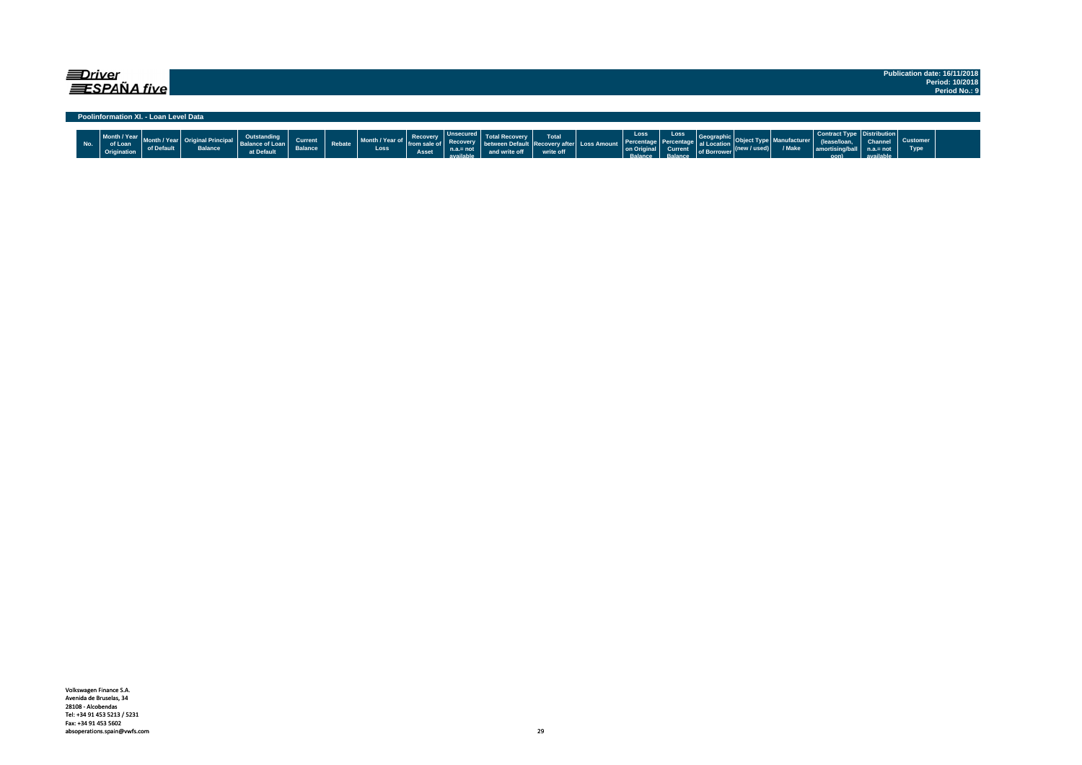|     | ≡Driver                                | ESPAÑA five                           |                                        |                                                     |                           |               |                         |                                   |                                                                |               |                    |                                             |                                                     |                                                         |                                        |                      |                       |                                                                              |                                     |                                | Publication date: 16/11/2018<br>Period: 10/2018<br>Period No.: 9 |
|-----|----------------------------------------|---------------------------------------|----------------------------------------|-----------------------------------------------------|---------------------------|---------------|-------------------------|-----------------------------------|----------------------------------------------------------------|---------------|--------------------|---------------------------------------------|-----------------------------------------------------|---------------------------------------------------------|----------------------------------------|----------------------|-----------------------|------------------------------------------------------------------------------|-------------------------------------|--------------------------------|------------------------------------------------------------------|
|     |                                        | Poolinformation XI. - Loan Level Data |                                        |                                                     |                           |               |                         |                                   |                                                                |               |                    |                                             |                                                     |                                                         |                                        |                      |                       |                                                                              |                                     |                                |                                                                  |
| No. | Month / Year<br>of Loan<br>Origination | of Default                            | : Original Principal<br><b>Balance</b> | Outstanding<br><b>Balance of Loan</b><br>at Default | Current<br><b>Balance</b> | <b>Rebate</b> | Month / Year of<br>Loss | Recovery<br>from sale of<br>Asset | <b>Unsecured</b><br><b>Recovery</b><br>$n.a.=not$<br>available | and write off | Total<br>write off | ween Default   Recovery after   Loss Amount | Loss<br>Percentage<br>on Original<br><b>Ralance</b> | Loss<br>as Percentage al Location<br>Current<br>Ralance | Geographic<br>of Borrower <sup>"</sup> | $ $ (new / used) $ $ | anufacturer<br>/ Make | Contract Type   Distribution  <br>(lease/loan<br>  amortising/ball  <br>nonl | Channel<br>$n.a.= not$<br>aldelieve | <b>Customer</b><br><b>Type</b> |                                                                  |